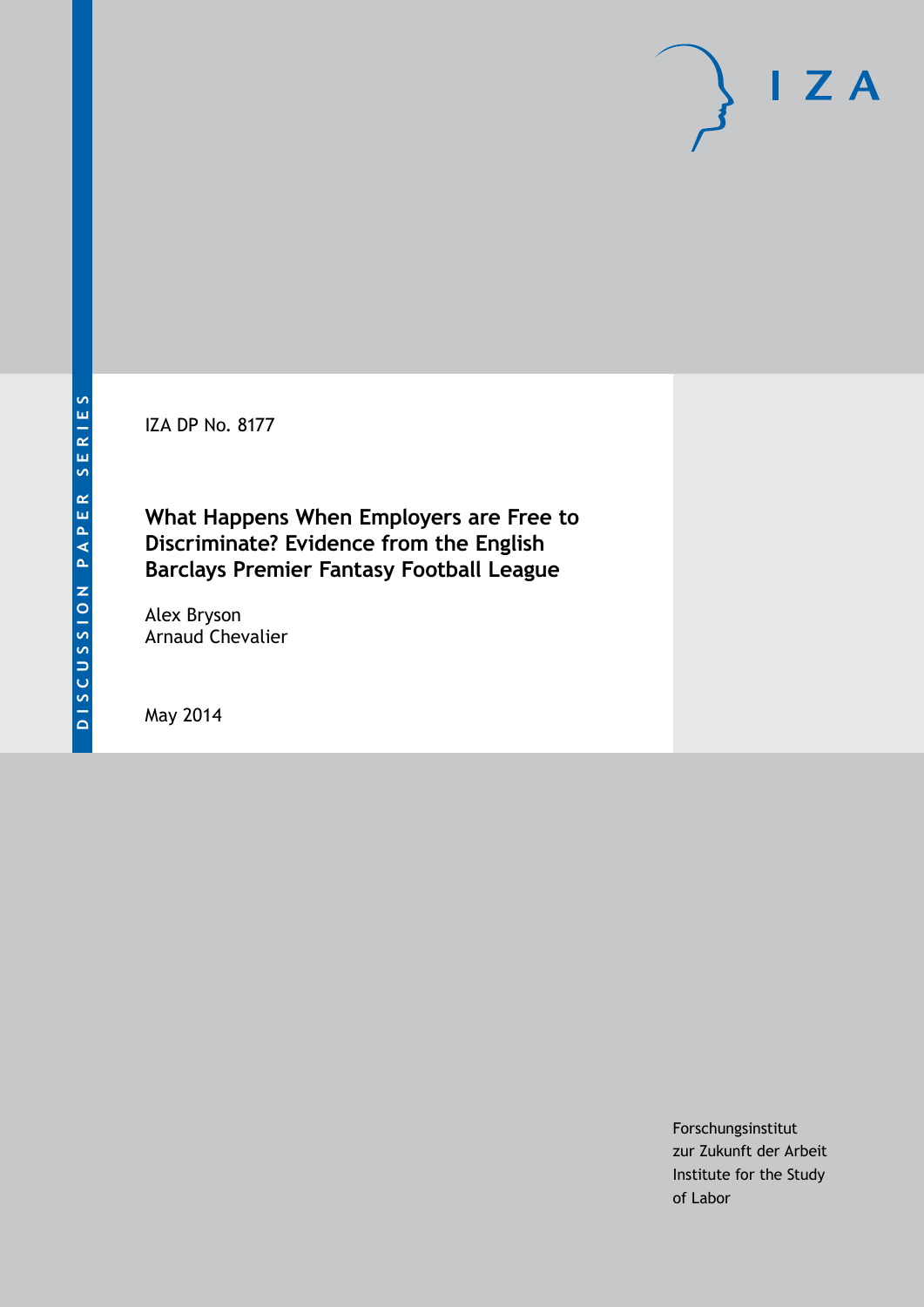IZA DP No. 8177

**What Happens When Employers are Free to Discriminate? Evidence from the English Barclays Premier Fantasy Football League**

Alex Bryson Arnaud Chevalier

May 2014

Forschungsinstitut zur Zukunft der Arbeit Institute for the Study of Labor

 $I Z A$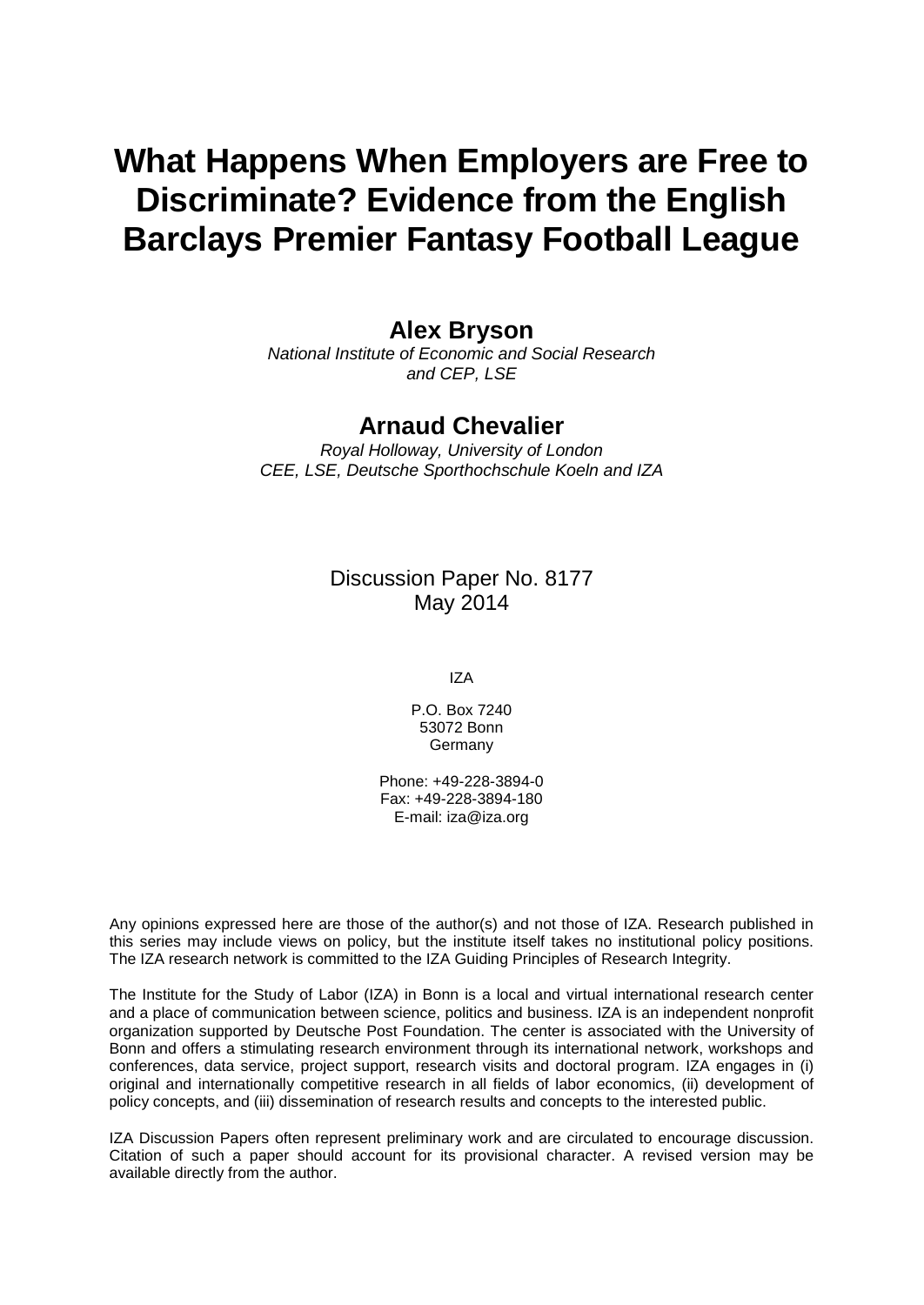# **What Happens When Employers are Free to Discriminate? Evidence from the English Barclays Premier Fantasy Football League**

## **Alex Bryson**

*National Institute of Economic and Social Research and CEP, LSE*

## **Arnaud Chevalier**

*Royal Holloway, University of London CEE, LSE, Deutsche Sporthochschule Koeln and IZA*

> Discussion Paper No. 8177 May 2014

> > IZA

P.O. Box 7240 53072 Bonn **Germany** 

Phone: +49-228-3894-0 Fax: +49-228-3894-180 E-mail: [iza@iza.org](mailto:iza@iza.org)

Any opinions expressed here are those of the author(s) and not those of IZA. Research published in this series may include views on policy, but the institute itself takes no institutional policy positions. The IZA research network is committed to the IZA Guiding Principles of Research Integrity.

The Institute for the Study of Labor (IZA) in Bonn is a local and virtual international research center and a place of communication between science, politics and business. IZA is an independent nonprofit organization supported by Deutsche Post Foundation. The center is associated with the University of Bonn and offers a stimulating research environment through its international network, workshops and conferences, data service, project support, research visits and doctoral program. IZA engages in (i) original and internationally competitive research in all fields of labor economics, (ii) development of policy concepts, and (iii) dissemination of research results and concepts to the interested public.

<span id="page-1-0"></span>IZA Discussion Papers often represent preliminary work and are circulated to encourage discussion. Citation of such a paper should account for its provisional character. A revised version may be available directly from the author.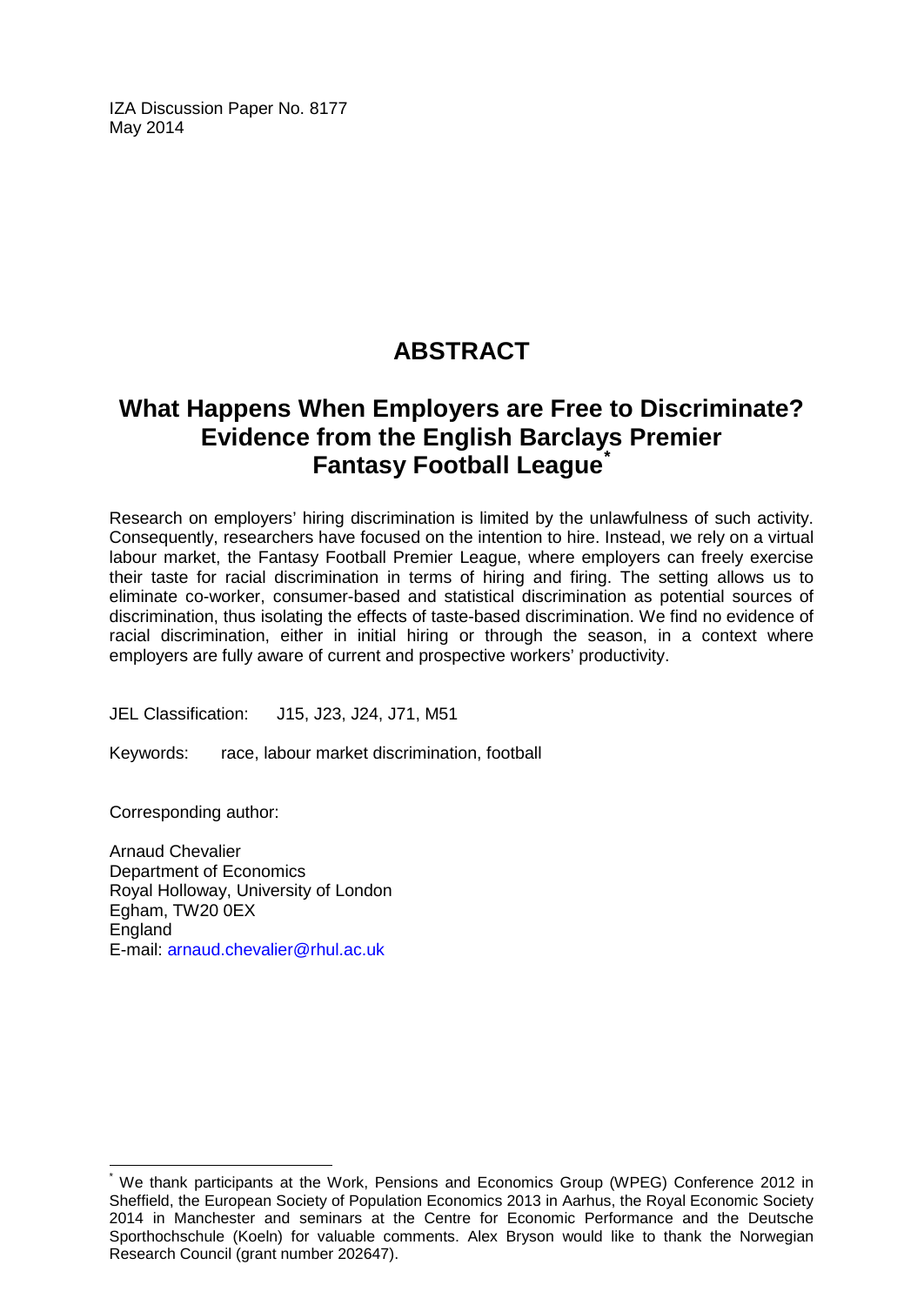IZA Discussion Paper No. 8177 May 2014

## **ABSTRACT**

## **What Happens When Employers are Free to Discriminate? Evidence from the English Barclays Premier Fantasy Football League[\\*](#page-1-0)**

Research on employers' hiring discrimination is limited by the unlawfulness of such activity. Consequently, researchers have focused on the intention to hire. Instead, we rely on a virtual labour market, the Fantasy Football Premier League, where employers can freely exercise their taste for racial discrimination in terms of hiring and firing. The setting allows us to eliminate co-worker, consumer-based and statistical discrimination as potential sources of discrimination, thus isolating the effects of taste-based discrimination. We find no evidence of racial discrimination, either in initial hiring or through the season, in a context where employers are fully aware of current and prospective workers' productivity.

JEL Classification: J15, J23, J24, J71, M51

Keywords: race, labour market discrimination, football

Corresponding author:

Arnaud Chevalier Department of Economics Royal Holloway, University of London Egham, TW20 0EX **England** E-mail: [arnaud.chevalier@rhul.ac.uk](mailto:arnaud.chevalier@rhul.ac.uk)

We thank participants at the Work, Pensions and Economics Group (WPEG) Conference 2012 in Sheffield, the European Society of Population Economics 2013 in Aarhus, the Royal Economic Society 2014 in Manchester and seminars at the Centre for Economic Performance and the Deutsche Sporthochschule (Koeln) for valuable comments. Alex Bryson would like to thank the Norwegian Research Council (grant number 202647).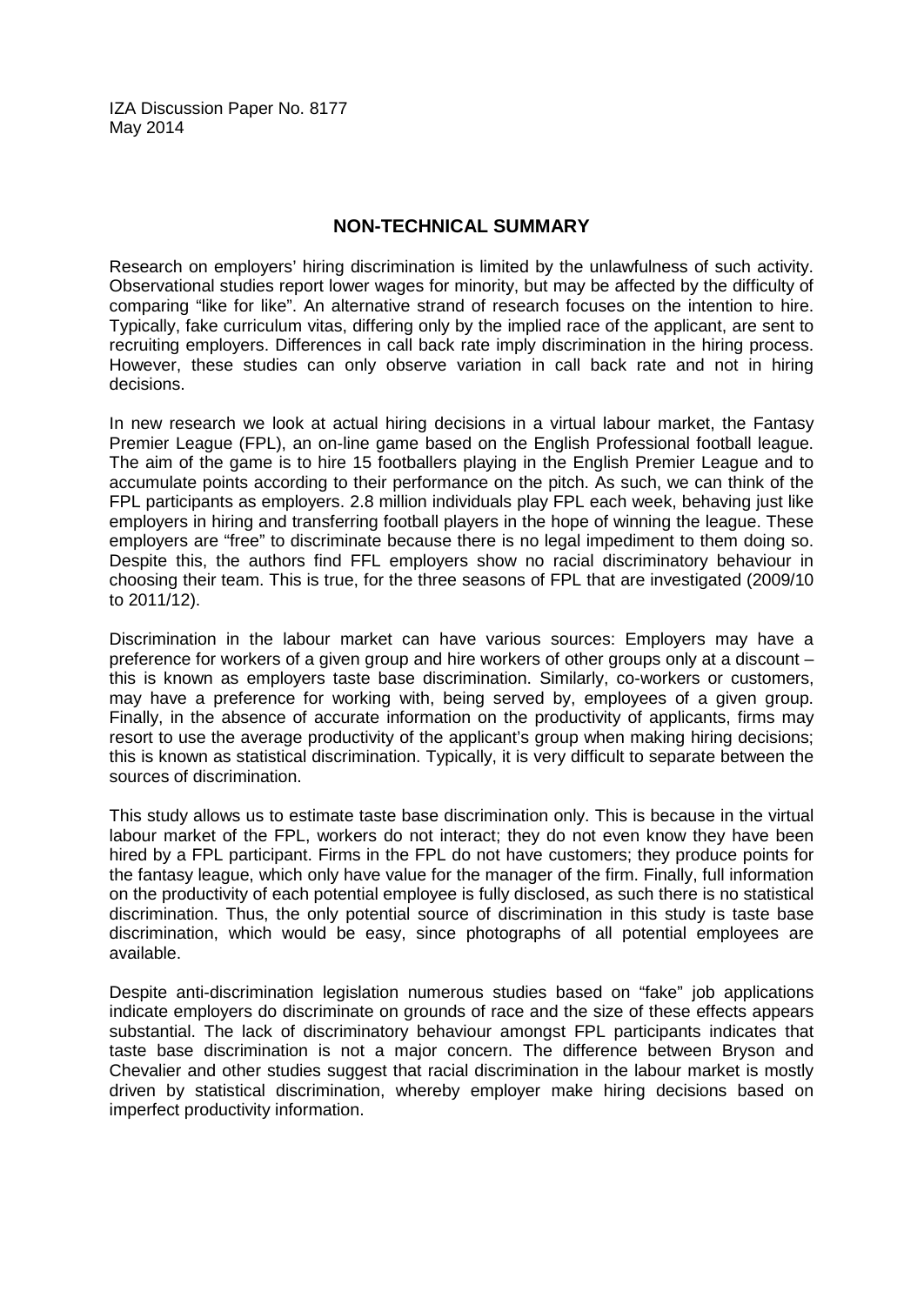IZA Discussion Paper No. 8177 May 2014

#### **NON-TECHNICAL SUMMARY**

Research on employers' hiring discrimination is limited by the unlawfulness of such activity. Observational studies report lower wages for minority, but may be affected by the difficulty of comparing "like for like". An alternative strand of research focuses on the intention to hire. Typically, fake curriculum vitas, differing only by the implied race of the applicant, are sent to recruiting employers. Differences in call back rate imply discrimination in the hiring process. However, these studies can only observe variation in call back rate and not in hiring decisions.

In new research we look at actual hiring decisions in a virtual labour market, the Fantasy Premier League (FPL), an on-line game based on the English Professional football league. The aim of the game is to hire 15 footballers playing in the English Premier League and to accumulate points according to their performance on the pitch. As such, we can think of the FPL participants as employers. 2.8 million individuals play FPL each week, behaving just like employers in hiring and transferring football players in the hope of winning the league. These employers are "free" to discriminate because there is no legal impediment to them doing so. Despite this, the authors find FFL employers show no racial discriminatory behaviour in choosing their team. This is true, for the three seasons of FPL that are investigated (2009/10 to 2011/12).

Discrimination in the labour market can have various sources: Employers may have a preference for workers of a given group and hire workers of other groups only at a discount – this is known as employers taste base discrimination. Similarly, co-workers or customers, may have a preference for working with, being served by, employees of a given group. Finally, in the absence of accurate information on the productivity of applicants, firms may resort to use the average productivity of the applicant's group when making hiring decisions; this is known as statistical discrimination. Typically, it is very difficult to separate between the sources of discrimination.

This study allows us to estimate taste base discrimination only. This is because in the virtual labour market of the FPL, workers do not interact; they do not even know they have been hired by a FPL participant. Firms in the FPL do not have customers; they produce points for the fantasy league, which only have value for the manager of the firm. Finally, full information on the productivity of each potential employee is fully disclosed, as such there is no statistical discrimination. Thus, the only potential source of discrimination in this study is taste base discrimination, which would be easy, since photographs of all potential employees are available.

Despite anti-discrimination legislation numerous studies based on "fake" job applications indicate employers do discriminate on grounds of race and the size of these effects appears substantial. The lack of discriminatory behaviour amongst FPL participants indicates that taste base discrimination is not a major concern. The difference between Bryson and Chevalier and other studies suggest that racial discrimination in the labour market is mostly driven by statistical discrimination, whereby employer make hiring decisions based on imperfect productivity information.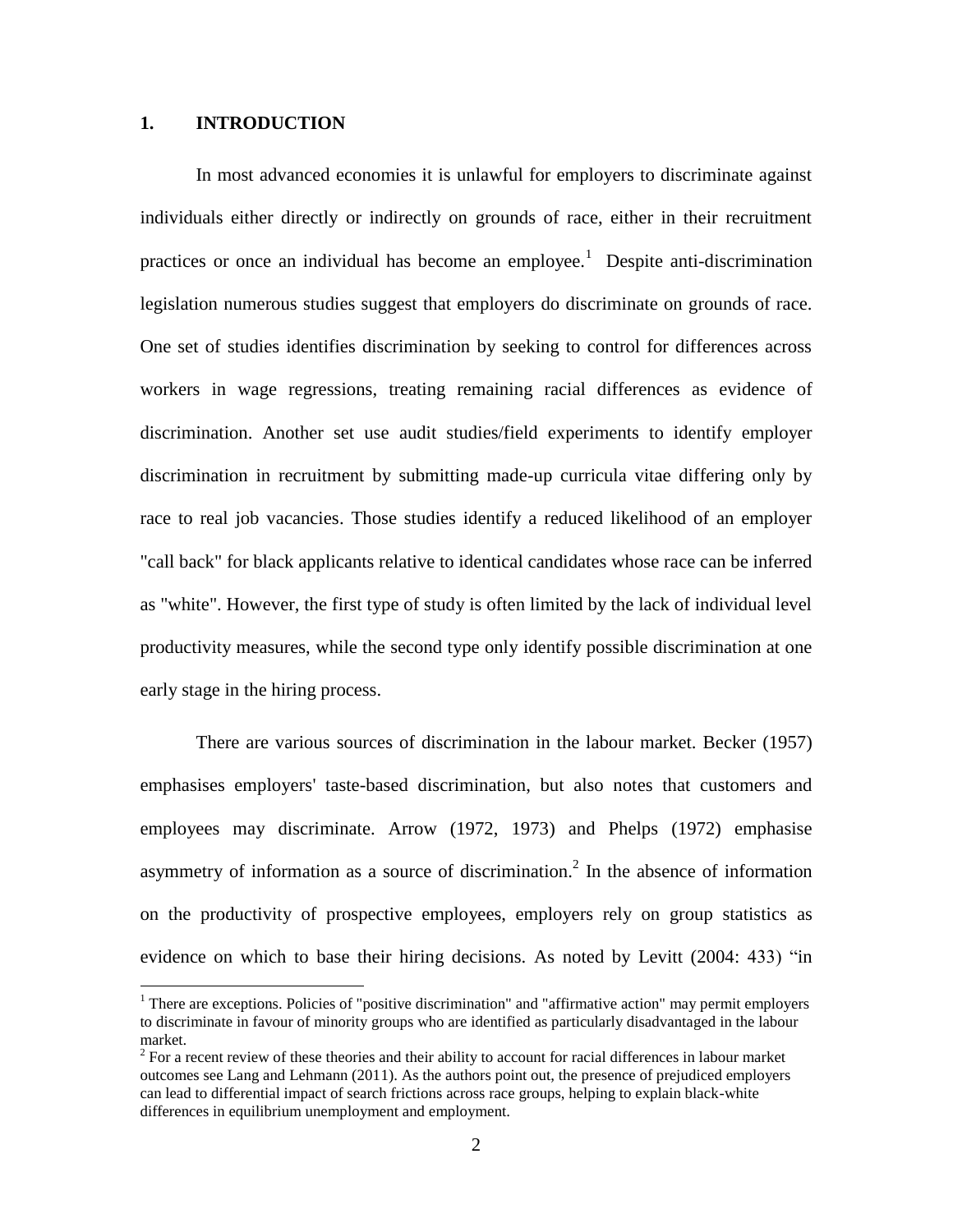#### **1. INTRODUCTION**

 $\overline{a}$ 

In most advanced economies it is unlawful for employers to discriminate against individuals either directly or indirectly on grounds of race, either in their recruitment practices or once an individual has become an employee.<sup>1</sup> Despite anti-discrimination legislation numerous studies suggest that employers do discriminate on grounds of race. One set of studies identifies discrimination by seeking to control for differences across workers in wage regressions, treating remaining racial differences as evidence of discrimination. Another set use audit studies/field experiments to identify employer discrimination in recruitment by submitting made-up curricula vitae differing only by race to real job vacancies. Those studies identify a reduced likelihood of an employer "call back" for black applicants relative to identical candidates whose race can be inferred as "white". However, the first type of study is often limited by the lack of individual level productivity measures, while the second type only identify possible discrimination at one early stage in the hiring process.

There are various sources of discrimination in the labour market. Becker (1957) emphasises employers' taste-based discrimination, but also notes that customers and employees may discriminate. Arrow (1972, 1973) and Phelps (1972) emphasise asymmetry of information as a source of discrimination.<sup>2</sup> In the absence of information on the productivity of prospective employees, employers rely on group statistics as evidence on which to base their hiring decisions. As noted by Levitt (2004: 433) "in

<sup>&</sup>lt;sup>1</sup> There are exceptions. Policies of "positive discrimination" and "affirmative action" may permit employers to discriminate in favour of minority groups who are identified as particularly disadvantaged in the labour market.

 $2^{2}$  For a recent review of these theories and their ability to account for racial differences in labour market outcomes see Lang and Lehmann (2011). As the authors point out, the presence of prejudiced employers can lead to differential impact of search frictions across race groups, helping to explain black-white differences in equilibrium unemployment and employment.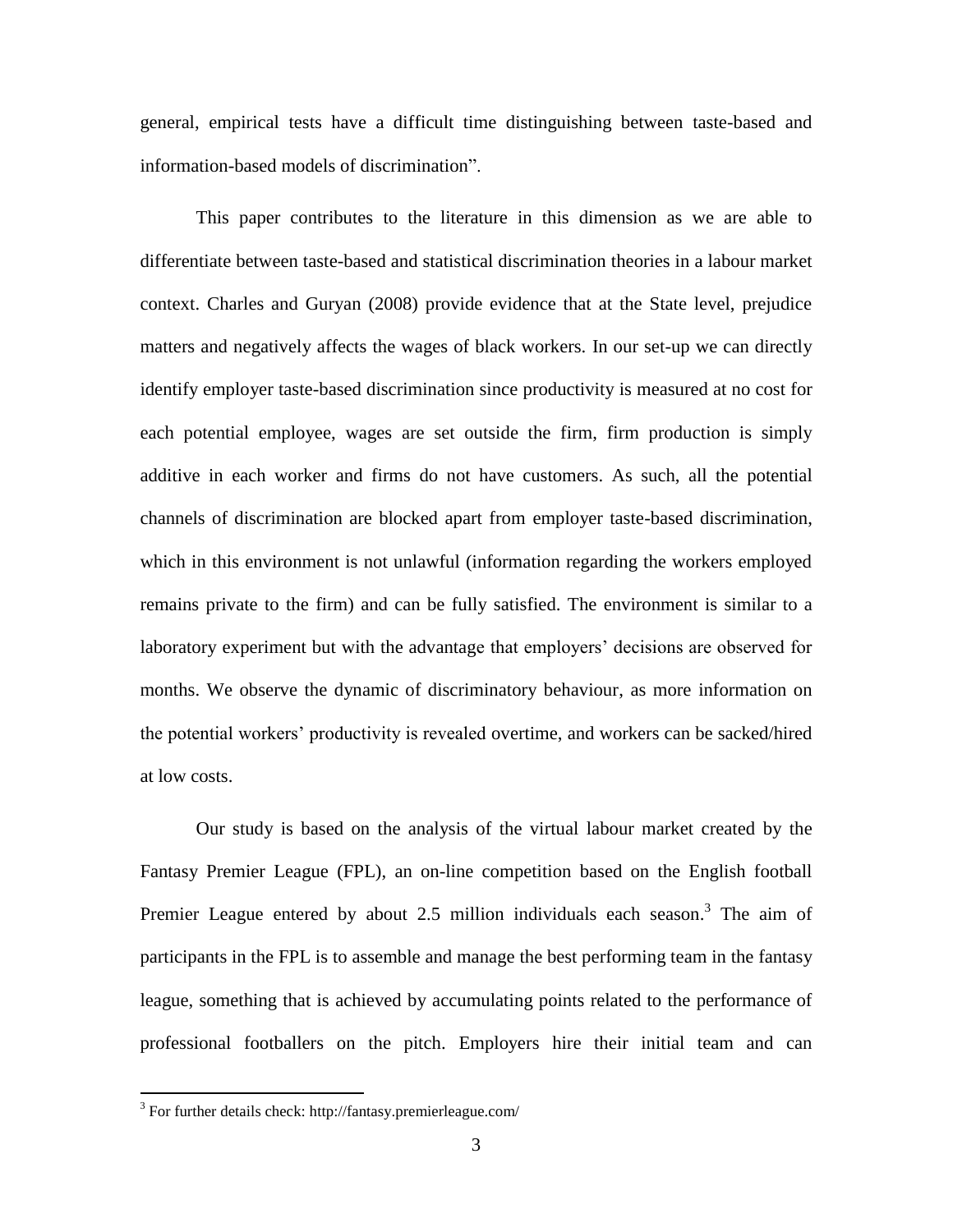general, empirical tests have a difficult time distinguishing between taste-based and information-based models of discrimination".

This paper contributes to the literature in this dimension as we are able to differentiate between taste-based and statistical discrimination theories in a labour market context. Charles and Guryan (2008) provide evidence that at the State level, prejudice matters and negatively affects the wages of black workers. In our set-up we can directly identify employer taste-based discrimination since productivity is measured at no cost for each potential employee, wages are set outside the firm, firm production is simply additive in each worker and firms do not have customers. As such, all the potential channels of discrimination are blocked apart from employer taste-based discrimination, which in this environment is not unlawful (information regarding the workers employed remains private to the firm) and can be fully satisfied. The environment is similar to a laboratory experiment but with the advantage that employers' decisions are observed for months. We observe the dynamic of discriminatory behaviour, as more information on the potential workers' productivity is revealed overtime, and workers can be sacked/hired at low costs.

Our study is based on the analysis of the virtual labour market created by the Fantasy Premier League (FPL), an on-line competition based on the English football Premier League entered by about 2.5 million individuals each season.<sup>3</sup> The aim of participants in the FPL is to assemble and manage the best performing team in the fantasy league, something that is achieved by accumulating points related to the performance of professional footballers on the pitch. Employers hire their initial team and can

 $3$  For further details check: http://fantasy.premierleague.com/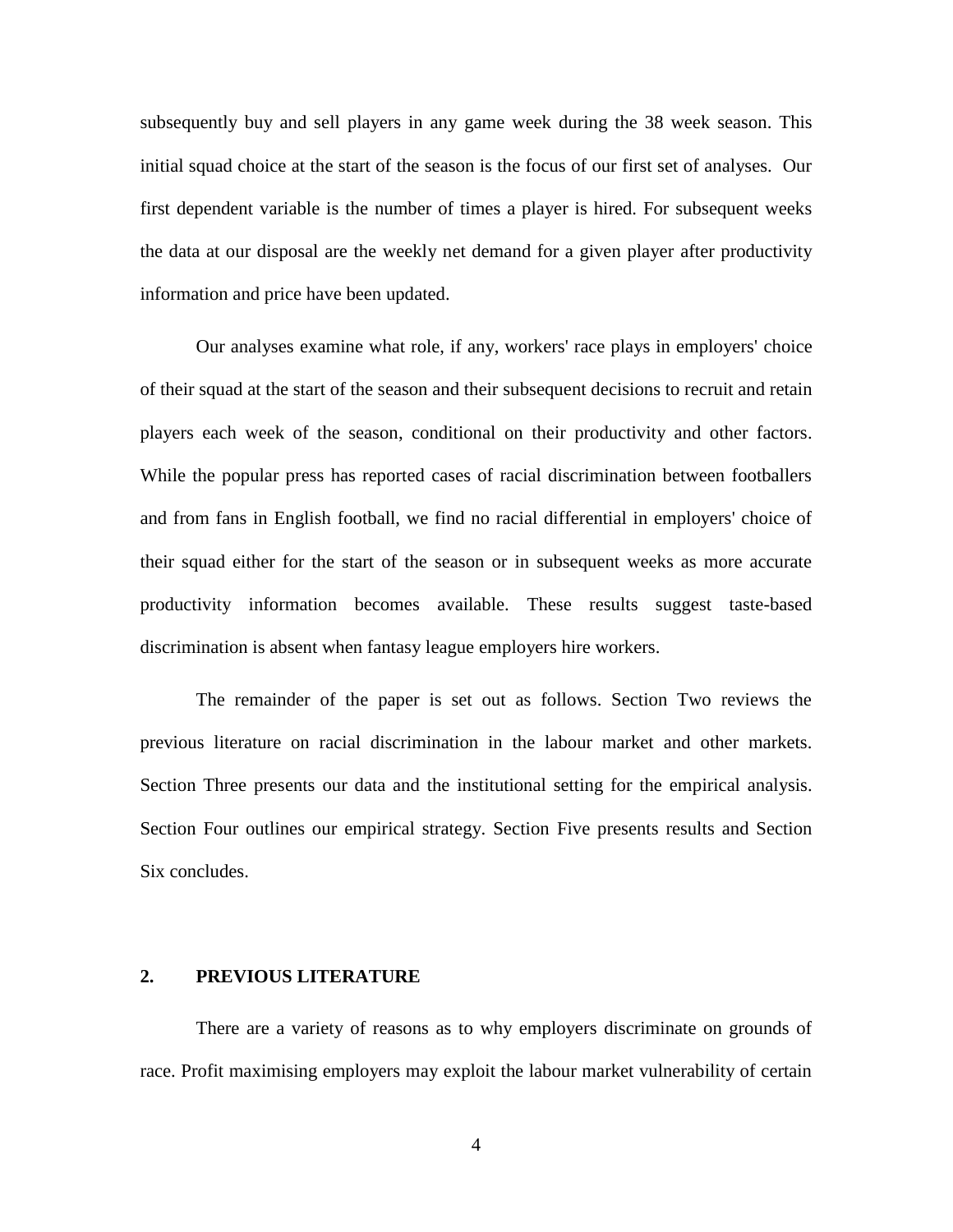subsequently buy and sell players in any game week during the 38 week season. This initial squad choice at the start of the season is the focus of our first set of analyses. Our first dependent variable is the number of times a player is hired. For subsequent weeks the data at our disposal are the weekly net demand for a given player after productivity information and price have been updated.

Our analyses examine what role, if any, workers' race plays in employers' choice of their squad at the start of the season and their subsequent decisions to recruit and retain players each week of the season, conditional on their productivity and other factors. While the popular press has reported cases of racial discrimination between footballers and from fans in English football, we find no racial differential in employers' choice of their squad either for the start of the season or in subsequent weeks as more accurate productivity information becomes available. These results suggest taste-based discrimination is absent when fantasy league employers hire workers.

The remainder of the paper is set out as follows. Section Two reviews the previous literature on racial discrimination in the labour market and other markets. Section Three presents our data and the institutional setting for the empirical analysis. Section Four outlines our empirical strategy. Section Five presents results and Section Six concludes.

#### **2. PREVIOUS LITERATURE**

There are a variety of reasons as to why employers discriminate on grounds of race. Profit maximising employers may exploit the labour market vulnerability of certain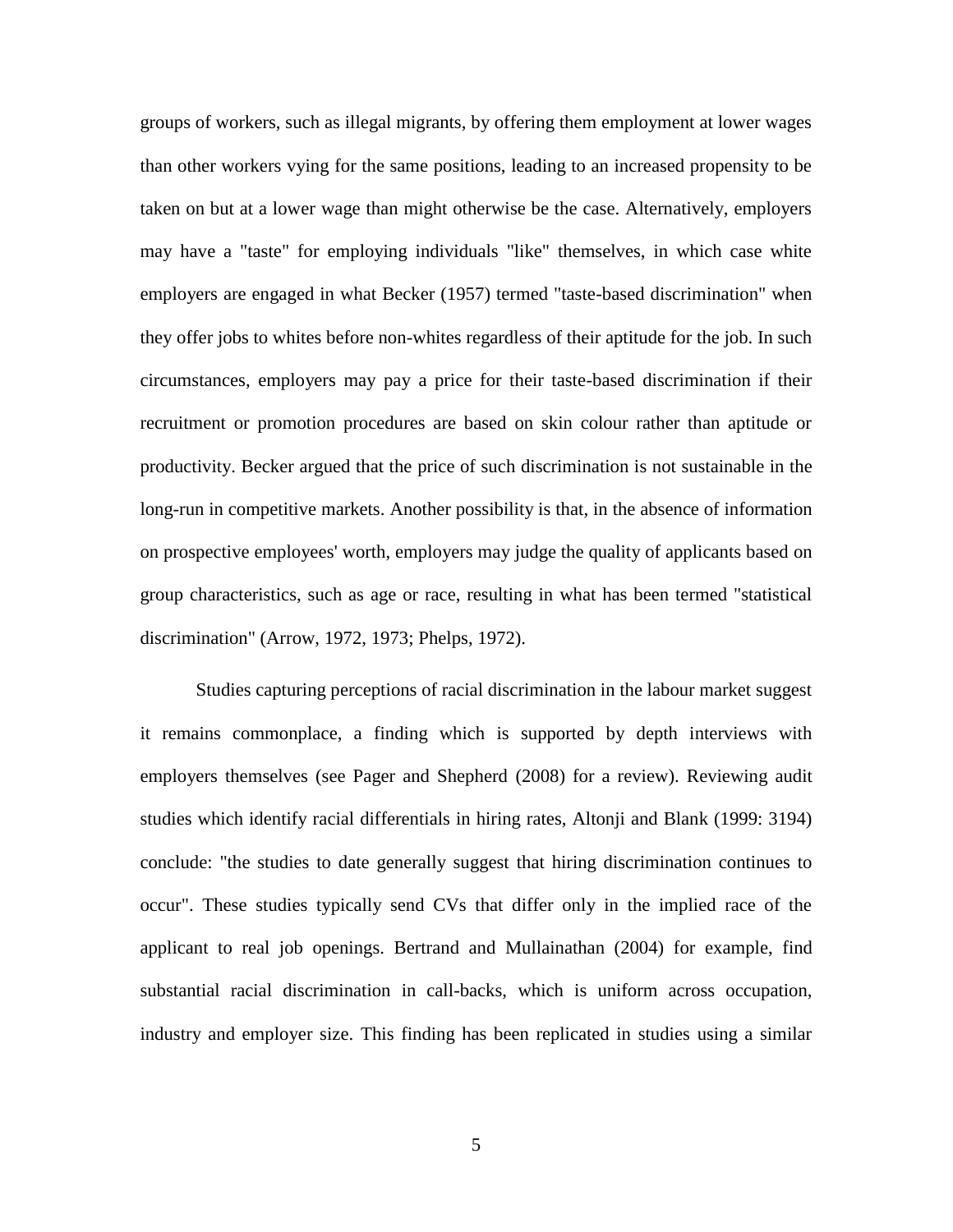groups of workers, such as illegal migrants, by offering them employment at lower wages than other workers vying for the same positions, leading to an increased propensity to be taken on but at a lower wage than might otherwise be the case. Alternatively, employers may have a "taste" for employing individuals "like" themselves, in which case white employers are engaged in what Becker (1957) termed "taste-based discrimination" when they offer jobs to whites before non-whites regardless of their aptitude for the job. In such circumstances, employers may pay a price for their taste-based discrimination if their recruitment or promotion procedures are based on skin colour rather than aptitude or productivity. Becker argued that the price of such discrimination is not sustainable in the long-run in competitive markets. Another possibility is that, in the absence of information on prospective employees' worth, employers may judge the quality of applicants based on group characteristics, such as age or race, resulting in what has been termed "statistical discrimination" (Arrow, 1972, 1973; Phelps, 1972).

Studies capturing perceptions of racial discrimination in the labour market suggest it remains commonplace, a finding which is supported by depth interviews with employers themselves (see Pager and Shepherd (2008) for a review). Reviewing audit studies which identify racial differentials in hiring rates, Altonji and Blank (1999: 3194) conclude: "the studies to date generally suggest that hiring discrimination continues to occur". These studies typically send CVs that differ only in the implied race of the applicant to real job openings. Bertrand and Mullainathan (2004) for example, find substantial racial discrimination in call-backs, which is uniform across occupation, industry and employer size. This finding has been replicated in studies using a similar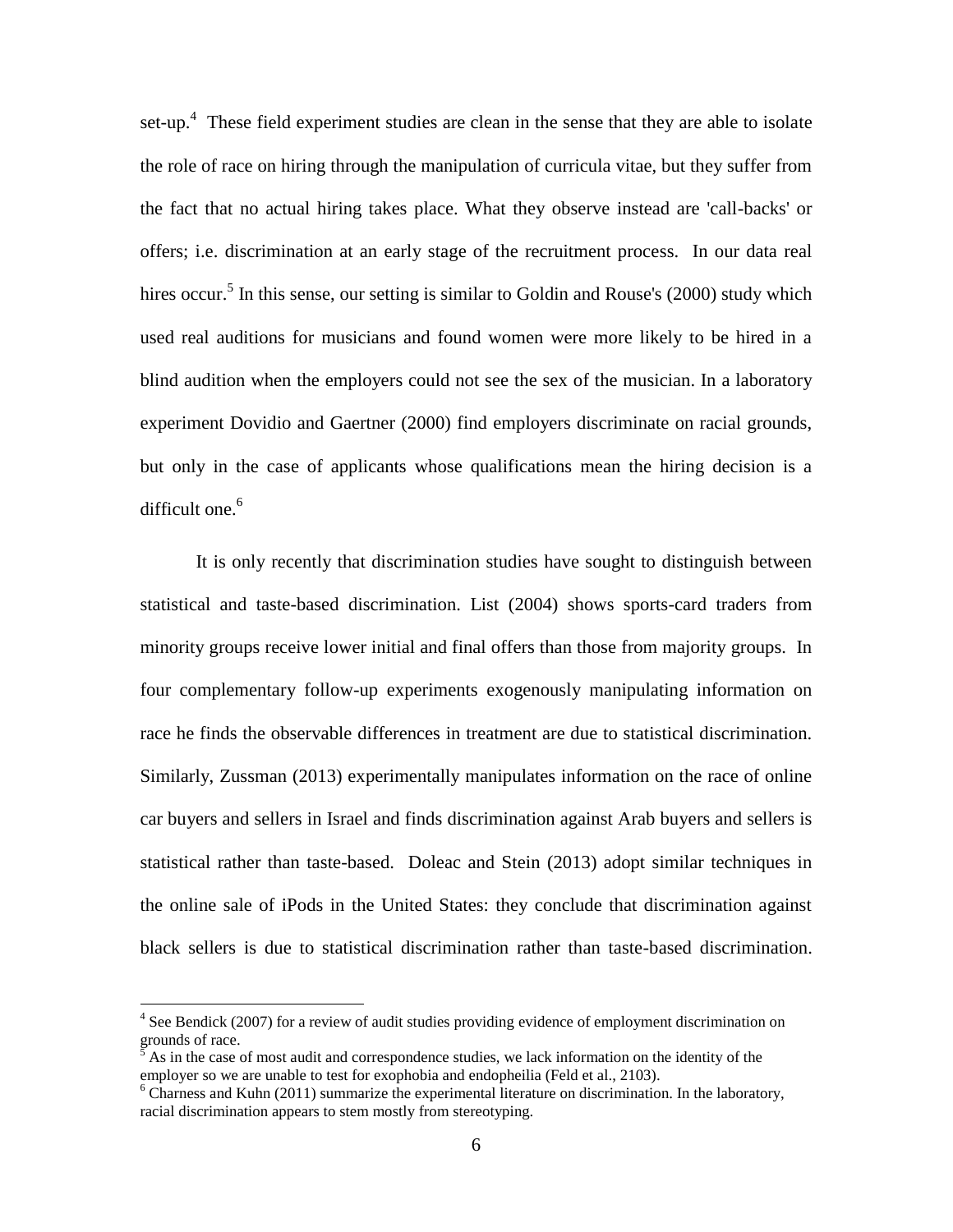set-up.<sup>4</sup> These field experiment studies are clean in the sense that they are able to isolate the role of race on hiring through the manipulation of curricula vitae, but they suffer from the fact that no actual hiring takes place. What they observe instead are 'call-backs' or offers; i.e. discrimination at an early stage of the recruitment process. In our data real hires occur.<sup>5</sup> In this sense, our setting is similar to Goldin and Rouse's (2000) study which used real auditions for musicians and found women were more likely to be hired in a blind audition when the employers could not see the sex of the musician. In a laboratory experiment Dovidio and Gaertner (2000) find employers discriminate on racial grounds, but only in the case of applicants whose qualifications mean the hiring decision is a difficult one. $6$ 

It is only recently that discrimination studies have sought to distinguish between statistical and taste-based discrimination. List (2004) shows sports-card traders from minority groups receive lower initial and final offers than those from majority groups. In four complementary follow-up experiments exogenously manipulating information on race he finds the observable differences in treatment are due to statistical discrimination. Similarly, Zussman (2013) experimentally manipulates information on the race of online car buyers and sellers in Israel and finds discrimination against Arab buyers and sellers is statistical rather than taste-based. Doleac and Stein (2013) adopt similar techniques in the online sale of iPods in the United States: they conclude that discrimination against black sellers is due to statistical discrimination rather than taste-based discrimination.

<sup>&</sup>lt;sup>4</sup> See Bendick (2007) for a review of audit studies providing evidence of employment discrimination on grounds of race.

<sup>5</sup> As in the case of most audit and correspondence studies, we lack information on the identity of the employer so we are unable to test for exophobia and endopheilia (Feld et al., 2103).

<sup>&</sup>lt;sup>6</sup> Charness and Kuhn (2011) summarize the experimental literature on discrimination. In the laboratory, racial discrimination appears to stem mostly from stereotyping.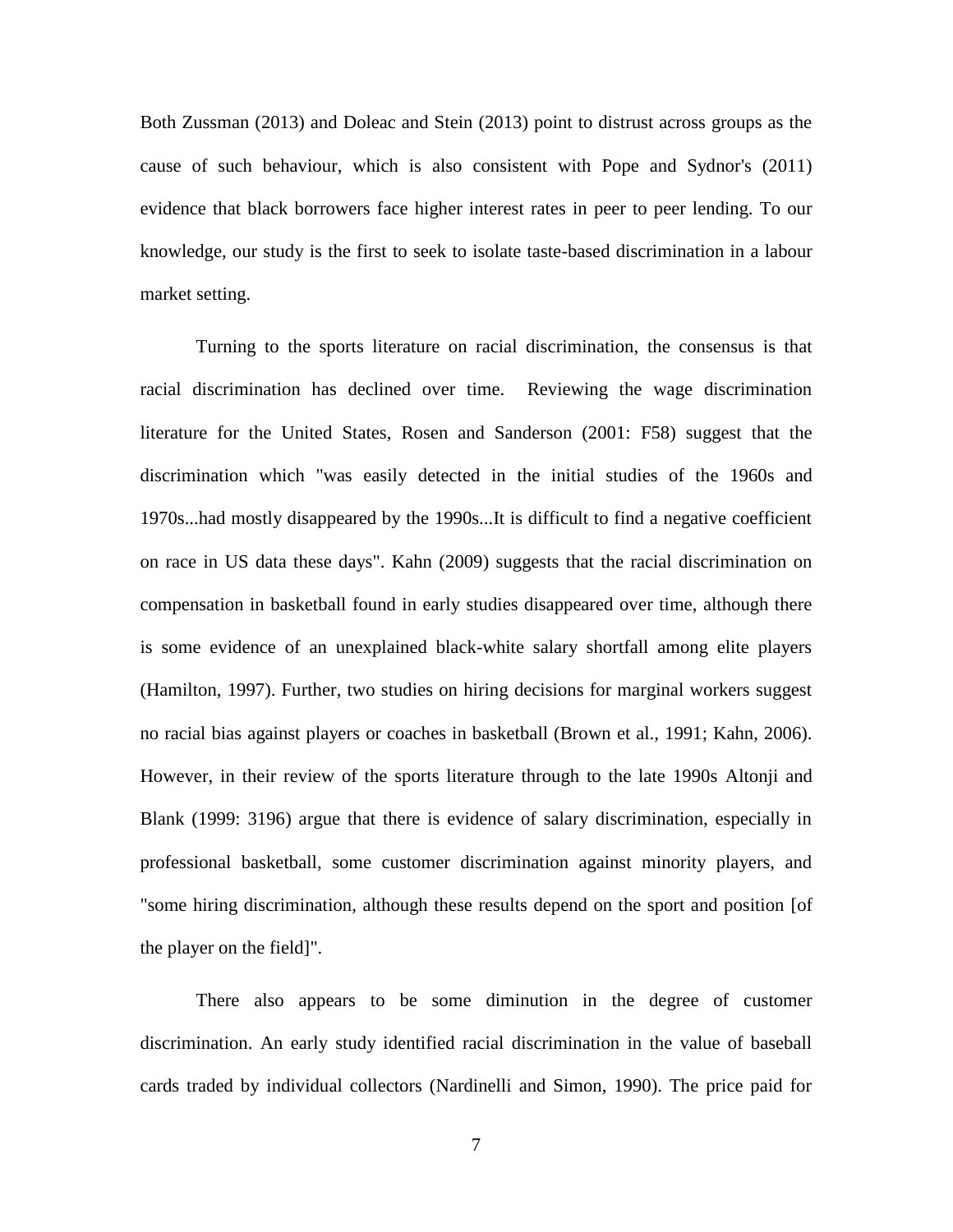Both Zussman (2013) and Doleac and Stein (2013) point to distrust across groups as the cause of such behaviour, which is also consistent with Pope and Sydnor's (2011) evidence that black borrowers face higher interest rates in peer to peer lending. To our knowledge, our study is the first to seek to isolate taste-based discrimination in a labour market setting.

Turning to the sports literature on racial discrimination, the consensus is that racial discrimination has declined over time. Reviewing the wage discrimination literature for the United States, Rosen and Sanderson (2001: F58) suggest that the discrimination which "was easily detected in the initial studies of the 1960s and 1970s...had mostly disappeared by the 1990s...It is difficult to find a negative coefficient on race in US data these days". Kahn (2009) suggests that the racial discrimination on compensation in basketball found in early studies disappeared over time, although there is some evidence of an unexplained black-white salary shortfall among elite players (Hamilton, 1997). Further, two studies on hiring decisions for marginal workers suggest no racial bias against players or coaches in basketball (Brown et al., 1991; Kahn, 2006). However, in their review of the sports literature through to the late 1990s Altonji and Blank (1999: 3196) argue that there is evidence of salary discrimination, especially in professional basketball, some customer discrimination against minority players, and "some hiring discrimination, although these results depend on the sport and position [of the player on the field]".

There also appears to be some diminution in the degree of customer discrimination. An early study identified racial discrimination in the value of baseball cards traded by individual collectors (Nardinelli and Simon, 1990). The price paid for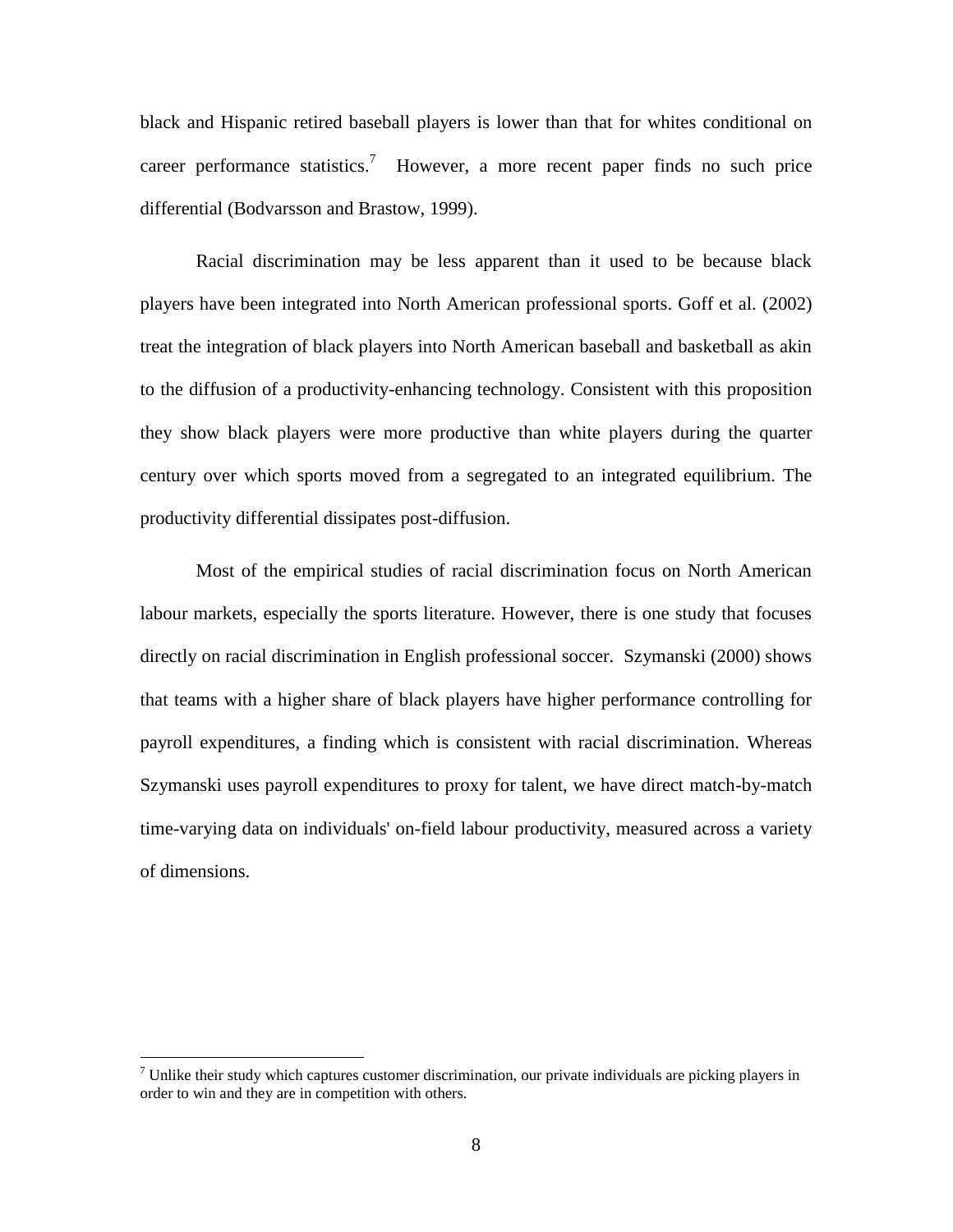black and Hispanic retired baseball players is lower than that for whites conditional on career performance statistics.<sup>7</sup> However, a more recent paper finds no such price differential (Bodvarsson and Brastow, 1999).

Racial discrimination may be less apparent than it used to be because black players have been integrated into North American professional sports. Goff et al. (2002) treat the integration of black players into North American baseball and basketball as akin to the diffusion of a productivity-enhancing technology. Consistent with this proposition they show black players were more productive than white players during the quarter century over which sports moved from a segregated to an integrated equilibrium. The productivity differential dissipates post-diffusion.

Most of the empirical studies of racial discrimination focus on North American labour markets, especially the sports literature. However, there is one study that focuses directly on racial discrimination in English professional soccer. Szymanski (2000) shows that teams with a higher share of black players have higher performance controlling for payroll expenditures, a finding which is consistent with racial discrimination. Whereas Szymanski uses payroll expenditures to proxy for talent, we have direct match-by-match time-varying data on individuals' on-field labour productivity, measured across a variety of dimensions.

 $<sup>7</sup>$  Unlike their study which captures customer discrimination, our private individuals are picking players in</sup> order to win and they are in competition with others.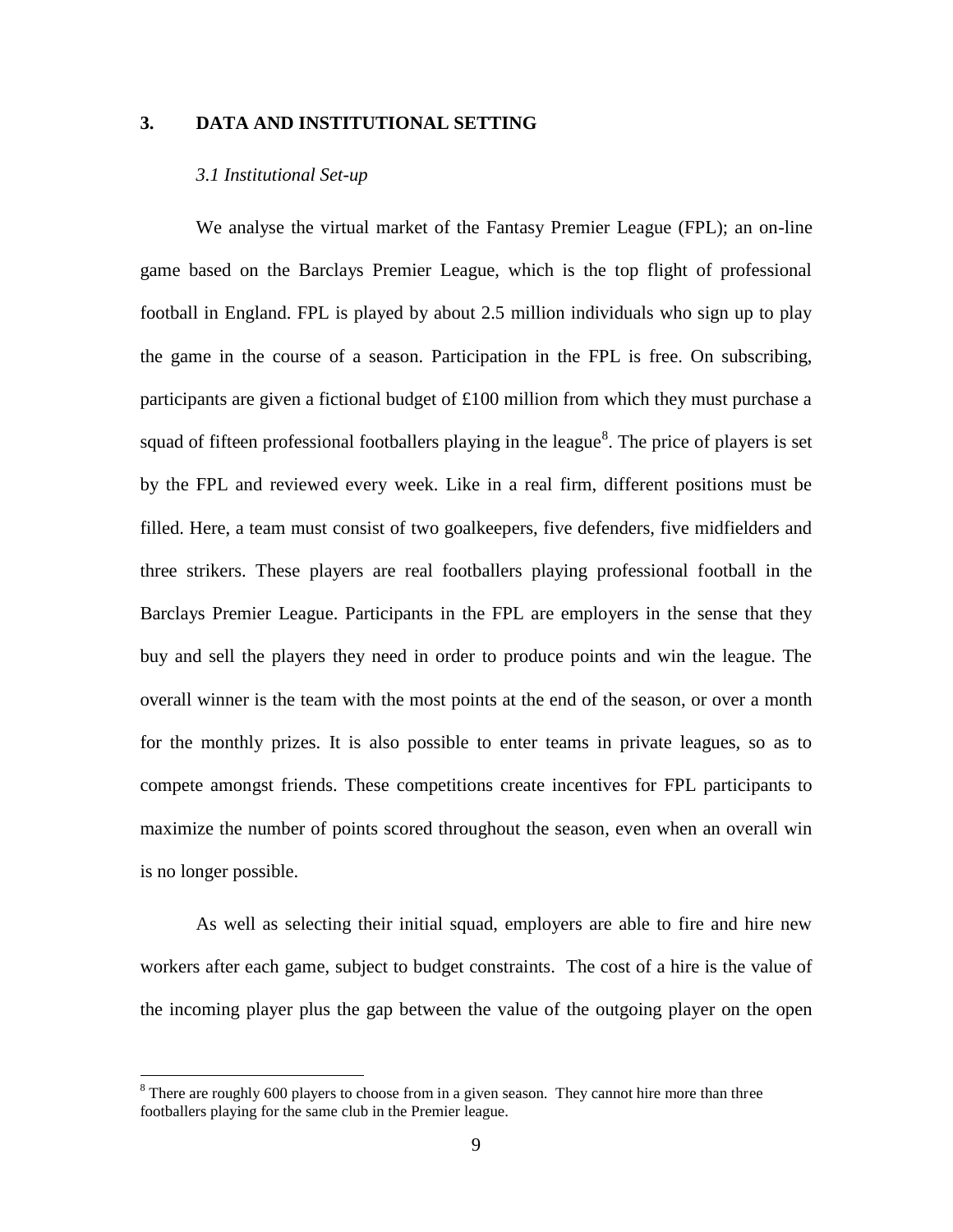#### **3. DATA AND INSTITUTIONAL SETTING**

#### *3.1 Institutional Set-up*

We analyse the virtual market of the Fantasy Premier League (FPL); an on-line game based on the Barclays Premier League, which is the top flight of professional football in England. FPL is played by about 2.5 million individuals who sign up to play the game in the course of a season. Participation in the FPL is free. On subscribing, participants are given a fictional budget of £100 million from which they must purchase a squad of fifteen professional footballers playing in the league<sup>8</sup>. The price of players is set by the FPL and reviewed every week. Like in a real firm, different positions must be filled. Here, a team must consist of two goalkeepers, five defenders, five midfielders and three strikers. These players are real footballers playing professional football in the Barclays Premier League. Participants in the FPL are employers in the sense that they buy and sell the players they need in order to produce points and win the league. The overall winner is the team with the most points at the end of the season, or over a month for the monthly prizes. It is also possible to enter teams in private leagues, so as to compete amongst friends. These competitions create incentives for FPL participants to maximize the number of points scored throughout the season, even when an overall win is no longer possible.

As well as selecting their initial squad, employers are able to fire and hire new workers after each game, subject to budget constraints. The cost of a hire is the value of the incoming player plus the gap between the value of the outgoing player on the open

<sup>&</sup>lt;sup>8</sup> There are roughly 600 players to choose from in a given season. They cannot hire more than three footballers playing for the same club in the Premier league.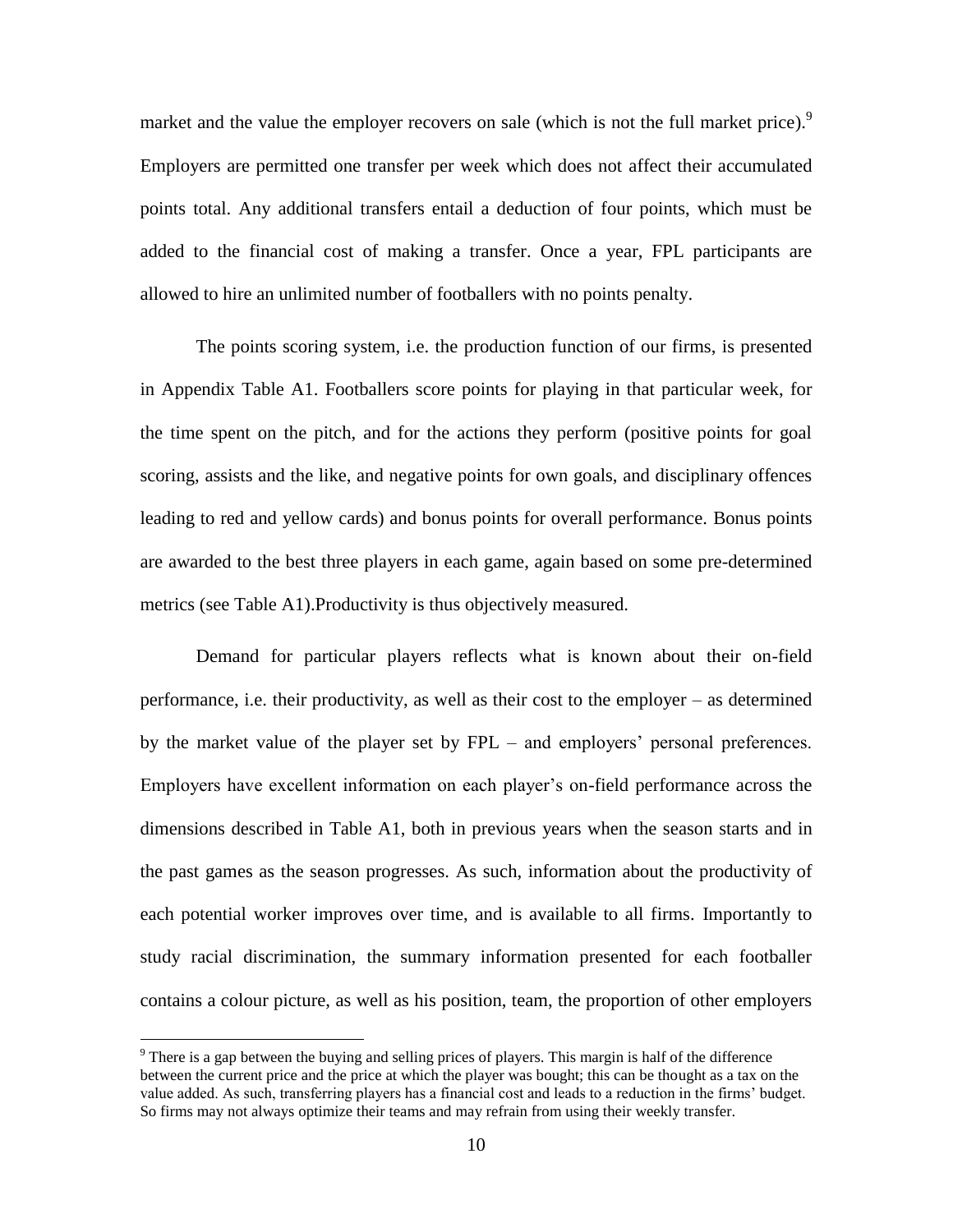market and the value the employer recovers on sale (which is not the full market price).<sup>9</sup> Employers are permitted one transfer per week which does not affect their accumulated points total. Any additional transfers entail a deduction of four points, which must be added to the financial cost of making a transfer. Once a year, FPL participants are allowed to hire an unlimited number of footballers with no points penalty.

The points scoring system, i.e. the production function of our firms, is presented in Appendix Table A1. Footballers score points for playing in that particular week, for the time spent on the pitch, and for the actions they perform (positive points for goal scoring, assists and the like, and negative points for own goals, and disciplinary offences leading to red and yellow cards) and bonus points for overall performance. Bonus points are awarded to the best three players in each game, again based on some pre-determined metrics (see Table A1).Productivity is thus objectively measured.

Demand for particular players reflects what is known about their on-field performance, i.e. their productivity, as well as their cost to the employer – as determined by the market value of the player set by FPL – and employers' personal preferences. Employers have excellent information on each player's on-field performance across the dimensions described in Table A1, both in previous years when the season starts and in the past games as the season progresses. As such, information about the productivity of each potential worker improves over time, and is available to all firms. Importantly to study racial discrimination, the summary information presented for each footballer contains a colour picture, as well as his position, team, the proportion of other employers

 $9$  There is a gap between the buying and selling prices of players. This margin is half of the difference between the current price and the price at which the player was bought; this can be thought as a tax on the value added. As such, transferring players has a financial cost and leads to a reduction in the firms' budget. So firms may not always optimize their teams and may refrain from using their weekly transfer.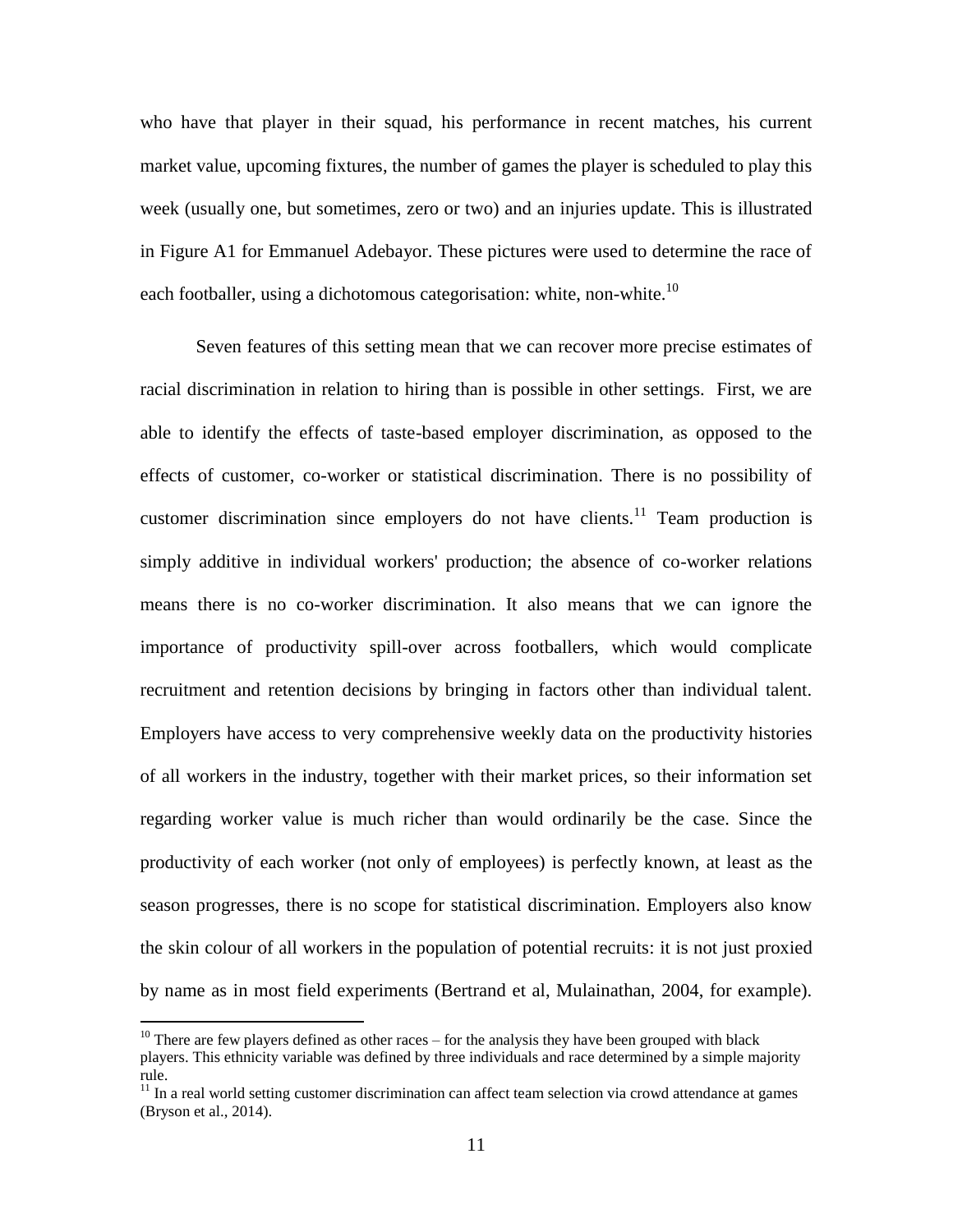who have that player in their squad, his performance in recent matches, his current market value, upcoming fixtures, the number of games the player is scheduled to play this week (usually one, but sometimes, zero or two) and an injuries update. This is illustrated in Figure A1 for Emmanuel Adebayor. These pictures were used to determine the race of each footballer, using a dichotomous categorisation: white, non-white.<sup>10</sup>

Seven features of this setting mean that we can recover more precise estimates of racial discrimination in relation to hiring than is possible in other settings. First, we are able to identify the effects of taste-based employer discrimination, as opposed to the effects of customer, co-worker or statistical discrimination. There is no possibility of customer discrimination since employers do not have clients.<sup>11</sup> Team production is simply additive in individual workers' production; the absence of co-worker relations means there is no co-worker discrimination. It also means that we can ignore the importance of productivity spill-over across footballers, which would complicate recruitment and retention decisions by bringing in factors other than individual talent. Employers have access to very comprehensive weekly data on the productivity histories of all workers in the industry, together with their market prices, so their information set regarding worker value is much richer than would ordinarily be the case. Since the productivity of each worker (not only of employees) is perfectly known, at least as the season progresses, there is no scope for statistical discrimination. Employers also know the skin colour of all workers in the population of potential recruits: it is not just proxied by name as in most field experiments (Bertrand et al, Mulainathan, 2004, for example).

 $10$  There are few players defined as other races – for the analysis they have been grouped with black players. This ethnicity variable was defined by three individuals and race determined by a simple majority rule.

 $11$  In a real world setting customer discrimination can affect team selection via crowd attendance at games (Bryson et al., 2014).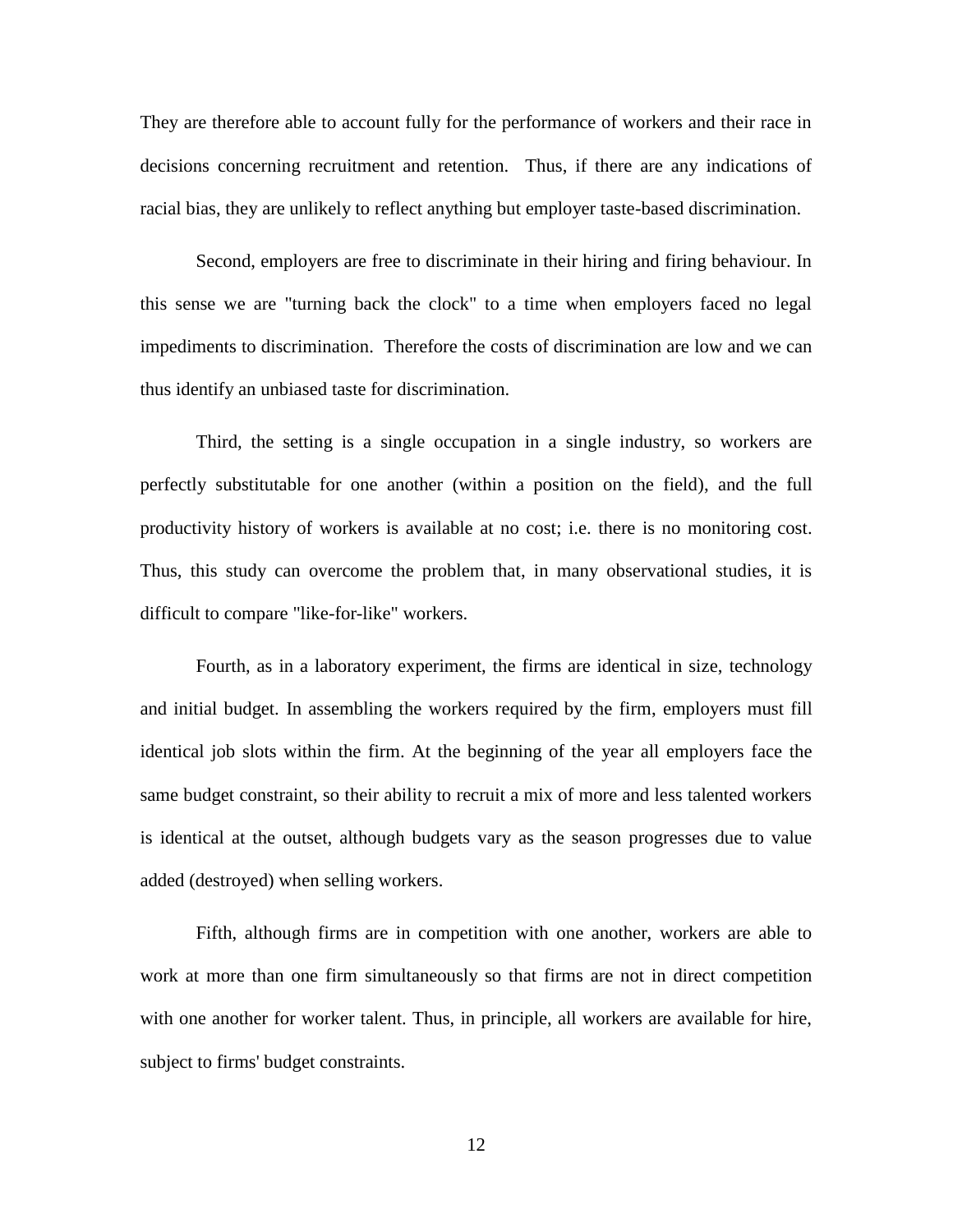They are therefore able to account fully for the performance of workers and their race in decisions concerning recruitment and retention. Thus, if there are any indications of racial bias, they are unlikely to reflect anything but employer taste-based discrimination.

Second, employers are free to discriminate in their hiring and firing behaviour. In this sense we are "turning back the clock" to a time when employers faced no legal impediments to discrimination. Therefore the costs of discrimination are low and we can thus identify an unbiased taste for discrimination.

Third, the setting is a single occupation in a single industry, so workers are perfectly substitutable for one another (within a position on the field), and the full productivity history of workers is available at no cost; i.e. there is no monitoring cost. Thus, this study can overcome the problem that, in many observational studies, it is difficult to compare "like-for-like" workers.

Fourth, as in a laboratory experiment, the firms are identical in size, technology and initial budget. In assembling the workers required by the firm, employers must fill identical job slots within the firm. At the beginning of the year all employers face the same budget constraint, so their ability to recruit a mix of more and less talented workers is identical at the outset, although budgets vary as the season progresses due to value added (destroyed) when selling workers.

Fifth, although firms are in competition with one another, workers are able to work at more than one firm simultaneously so that firms are not in direct competition with one another for worker talent. Thus, in principle, all workers are available for hire, subject to firms' budget constraints.

12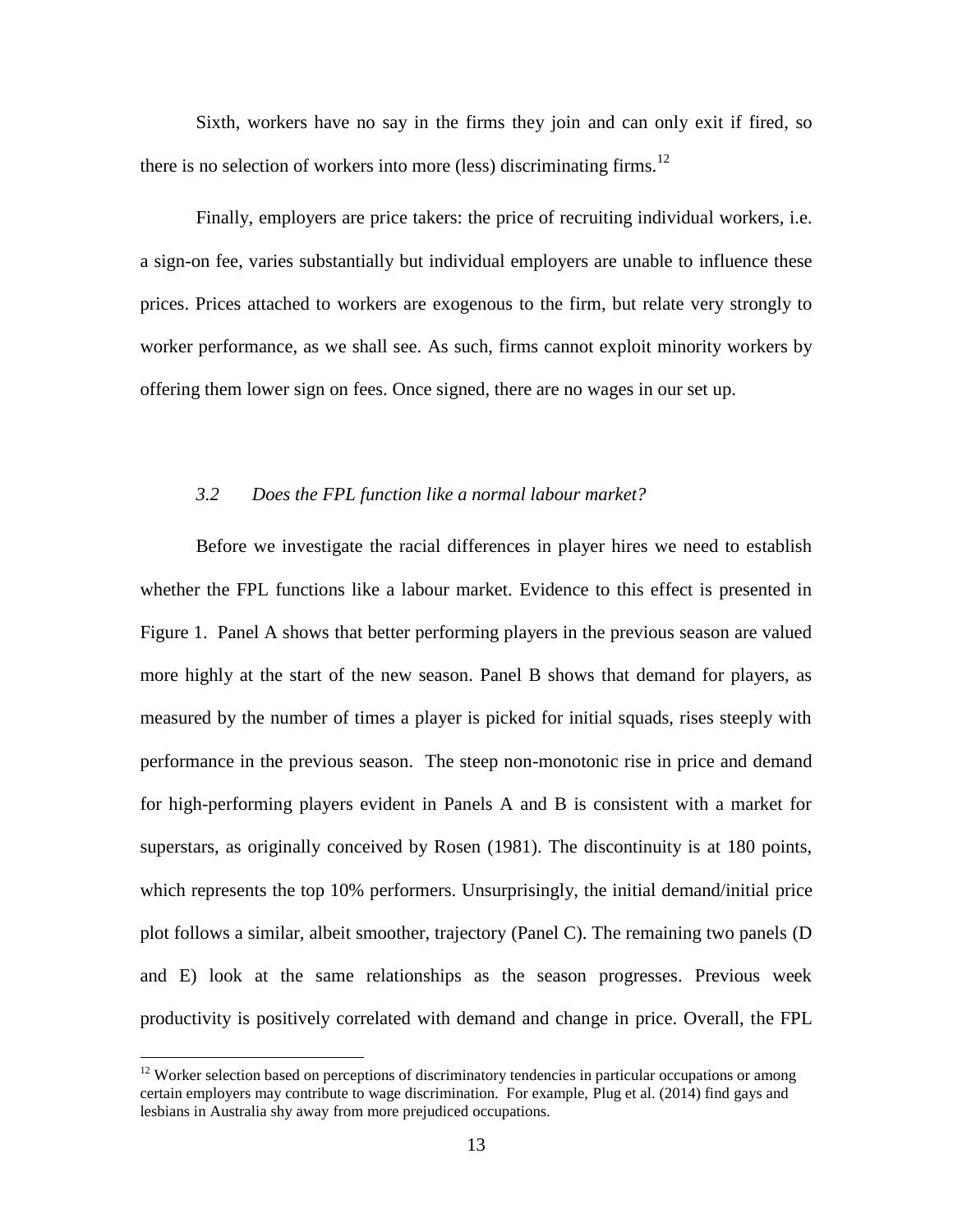Sixth, workers have no say in the firms they join and can only exit if fired, so there is no selection of workers into more (less) discriminating firms.<sup>12</sup>

Finally, employers are price takers: the price of recruiting individual workers, i.e. a sign-on fee, varies substantially but individual employers are unable to influence these prices. Prices attached to workers are exogenous to the firm, but relate very strongly to worker performance, as we shall see. As such, firms cannot exploit minority workers by offering them lower sign on fees. Once signed, there are no wages in our set up.

#### *3.2 Does the FPL function like a normal labour market?*

Before we investigate the racial differences in player hires we need to establish whether the FPL functions like a labour market. Evidence to this effect is presented in Figure 1. Panel A shows that better performing players in the previous season are valued more highly at the start of the new season. Panel B shows that demand for players, as measured by the number of times a player is picked for initial squads, rises steeply with performance in the previous season. The steep non-monotonic rise in price and demand for high-performing players evident in Panels A and B is consistent with a market for superstars, as originally conceived by Rosen (1981). The discontinuity is at 180 points, which represents the top 10% performers. Unsurprisingly, the initial demand/initial price plot follows a similar, albeit smoother, trajectory (Panel C). The remaining two panels (D and E) look at the same relationships as the season progresses. Previous week productivity is positively correlated with demand and change in price. Overall, the FPL

<sup>&</sup>lt;sup>12</sup> Worker selection based on perceptions of discriminatory tendencies in particular occupations or among certain employers may contribute to wage discrimination. For example, Plug et al. (2014) find gays and lesbians in Australia shy away from more prejudiced occupations.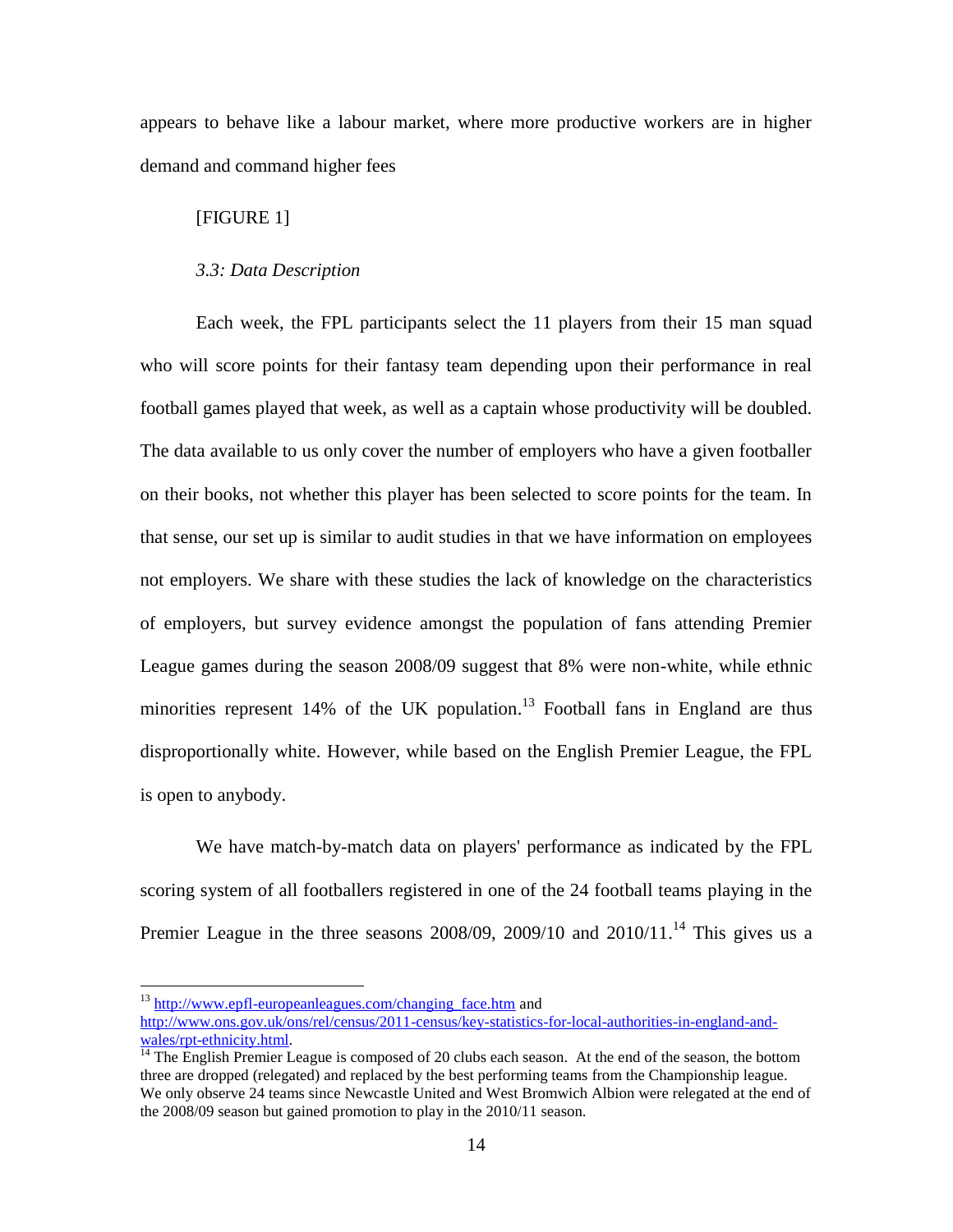appears to behave like a labour market, where more productive workers are in higher demand and command higher fees

#### [FIGURE 1]

 $\overline{a}$ 

#### *3.3: Data Description*

Each week, the FPL participants select the 11 players from their 15 man squad who will score points for their fantasy team depending upon their performance in real football games played that week, as well as a captain whose productivity will be doubled. The data available to us only cover the number of employers who have a given footballer on their books, not whether this player has been selected to score points for the team. In that sense, our set up is similar to audit studies in that we have information on employees not employers. We share with these studies the lack of knowledge on the characteristics of employers, but survey evidence amongst the population of fans attending Premier League games during the season 2008/09 suggest that 8% were non-white, while ethnic minorities represent  $14\%$  of the UK population.<sup>13</sup> Football fans in England are thus disproportionally white. However, while based on the English Premier League, the FPL is open to anybody.

We have match-by-match data on players' performance as indicated by the FPL scoring system of all footballers registered in one of the 24 football teams playing in the Premier League in the three seasons  $2008/09$ ,  $2009/10$  and  $2010/11$ .<sup>14</sup> This gives us a

 $^{13}$  http://www.epfl-europeanleagues.com/changing face.htm and [http://www.ons.gov.uk/ons/rel/census/2011-census/key-statistics-for-local-authorities-in-england-and](http://www.ons.gov.uk/ons/rel/census/2011-census/key-statistics-for-local-authorities-in-england-and-wales/rpt-ethnicity.html)[wales/rpt-ethnicity.html.](http://www.ons.gov.uk/ons/rel/census/2011-census/key-statistics-for-local-authorities-in-england-and-wales/rpt-ethnicity.html)

 $14$ <sup>14</sup> The English Premier League is composed of 20 clubs each season. At the end of the season, the bottom three are dropped (relegated) and replaced by the best performing teams from the Championship league. We only observe 24 teams since Newcastle United and West Bromwich Albion were relegated at the end of the 2008/09 season but gained promotion to play in the 2010/11 season.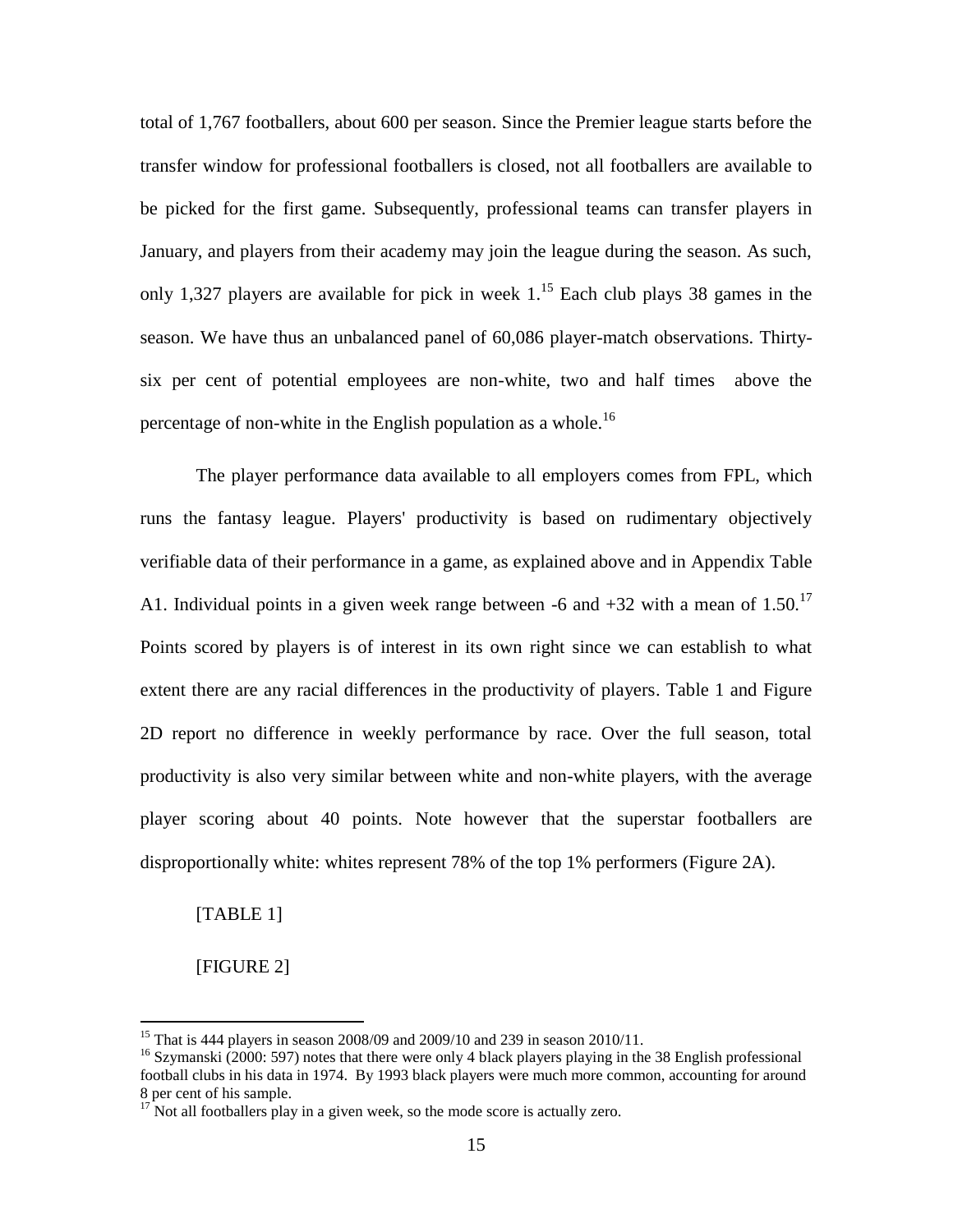total of 1,767 footballers, about 600 per season. Since the Premier league starts before the transfer window for professional footballers is closed, not all footballers are available to be picked for the first game. Subsequently, professional teams can transfer players in January, and players from their academy may join the league during the season. As such, only 1,327 players are available for pick in week  $1<sup>15</sup>$  Each club plays 38 games in the season. We have thus an unbalanced panel of 60,086 player-match observations. Thirtysix per cent of potential employees are non-white, two and half times above the percentage of non-white in the English population as a whole.<sup>16</sup>

The player performance data available to all employers comes from FPL, which runs the fantasy league. Players' productivity is based on rudimentary objectively verifiable data of their performance in a game, as explained above and in Appendix Table A1. Individual points in a given week range between  $-6$  and  $+32$  with a mean of  $1.50$ .<sup>17</sup> Points scored by players is of interest in its own right since we can establish to what extent there are any racial differences in the productivity of players. Table 1 and Figure 2D report no difference in weekly performance by race. Over the full season, total productivity is also very similar between white and non-white players, with the average player scoring about 40 points. Note however that the superstar footballers are disproportionally white: whites represent 78% of the top 1% performers (Figure 2A).

[TABLE 1]

[FIGURE 2]

<sup>&</sup>lt;sup>15</sup> That is 444 players in season 2008/09 and 2009/10 and 239 in season 2010/11.

<sup>&</sup>lt;sup>16</sup> Szymanski (2000: 597) notes that there were only 4 black players playing in the 38 English professional football clubs in his data in 1974. By 1993 black players were much more common, accounting for around 8 per cent of his sample.

 $17$  Not all footballers play in a given week, so the mode score is actually zero.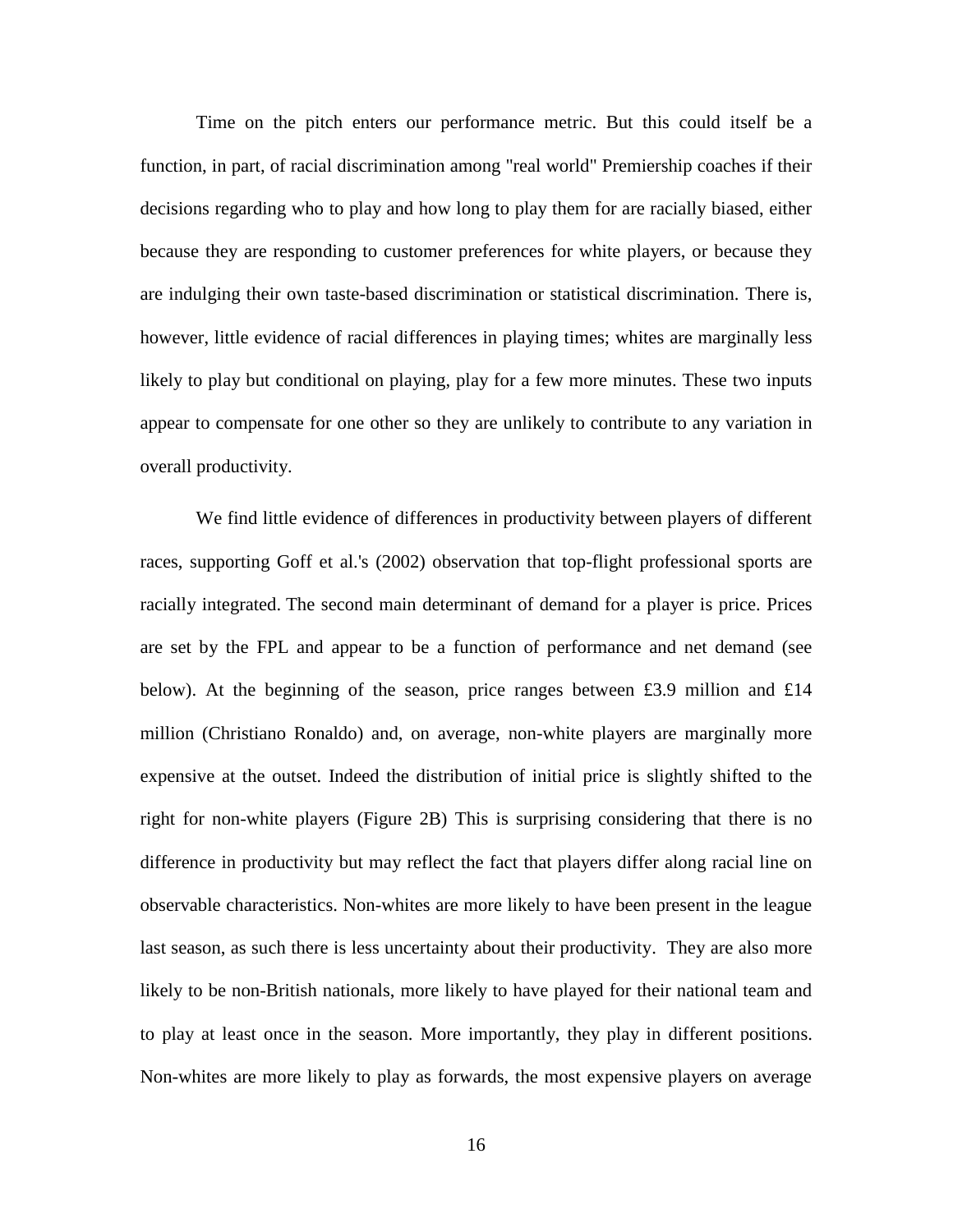Time on the pitch enters our performance metric. But this could itself be a function, in part, of racial discrimination among "real world" Premiership coaches if their decisions regarding who to play and how long to play them for are racially biased, either because they are responding to customer preferences for white players, or because they are indulging their own taste-based discrimination or statistical discrimination. There is, however, little evidence of racial differences in playing times; whites are marginally less likely to play but conditional on playing, play for a few more minutes. These two inputs appear to compensate for one other so they are unlikely to contribute to any variation in overall productivity.

We find little evidence of differences in productivity between players of different races, supporting Goff et al.'s (2002) observation that top-flight professional sports are racially integrated. The second main determinant of demand for a player is price. Prices are set by the FPL and appear to be a function of performance and net demand (see below). At the beginning of the season, price ranges between £3.9 million and £14 million (Christiano Ronaldo) and, on average, non-white players are marginally more expensive at the outset. Indeed the distribution of initial price is slightly shifted to the right for non-white players (Figure 2B) This is surprising considering that there is no difference in productivity but may reflect the fact that players differ along racial line on observable characteristics. Non-whites are more likely to have been present in the league last season, as such there is less uncertainty about their productivity. They are also more likely to be non-British nationals, more likely to have played for their national team and to play at least once in the season. More importantly, they play in different positions. Non-whites are more likely to play as forwards, the most expensive players on average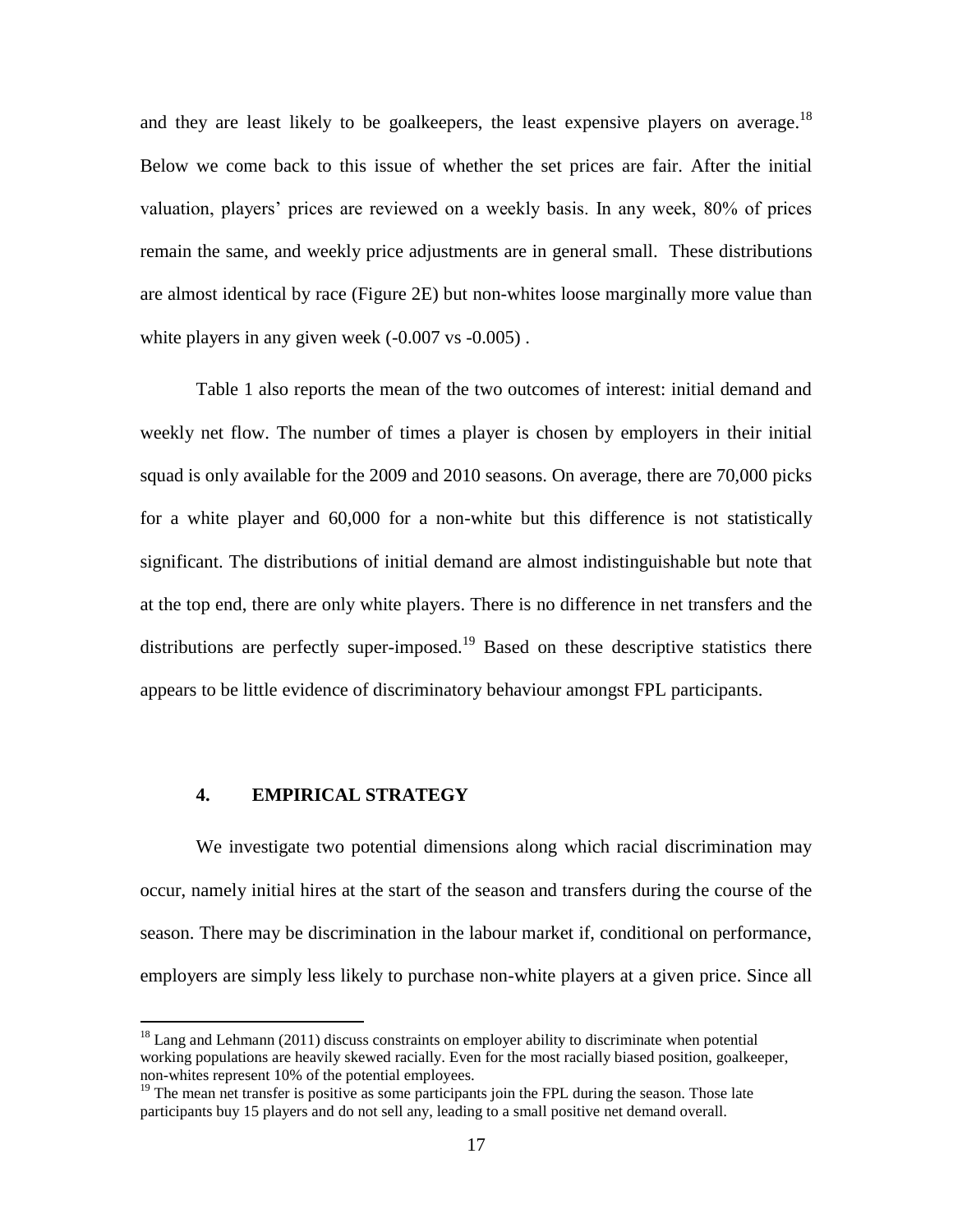and they are least likely to be goalkeepers, the least expensive players on average.<sup>18</sup> Below we come back to this issue of whether the set prices are fair. After the initial valuation, players' prices are reviewed on a weekly basis. In any week, 80% of prices remain the same, and weekly price adjustments are in general small. These distributions are almost identical by race (Figure 2E) but non-whites loose marginally more value than white players in any given week  $(-0.007 \text{ vs } -0.005)$ .

Table 1 also reports the mean of the two outcomes of interest: initial demand and weekly net flow. The number of times a player is chosen by employers in their initial squad is only available for the 2009 and 2010 seasons. On average, there are 70,000 picks for a white player and 60,000 for a non-white but this difference is not statistically significant. The distributions of initial demand are almost indistinguishable but note that at the top end, there are only white players. There is no difference in net transfers and the distributions are perfectly super-imposed.<sup>19</sup> Based on these descriptive statistics there appears to be little evidence of discriminatory behaviour amongst FPL participants.

#### **4. EMPIRICAL STRATEGY**

 $\overline{a}$ 

We investigate two potential dimensions along which racial discrimination may occur, namely initial hires at the start of the season and transfers during the course of the season. There may be discrimination in the labour market if, conditional on performance, employers are simply less likely to purchase non-white players at a given price. Since all

 $18$  Lang and Lehmann (2011) discuss constraints on employer ability to discriminate when potential working populations are heavily skewed racially. Even for the most racially biased position, goalkeeper, non-whites represent 10% of the potential employees.

<sup>&</sup>lt;sup>19</sup> The mean net transfer is positive as some participants join the FPL during the season. Those late participants buy 15 players and do not sell any, leading to a small positive net demand overall.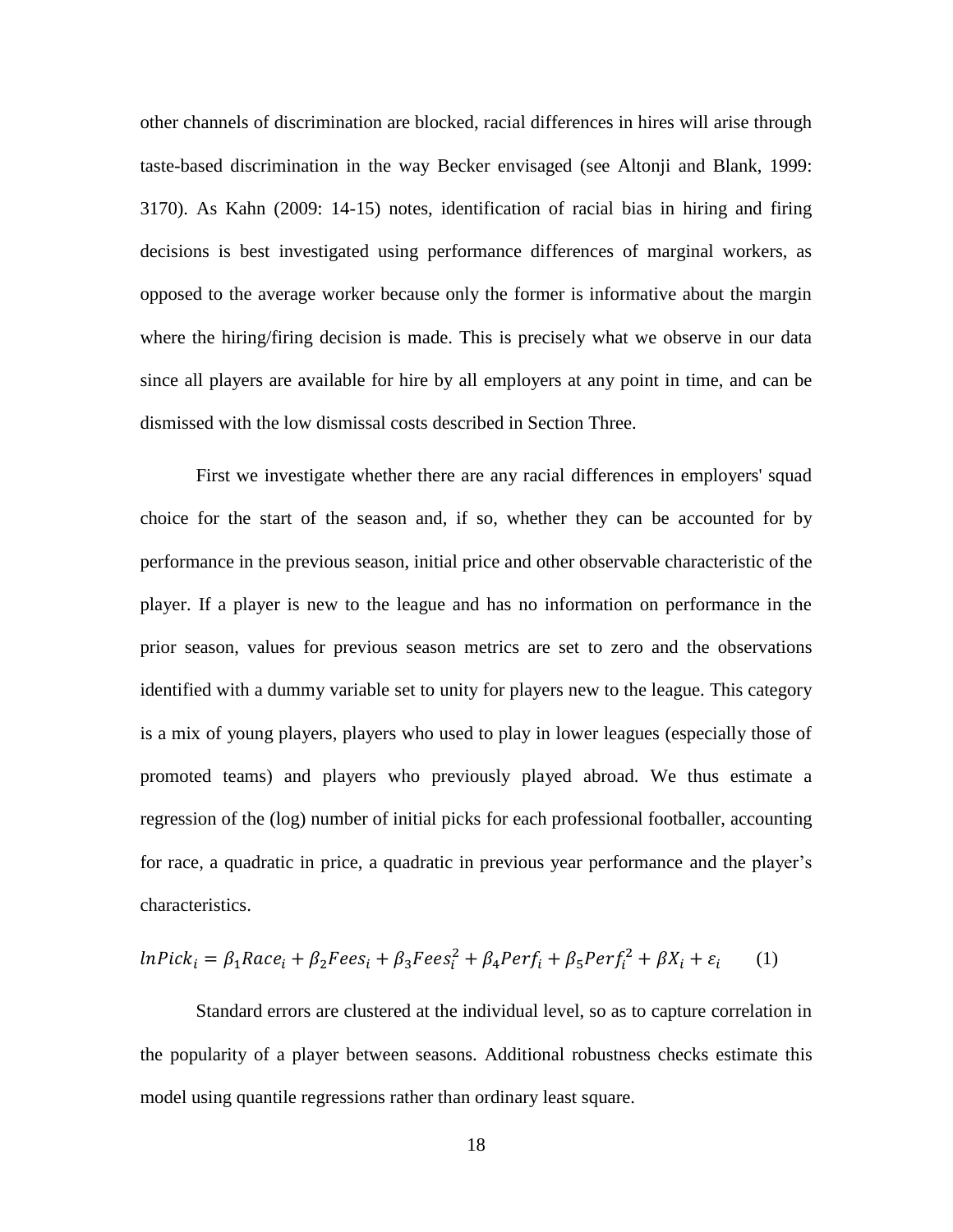other channels of discrimination are blocked, racial differences in hires will arise through taste-based discrimination in the way Becker envisaged (see Altonji and Blank, 1999: 3170). As Kahn (2009: 14-15) notes, identification of racial bias in hiring and firing decisions is best investigated using performance differences of marginal workers, as opposed to the average worker because only the former is informative about the margin where the hiring/firing decision is made. This is precisely what we observe in our data since all players are available for hire by all employers at any point in time, and can be dismissed with the low dismissal costs described in Section Three.

First we investigate whether there are any racial differences in employers' squad choice for the start of the season and, if so, whether they can be accounted for by performance in the previous season, initial price and other observable characteristic of the player. If a player is new to the league and has no information on performance in the prior season, values for previous season metrics are set to zero and the observations identified with a dummy variable set to unity for players new to the league. This category is a mix of young players, players who used to play in lower leagues (especially those of promoted teams) and players who previously played abroad. We thus estimate a regression of the (log) number of initial picks for each professional footballer, accounting for race, a quadratic in price, a quadratic in previous year performance and the player's characteristics.

$$
lnPick_i = \beta_1 Race_i + \beta_2 Fees_i + \beta_3 Fees_i^2 + \beta_4 Perf_i + \beta_5 Perf_i^2 + \beta X_i + \varepsilon_i
$$
 (1)

Standard errors are clustered at the individual level, so as to capture correlation in the popularity of a player between seasons. Additional robustness checks estimate this model using quantile regressions rather than ordinary least square.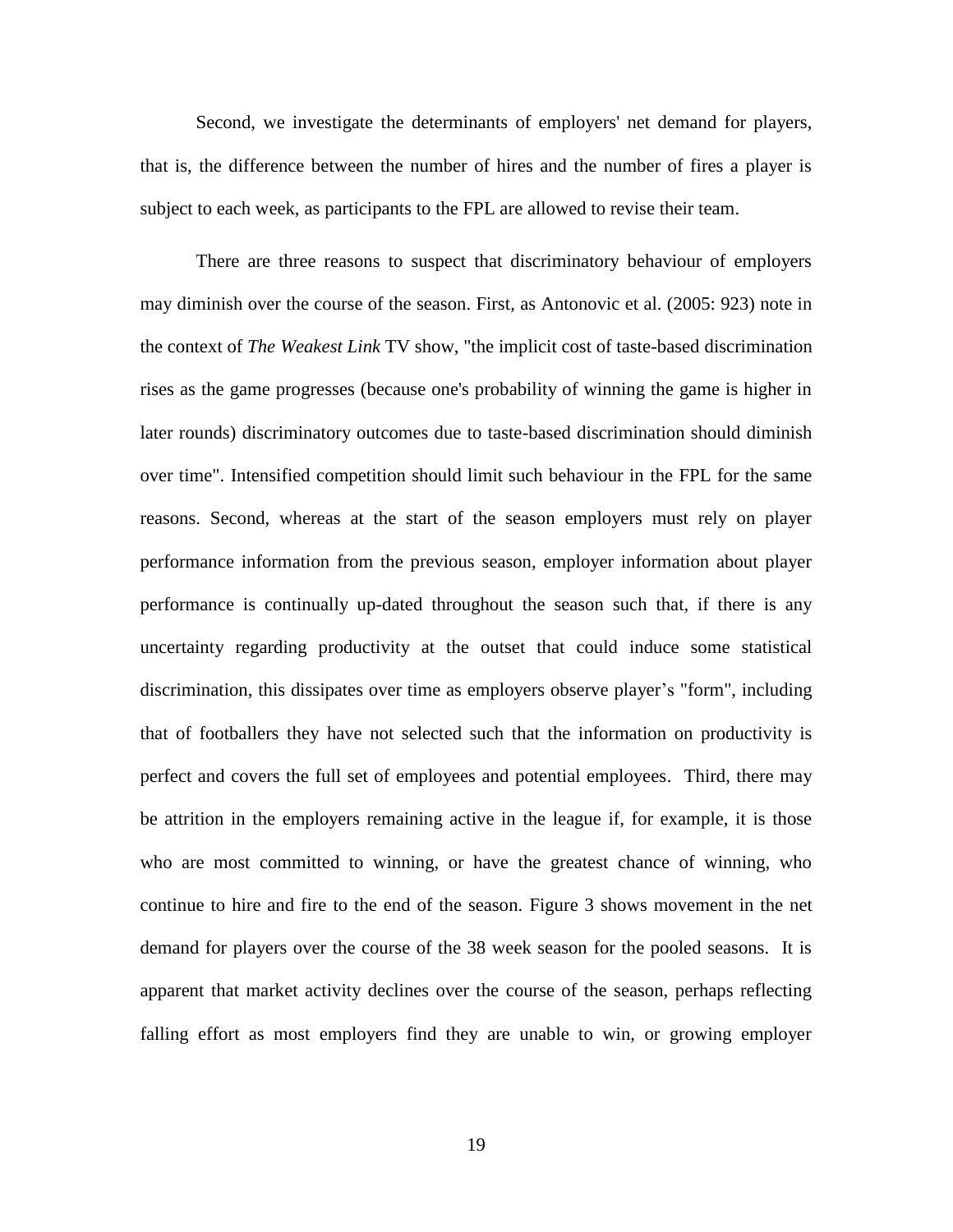Second, we investigate the determinants of employers' net demand for players, that is, the difference between the number of hires and the number of fires a player is subject to each week, as participants to the FPL are allowed to revise their team.

There are three reasons to suspect that discriminatory behaviour of employers may diminish over the course of the season. First, as Antonovic et al. (2005: 923) note in the context of *The Weakest Link* TV show, "the implicit cost of taste-based discrimination rises as the game progresses (because one's probability of winning the game is higher in later rounds) discriminatory outcomes due to taste-based discrimination should diminish over time". Intensified competition should limit such behaviour in the FPL for the same reasons. Second, whereas at the start of the season employers must rely on player performance information from the previous season, employer information about player performance is continually up-dated throughout the season such that, if there is any uncertainty regarding productivity at the outset that could induce some statistical discrimination, this dissipates over time as employers observe player's "form", including that of footballers they have not selected such that the information on productivity is perfect and covers the full set of employees and potential employees. Third, there may be attrition in the employers remaining active in the league if, for example, it is those who are most committed to winning, or have the greatest chance of winning, who continue to hire and fire to the end of the season. Figure 3 shows movement in the net demand for players over the course of the 38 week season for the pooled seasons. It is apparent that market activity declines over the course of the season, perhaps reflecting falling effort as most employers find they are unable to win, or growing employer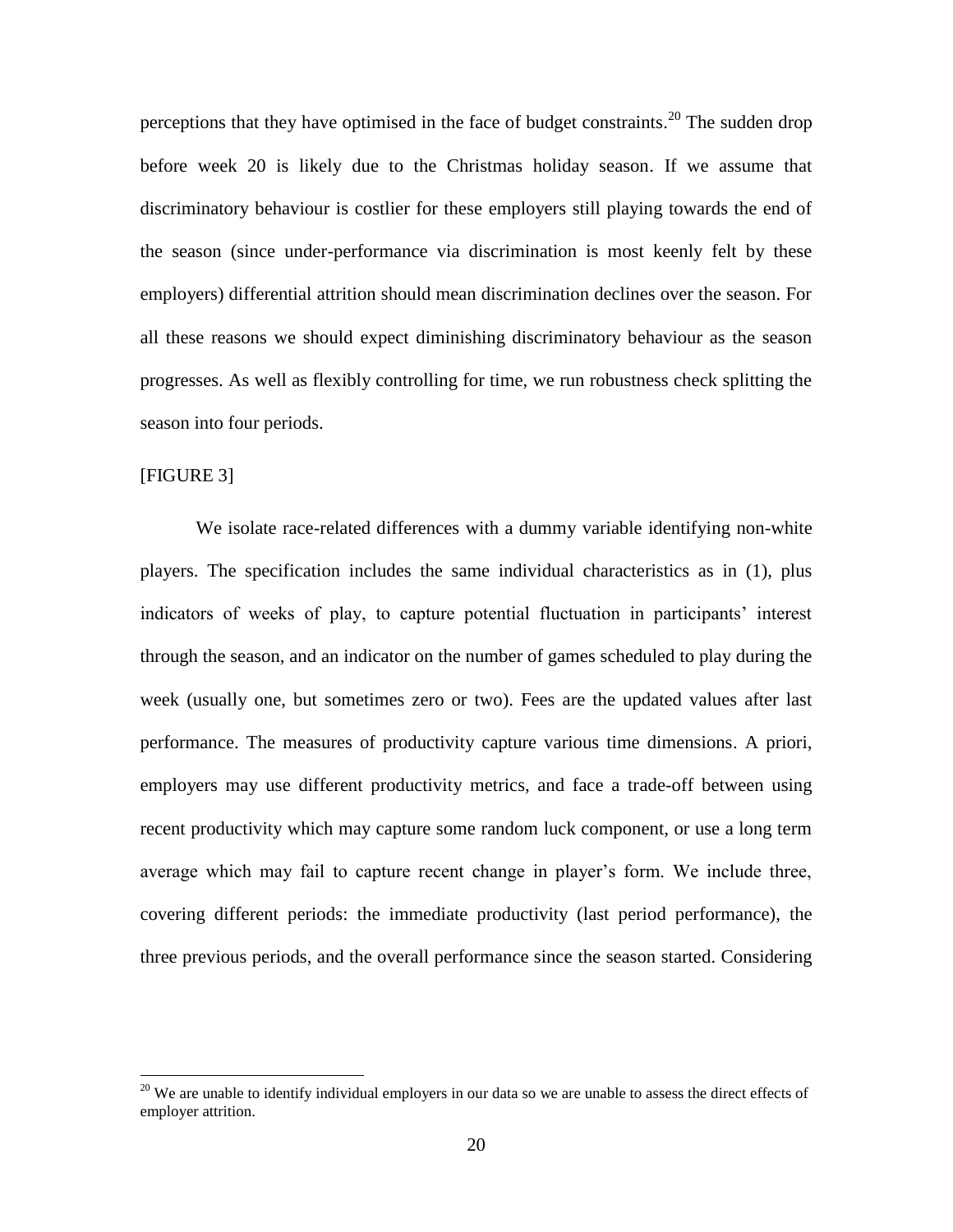perceptions that they have optimised in the face of budget constraints.<sup>20</sup> The sudden drop before week 20 is likely due to the Christmas holiday season. If we assume that discriminatory behaviour is costlier for these employers still playing towards the end of the season (since under-performance via discrimination is most keenly felt by these employers) differential attrition should mean discrimination declines over the season. For all these reasons we should expect diminishing discriminatory behaviour as the season progresses. As well as flexibly controlling for time, we run robustness check splitting the season into four periods.

#### [FIGURE 3]

 $\overline{a}$ 

We isolate race-related differences with a dummy variable identifying non-white players. The specification includes the same individual characteristics as in (1), plus indicators of weeks of play, to capture potential fluctuation in participants' interest through the season, and an indicator on the number of games scheduled to play during the week (usually one, but sometimes zero or two). Fees are the updated values after last performance. The measures of productivity capture various time dimensions. A priori, employers may use different productivity metrics, and face a trade-off between using recent productivity which may capture some random luck component, or use a long term average which may fail to capture recent change in player's form. We include three, covering different periods: the immediate productivity (last period performance), the three previous periods, and the overall performance since the season started. Considering

 $20$  We are unable to identify individual employers in our data so we are unable to assess the direct effects of employer attrition.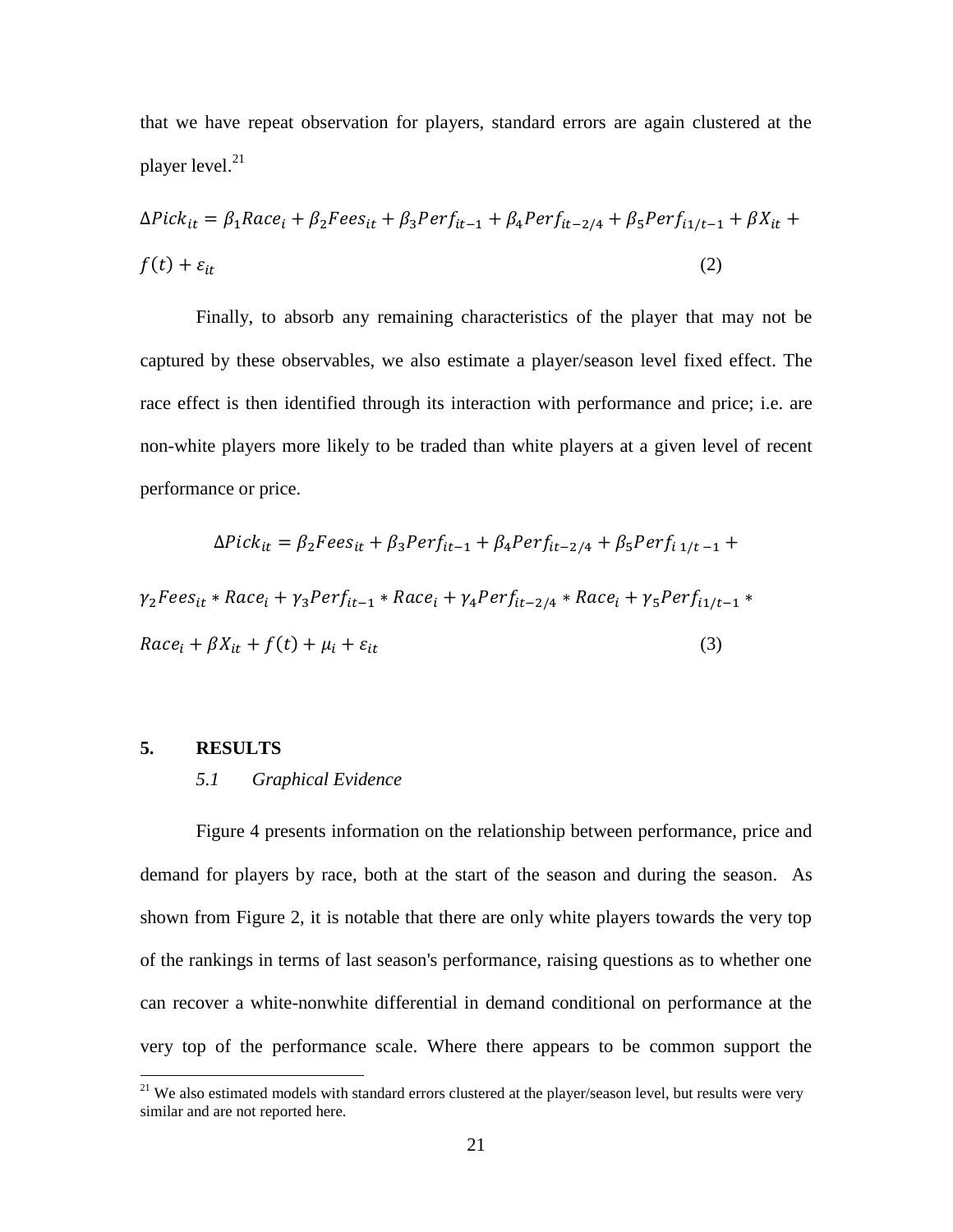that we have repeat observation for players, standard errors are again clustered at the player level. 21

$$
\Delta Pick_{it} = \beta_1 Race_i + \beta_2 Fees_{it} + \beta_3 Perf_{it-1} + \beta_4 Perf_{it-2/4} + \beta_5 Perf_{i1/t-1} + \beta X_{it} +
$$
  

$$
f(t) + \varepsilon_{it}
$$
 (2)

Finally, to absorb any remaining characteristics of the player that may not be captured by these observables, we also estimate a player/season level fixed effect. The race effect is then identified through its interaction with performance and price; i.e. are non-white players more likely to be traded than white players at a given level of recent performance or price.

$$
\Delta Pick_{it} = \beta_2 Fees_{it} + \beta_3 Perf_{it-1} + \beta_4 Perf_{it-2/4} + \beta_5 Perf_{i 1/t-1} +
$$
  
\n
$$
\gamma_2 Fees_{it} * Race_i + \gamma_3 Perf_{it-1} * Race_i + \gamma_4 Perf_{it-2/4} * Race_i + \gamma_5 Perf_{i 1/t-1} *
$$
  
\n
$$
Race_i + \beta X_{it} + f(t) + \mu_i + \varepsilon_{it}
$$
\n(3)

#### **5. RESULTS**

 $\overline{a}$ 

#### *5.1 Graphical Evidence*

Figure 4 presents information on the relationship between performance, price and demand for players by race, both at the start of the season and during the season. As shown from Figure 2, it is notable that there are only white players towards the very top of the rankings in terms of last season's performance, raising questions as to whether one can recover a white-nonwhite differential in demand conditional on performance at the very top of the performance scale. Where there appears to be common support the

<sup>&</sup>lt;sup>21</sup> We also estimated models with standard errors clustered at the player/season level, but results were very similar and are not reported here.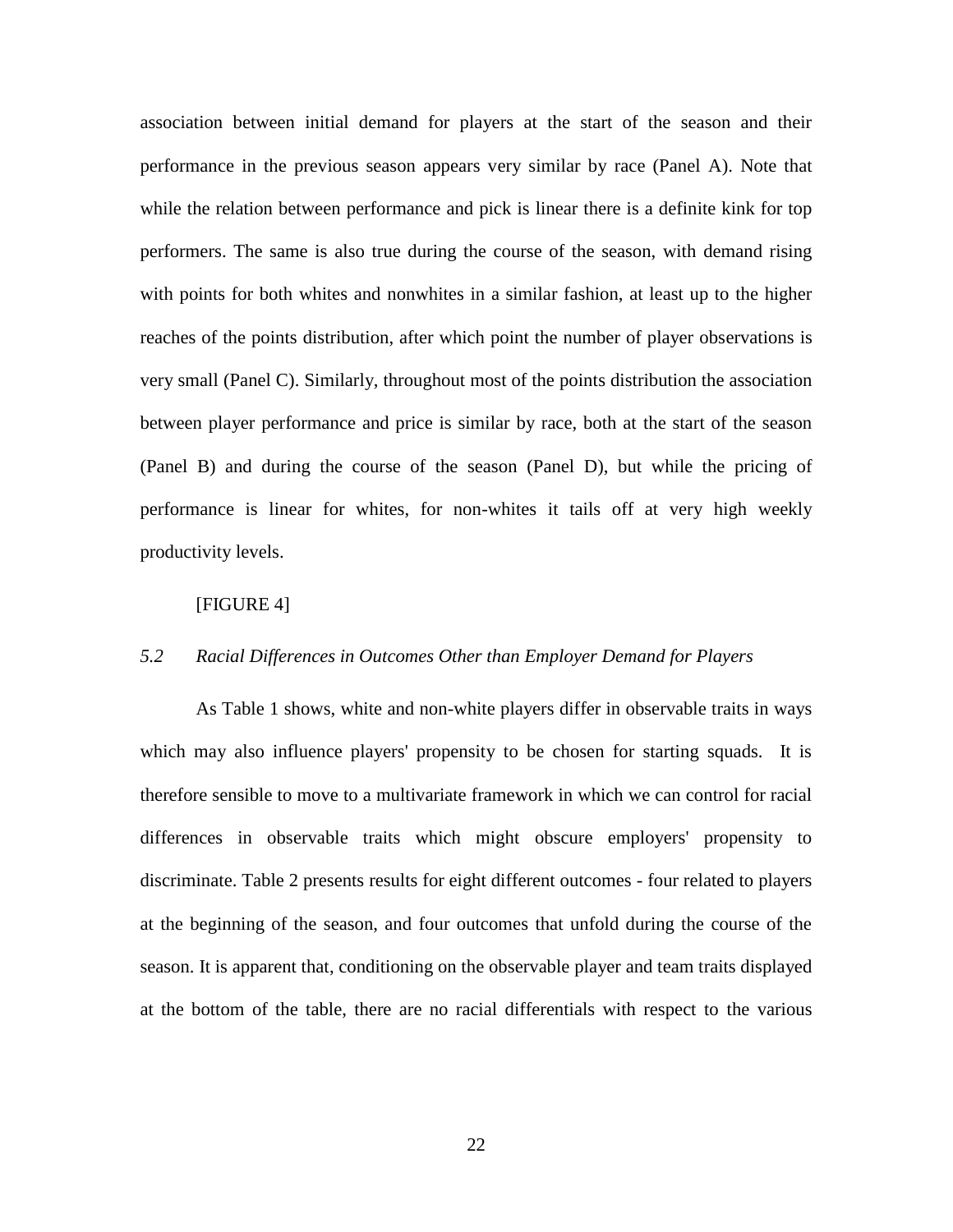association between initial demand for players at the start of the season and their performance in the previous season appears very similar by race (Panel A). Note that while the relation between performance and pick is linear there is a definite kink for top performers. The same is also true during the course of the season, with demand rising with points for both whites and nonwhites in a similar fashion, at least up to the higher reaches of the points distribution, after which point the number of player observations is very small (Panel C). Similarly, throughout most of the points distribution the association between player performance and price is similar by race, both at the start of the season (Panel B) and during the course of the season (Panel D), but while the pricing of performance is linear for whites, for non-whites it tails off at very high weekly productivity levels.

#### [FIGURE 4]

#### *5.2 Racial Differences in Outcomes Other than Employer Demand for Players*

As Table 1 shows, white and non-white players differ in observable traits in ways which may also influence players' propensity to be chosen for starting squads. It is therefore sensible to move to a multivariate framework in which we can control for racial differences in observable traits which might obscure employers' propensity to discriminate. Table 2 presents results for eight different outcomes - four related to players at the beginning of the season, and four outcomes that unfold during the course of the season. It is apparent that, conditioning on the observable player and team traits displayed at the bottom of the table, there are no racial differentials with respect to the various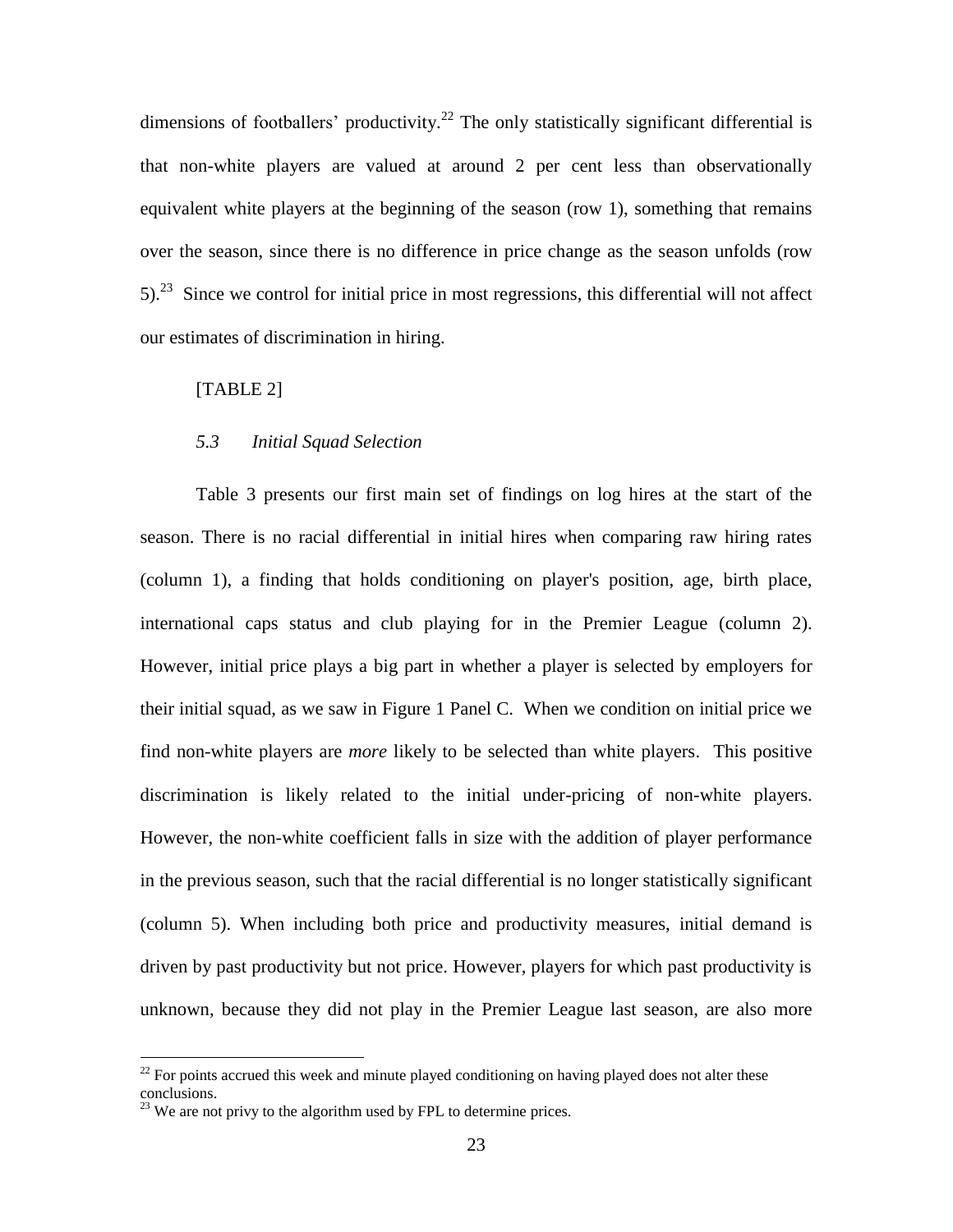dimensions of footballers' productivity.<sup>22</sup> The only statistically significant differential is that non-white players are valued at around 2 per cent less than observationally equivalent white players at the beginning of the season (row 1), something that remains over the season, since there is no difference in price change as the season unfolds (row  $5$ .<sup>23</sup> Since we control for initial price in most regressions, this differential will not affect our estimates of discrimination in hiring.

#### [TABLE 2]

#### *5.3 Initial Squad Selection*

Table 3 presents our first main set of findings on log hires at the start of the season. There is no racial differential in initial hires when comparing raw hiring rates (column 1), a finding that holds conditioning on player's position, age, birth place, international caps status and club playing for in the Premier League (column 2). However, initial price plays a big part in whether a player is selected by employers for their initial squad, as we saw in Figure 1 Panel C. When we condition on initial price we find non-white players are *more* likely to be selected than white players. This positive discrimination is likely related to the initial under-pricing of non-white players. However, the non-white coefficient falls in size with the addition of player performance in the previous season, such that the racial differential is no longer statistically significant (column 5). When including both price and productivity measures, initial demand is driven by past productivity but not price. However, players for which past productivity is unknown, because they did not play in the Premier League last season, are also more

 $^{22}$  For points accrued this week and minute played conditioning on having played does not alter these conclusions.

 $^{23}$  We are not privy to the algorithm used by FPL to determine prices.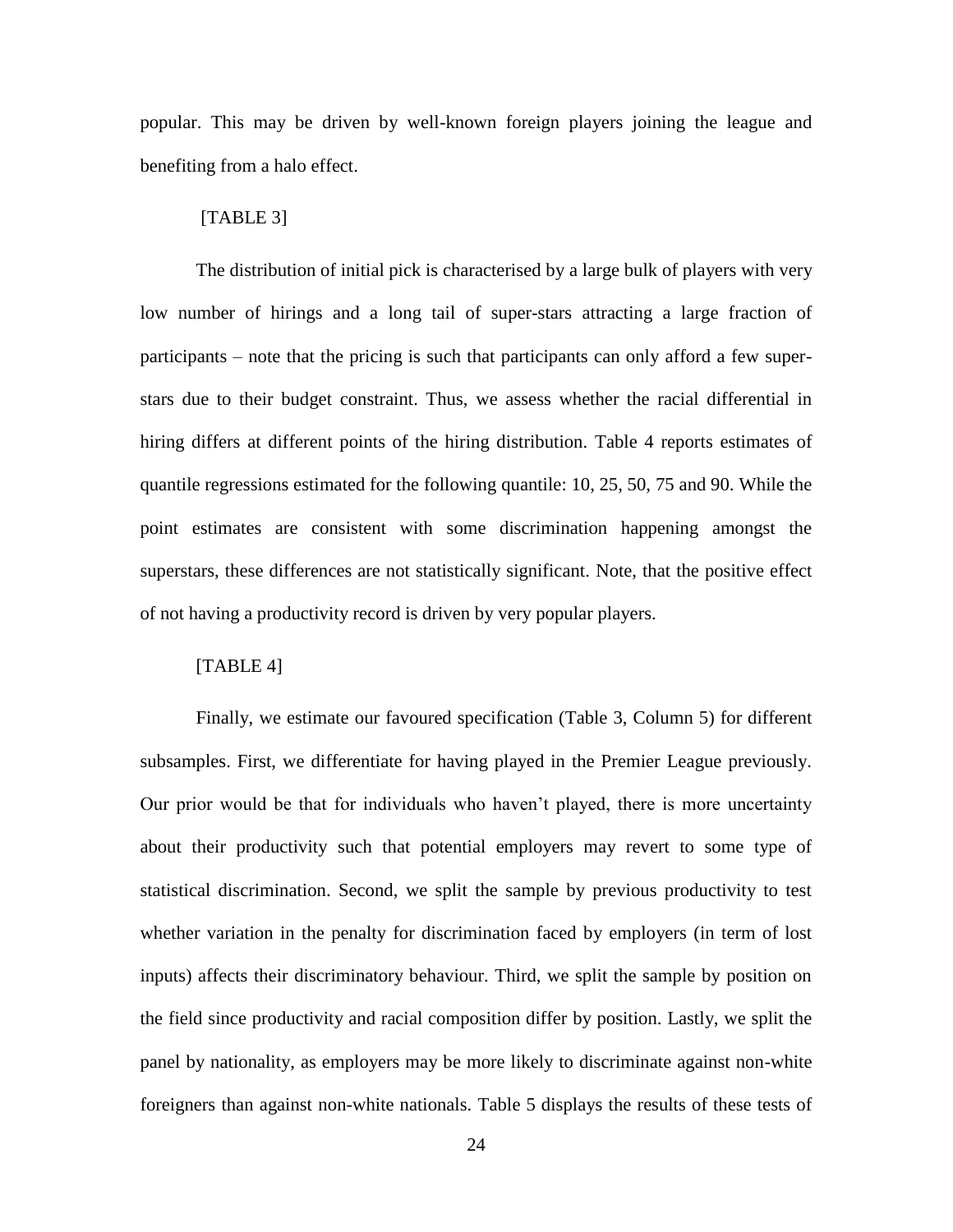popular. This may be driven by well-known foreign players joining the league and benefiting from a halo effect.

#### [TABLE 3]

The distribution of initial pick is characterised by a large bulk of players with very low number of hirings and a long tail of super-stars attracting a large fraction of participants – note that the pricing is such that participants can only afford a few superstars due to their budget constraint. Thus, we assess whether the racial differential in hiring differs at different points of the hiring distribution. Table 4 reports estimates of quantile regressions estimated for the following quantile: 10, 25, 50, 75 and 90. While the point estimates are consistent with some discrimination happening amongst the superstars, these differences are not statistically significant. Note, that the positive effect of not having a productivity record is driven by very popular players.

#### [TABLE 4]

Finally, we estimate our favoured specification (Table 3, Column 5) for different subsamples. First, we differentiate for having played in the Premier League previously. Our prior would be that for individuals who haven't played, there is more uncertainty about their productivity such that potential employers may revert to some type of statistical discrimination. Second, we split the sample by previous productivity to test whether variation in the penalty for discrimination faced by employers (in term of lost inputs) affects their discriminatory behaviour. Third, we split the sample by position on the field since productivity and racial composition differ by position. Lastly, we split the panel by nationality, as employers may be more likely to discriminate against non-white foreigners than against non-white nationals. Table 5 displays the results of these tests of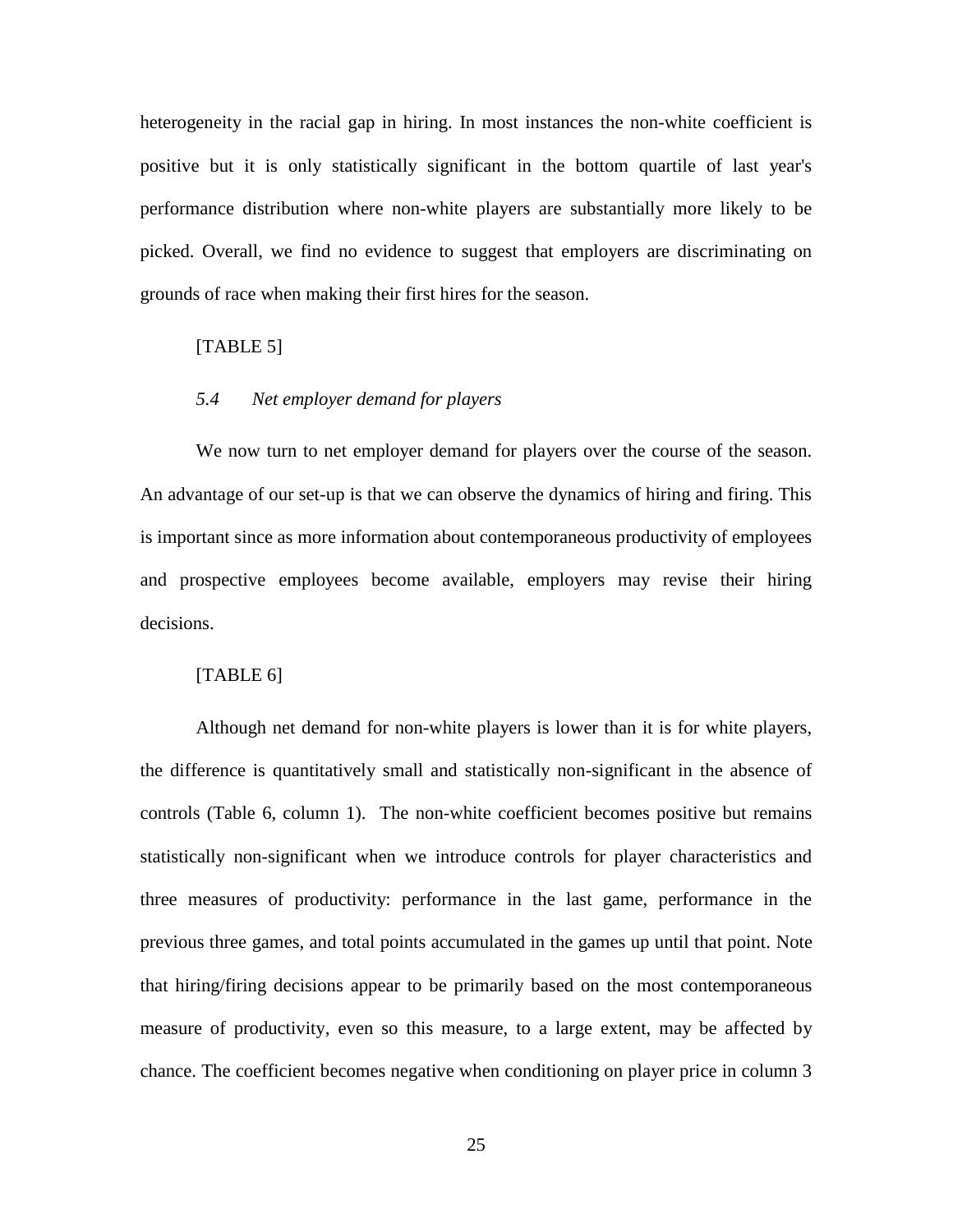heterogeneity in the racial gap in hiring. In most instances the non-white coefficient is positive but it is only statistically significant in the bottom quartile of last year's performance distribution where non-white players are substantially more likely to be picked. Overall, we find no evidence to suggest that employers are discriminating on grounds of race when making their first hires for the season.

#### [TABLE 5]

#### *5.4 Net employer demand for players*

We now turn to net employer demand for players over the course of the season. An advantage of our set-up is that we can observe the dynamics of hiring and firing. This is important since as more information about contemporaneous productivity of employees and prospective employees become available, employers may revise their hiring decisions.

#### [TABLE 6]

Although net demand for non-white players is lower than it is for white players, the difference is quantitatively small and statistically non-significant in the absence of controls (Table 6, column 1). The non-white coefficient becomes positive but remains statistically non-significant when we introduce controls for player characteristics and three measures of productivity: performance in the last game, performance in the previous three games, and total points accumulated in the games up until that point. Note that hiring/firing decisions appear to be primarily based on the most contemporaneous measure of productivity, even so this measure, to a large extent, may be affected by chance. The coefficient becomes negative when conditioning on player price in column 3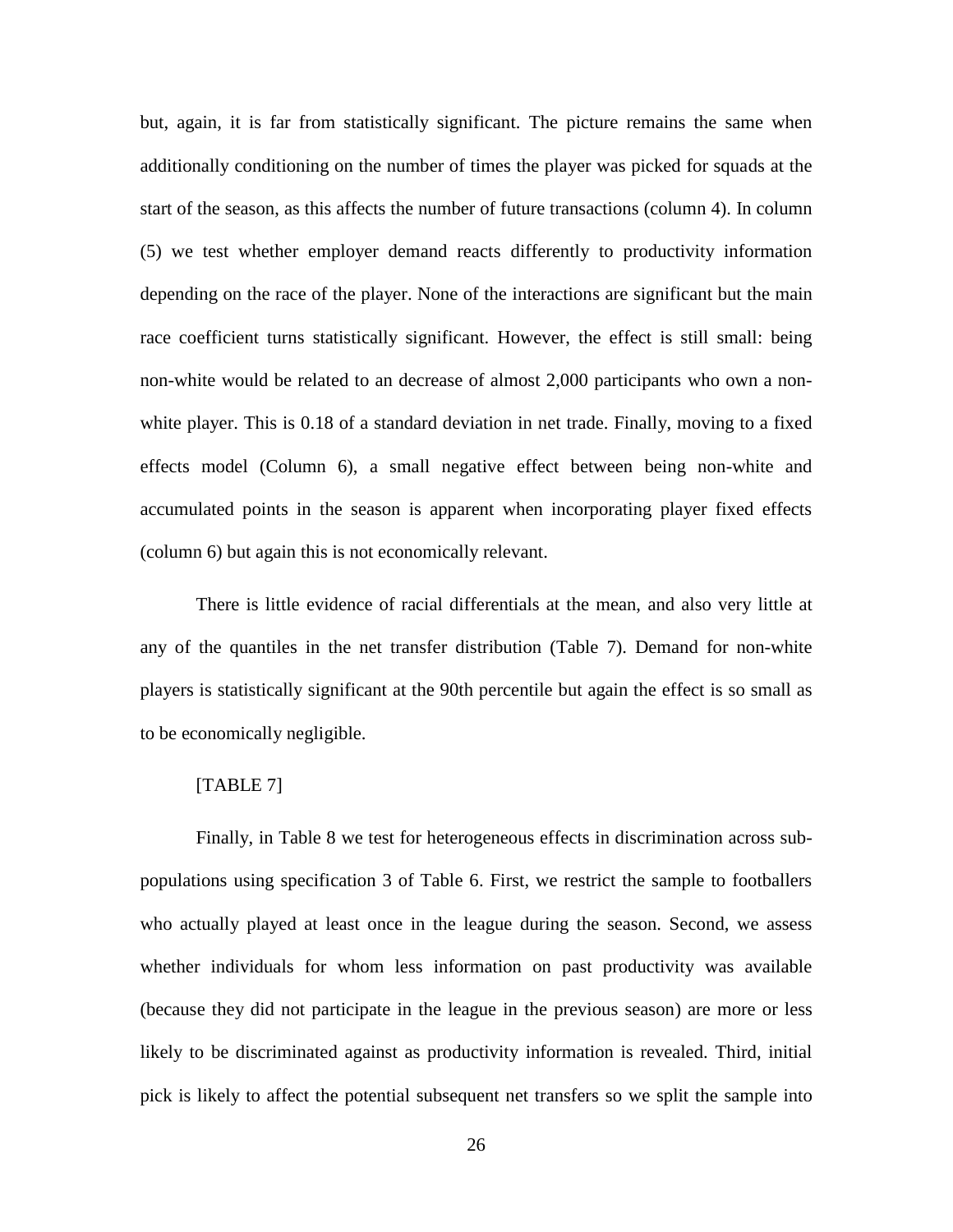but, again, it is far from statistically significant. The picture remains the same when additionally conditioning on the number of times the player was picked for squads at the start of the season, as this affects the number of future transactions (column 4). In column (5) we test whether employer demand reacts differently to productivity information depending on the race of the player. None of the interactions are significant but the main race coefficient turns statistically significant. However, the effect is still small: being non-white would be related to an decrease of almost 2,000 participants who own a nonwhite player. This is 0.18 of a standard deviation in net trade. Finally, moving to a fixed effects model (Column 6), a small negative effect between being non-white and accumulated points in the season is apparent when incorporating player fixed effects (column 6) but again this is not economically relevant.

There is little evidence of racial differentials at the mean, and also very little at any of the quantiles in the net transfer distribution (Table 7). Demand for non-white players is statistically significant at the 90th percentile but again the effect is so small as to be economically negligible.

#### [TABLE 7]

Finally, in Table 8 we test for heterogeneous effects in discrimination across subpopulations using specification 3 of Table 6. First, we restrict the sample to footballers who actually played at least once in the league during the season. Second, we assess whether individuals for whom less information on past productivity was available (because they did not participate in the league in the previous season) are more or less likely to be discriminated against as productivity information is revealed. Third, initial pick is likely to affect the potential subsequent net transfers so we split the sample into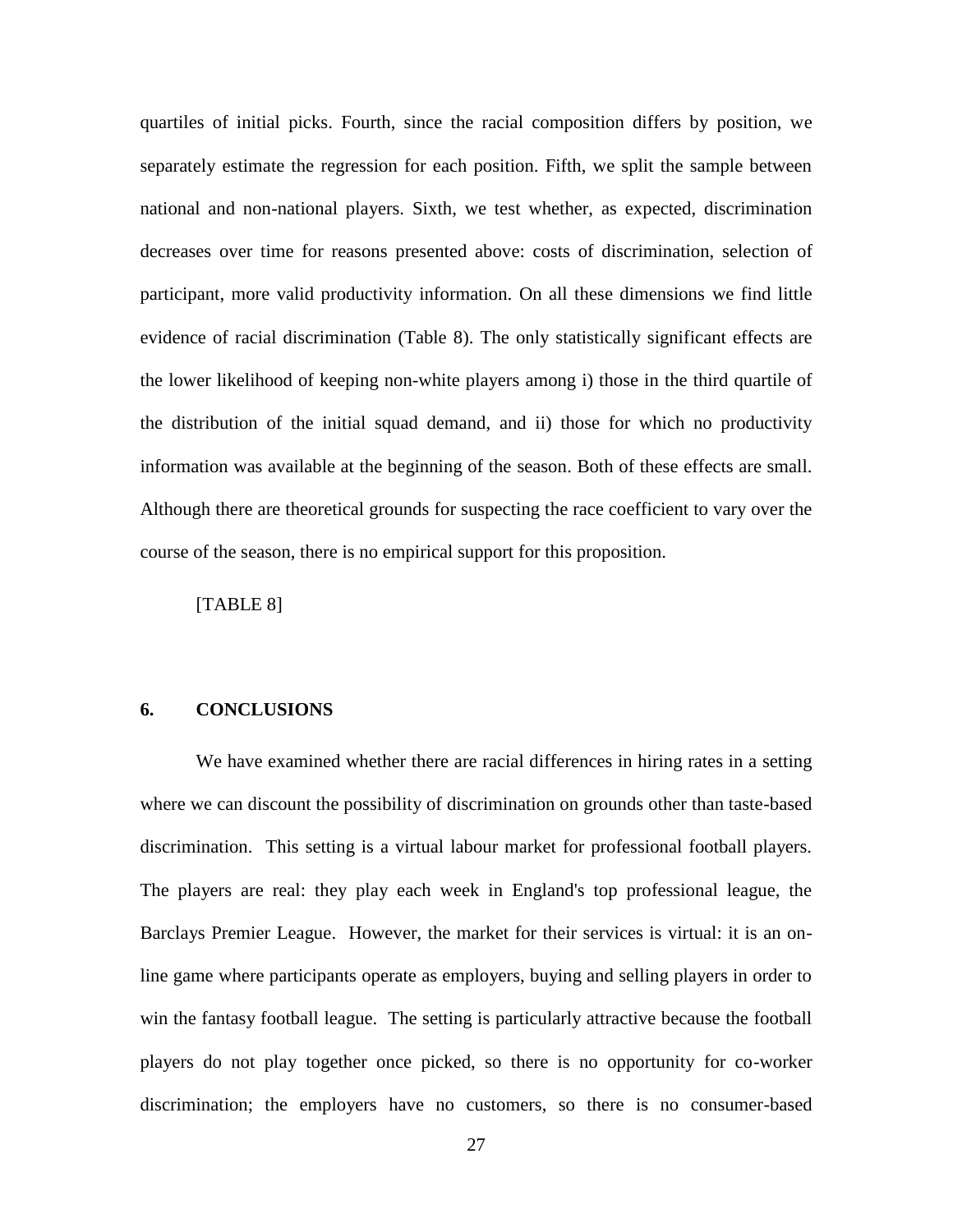quartiles of initial picks. Fourth, since the racial composition differs by position, we separately estimate the regression for each position. Fifth, we split the sample between national and non-national players. Sixth, we test whether, as expected, discrimination decreases over time for reasons presented above: costs of discrimination, selection of participant, more valid productivity information. On all these dimensions we find little evidence of racial discrimination (Table 8). The only statistically significant effects are the lower likelihood of keeping non-white players among i) those in the third quartile of the distribution of the initial squad demand, and ii) those for which no productivity information was available at the beginning of the season. Both of these effects are small. Although there are theoretical grounds for suspecting the race coefficient to vary over the course of the season, there is no empirical support for this proposition.

[TABLE 8]

#### **6. CONCLUSIONS**

We have examined whether there are racial differences in hiring rates in a setting where we can discount the possibility of discrimination on grounds other than taste-based discrimination. This setting is a virtual labour market for professional football players. The players are real: they play each week in England's top professional league, the Barclays Premier League. However, the market for their services is virtual: it is an online game where participants operate as employers, buying and selling players in order to win the fantasy football league. The setting is particularly attractive because the football players do not play together once picked, so there is no opportunity for co-worker discrimination; the employers have no customers, so there is no consumer-based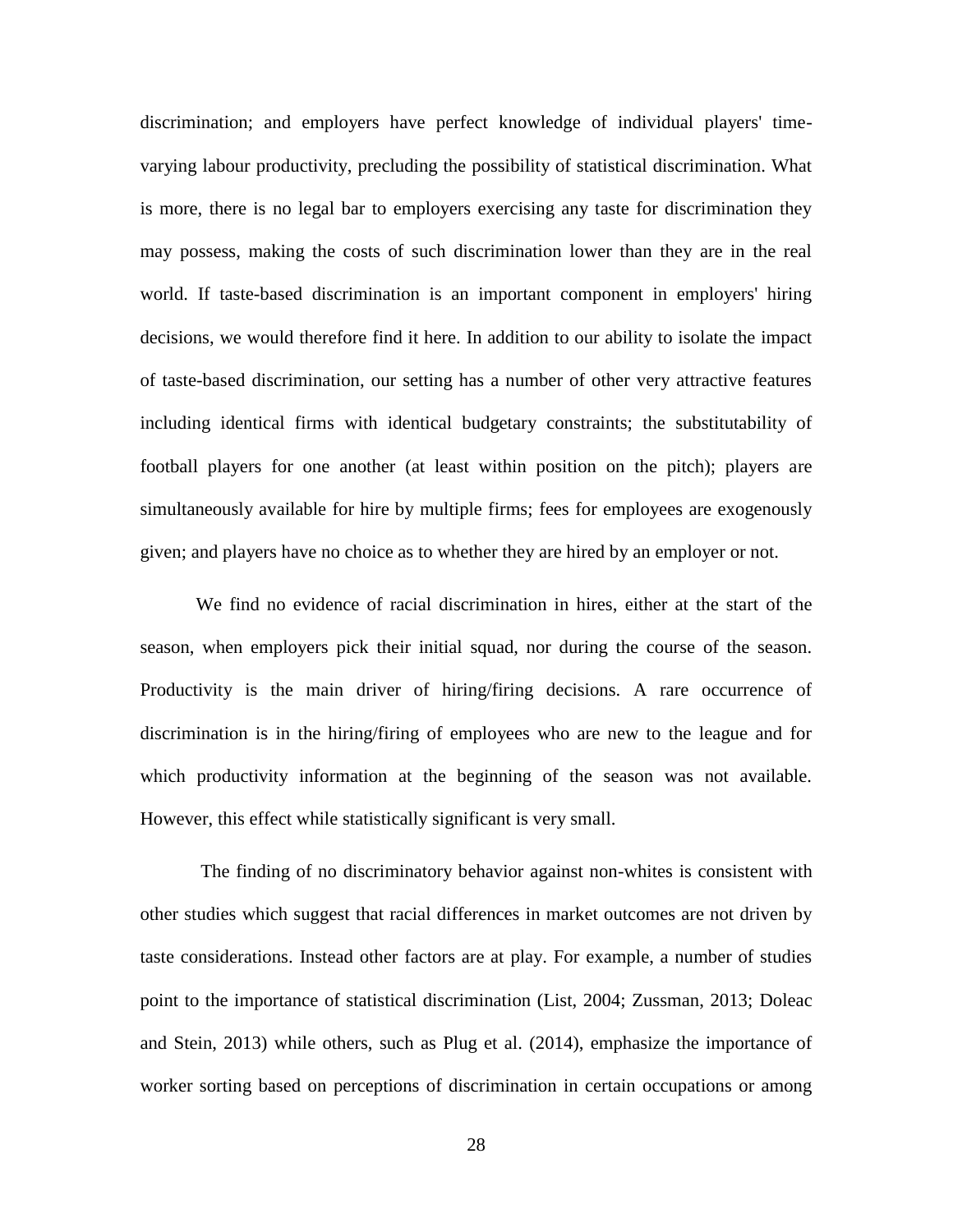discrimination; and employers have perfect knowledge of individual players' timevarying labour productivity, precluding the possibility of statistical discrimination. What is more, there is no legal bar to employers exercising any taste for discrimination they may possess, making the costs of such discrimination lower than they are in the real world. If taste-based discrimination is an important component in employers' hiring decisions, we would therefore find it here. In addition to our ability to isolate the impact of taste-based discrimination, our setting has a number of other very attractive features including identical firms with identical budgetary constraints; the substitutability of football players for one another (at least within position on the pitch); players are simultaneously available for hire by multiple firms; fees for employees are exogenously given; and players have no choice as to whether they are hired by an employer or not.

We find no evidence of racial discrimination in hires, either at the start of the season, when employers pick their initial squad, nor during the course of the season. Productivity is the main driver of hiring/firing decisions. A rare occurrence of discrimination is in the hiring/firing of employees who are new to the league and for which productivity information at the beginning of the season was not available. However, this effect while statistically significant is very small.

The finding of no discriminatory behavior against non-whites is consistent with other studies which suggest that racial differences in market outcomes are not driven by taste considerations. Instead other factors are at play. For example, a number of studies point to the importance of statistical discrimination (List, 2004; Zussman, 2013; Doleac and Stein, 2013) while others, such as Plug et al. (2014), emphasize the importance of worker sorting based on perceptions of discrimination in certain occupations or among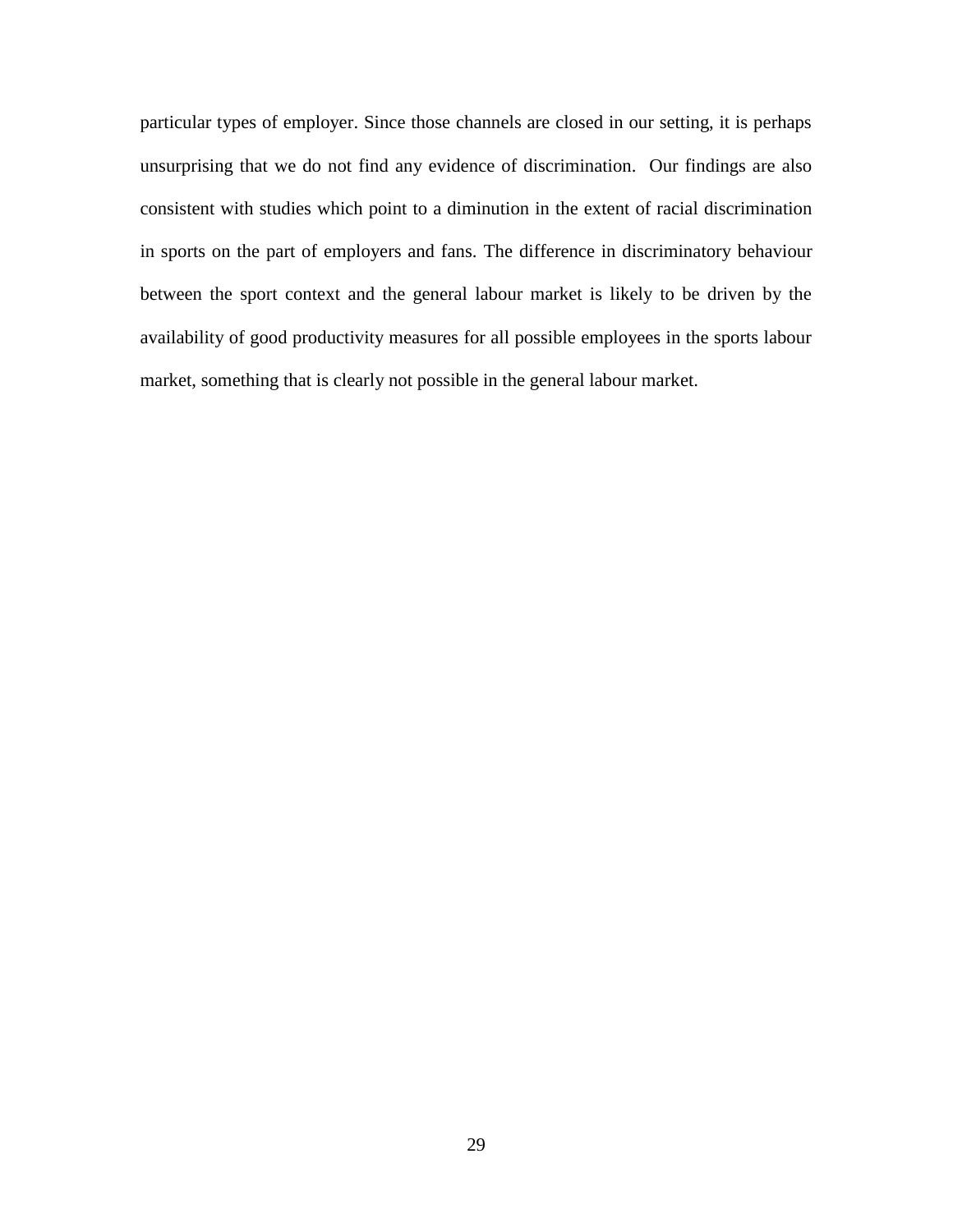particular types of employer. Since those channels are closed in our setting, it is perhaps unsurprising that we do not find any evidence of discrimination. Our findings are also consistent with studies which point to a diminution in the extent of racial discrimination in sports on the part of employers and fans. The difference in discriminatory behaviour between the sport context and the general labour market is likely to be driven by the availability of good productivity measures for all possible employees in the sports labour market, something that is clearly not possible in the general labour market.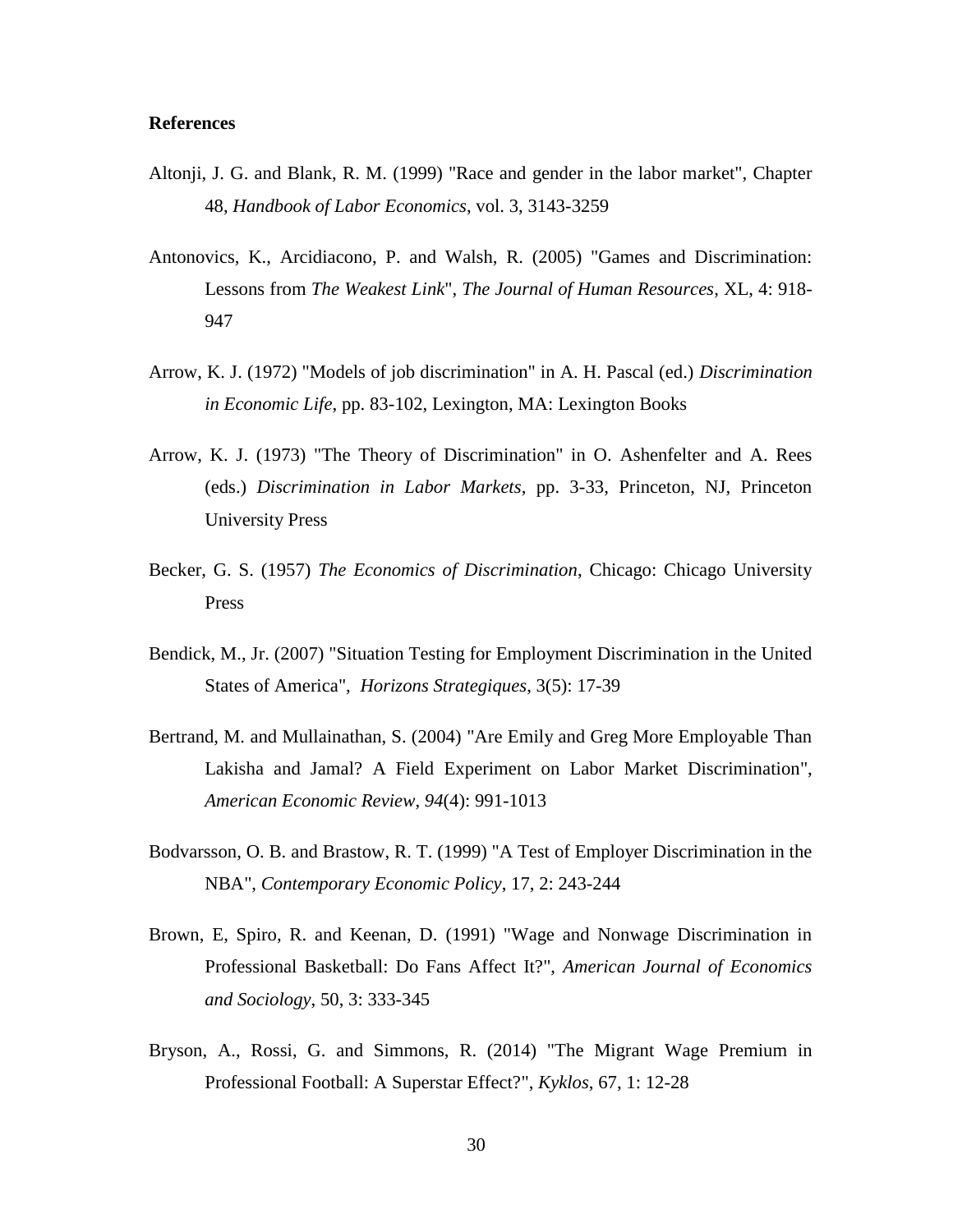#### **References**

- Altonji, J. G. and Blank, R. M. (1999) "Race and gender in the labor market", Chapter 48, *Handbook of Labor Economics*, vol. 3, 3143-3259
- Antonovics, K., Arcidiacono, P. and Walsh, R. (2005) "Games and Discrimination: Lessons from *The Weakest Link*", *The Journal of Human Resources*, XL, 4: 918- 947
- Arrow, K. J. (1972) "Models of job discrimination" in A. H. Pascal (ed.) *Discrimination in Economic Life*, pp. 83-102, Lexington, MA: Lexington Books
- Arrow, K. J. (1973) "The Theory of Discrimination" in O. Ashenfelter and A. Rees (eds.) *Discrimination in Labor Markets*, pp. 3-33, Princeton, NJ, Princeton University Press
- Becker, G. S. (1957) *The Economics of Discrimination*, Chicago: Chicago University Press
- Bendick, M., Jr. (2007) "Situation Testing for Employment Discrimination in the United States of America", *Horizons Strategiques*, 3(5): 17-39
- Bertrand, M. and Mullainathan, S. (2004) "Are Emily and Greg More Employable Than Lakisha and Jamal? A Field Experiment on Labor Market Discrimination", *American Economic Review*, *94*(4): 991-1013
- Bodvarsson, O. B. and Brastow, R. T. (1999) "A Test of Employer Discrimination in the NBA", *Contemporary Economic Policy*, 17, 2: 243-244
- Brown, E, Spiro, R. and Keenan, D. (1991) "Wage and Nonwage Discrimination in Professional Basketball: Do Fans Affect It?", *American Journal of Economics and Sociology*, 50, 3: 333-345
- Bryson, A., Rossi, G. and Simmons, R. (2014) "The Migrant Wage Premium in Professional Football: A Superstar Effect?", *Kyklos*, 67, 1: 12-28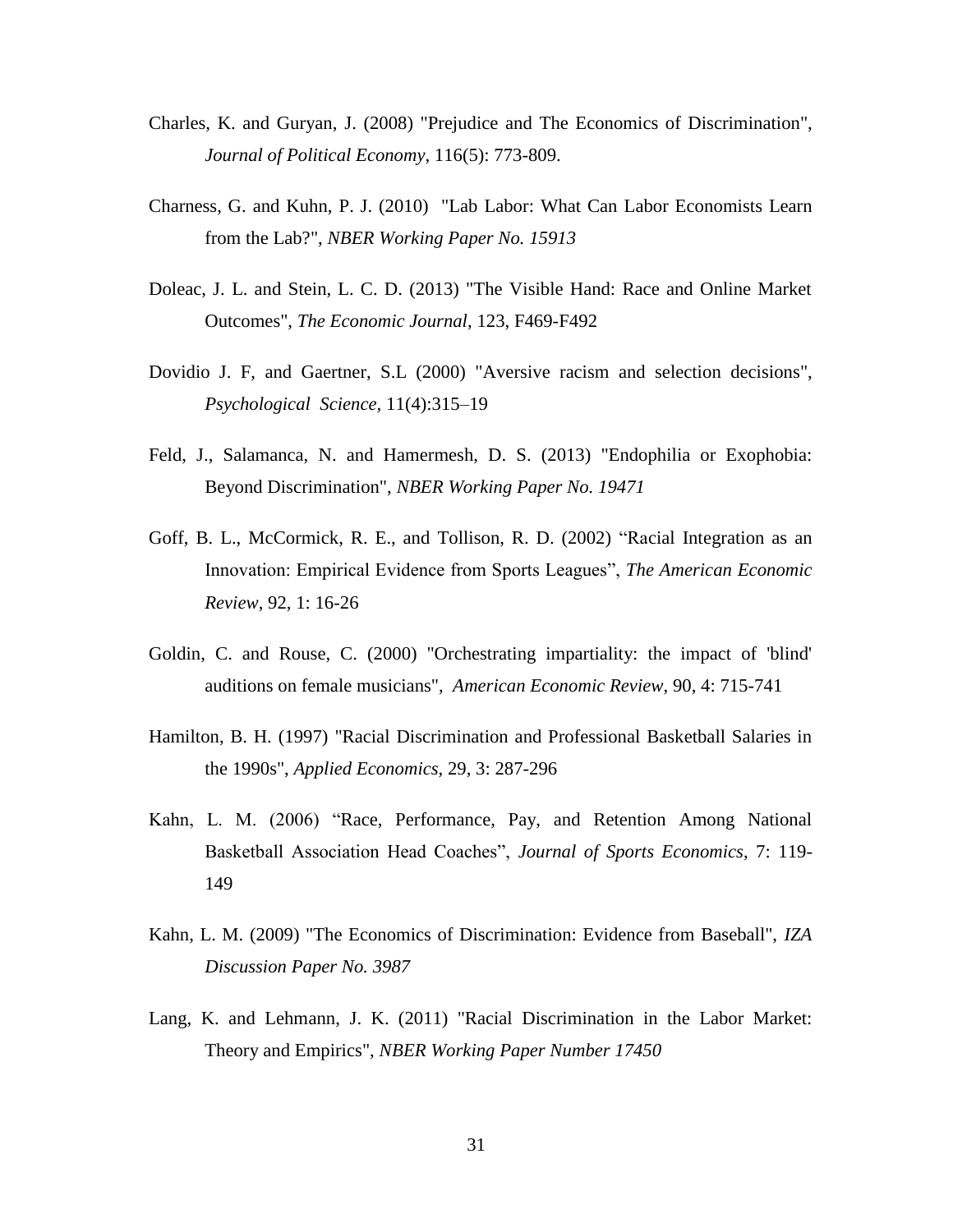- Charles, K. and Guryan, J. (2008) "Prejudice and The Economics of Discrimination", *Journal of Political Economy*, 116(5): 773-809.
- Charness, G. and Kuhn, P. J. (2010) "Lab Labor: What Can Labor Economists Learn from the Lab?", *NBER Working Paper No. 15913*
- Doleac, J. L. and Stein, L. C. D. (2013) "The Visible Hand: Race and Online Market Outcomes", *The Economic Journal*, 123, F469-F492
- Dovidio J. F, and Gaertner, S.L (2000) "Aversive racism and selection decisions", *Psychological Science,* 11(4):315–19
- Feld, J., Salamanca, N. and Hamermesh, D. S. (2013) "Endophilia or Exophobia: Beyond Discrimination", *NBER Working Paper No. 19471*
- Goff, B. L., McCormick, R. E., and Tollison, R. D. (2002) "Racial Integration as an Innovation: Empirical Evidence from Sports Leagues", *The American Economic Review*, 92, 1: 16-26
- Goldin, C. and Rouse, C. (2000) "Orchestrating impartiality: the impact of 'blind' auditions on female musicians", *American Economic Review*, 90, 4: 715-741
- Hamilton, B. H. (1997) "Racial Discrimination and Professional Basketball Salaries in the 1990s", *Applied Economics*, 29, 3: 287-296
- Kahn, L. M. (2006) "Race, Performance, Pay, and Retention Among National Basketball Association Head Coaches", *Journal of Sports Economics*, 7: 119- 149
- Kahn, L. M. (2009) "The Economics of Discrimination: Evidence from Baseball", *IZA Discussion Paper No. 3987*
- Lang, K. and Lehmann, J. K. (2011) "Racial Discrimination in the Labor Market: Theory and Empirics", *NBER Working Paper Number 17450*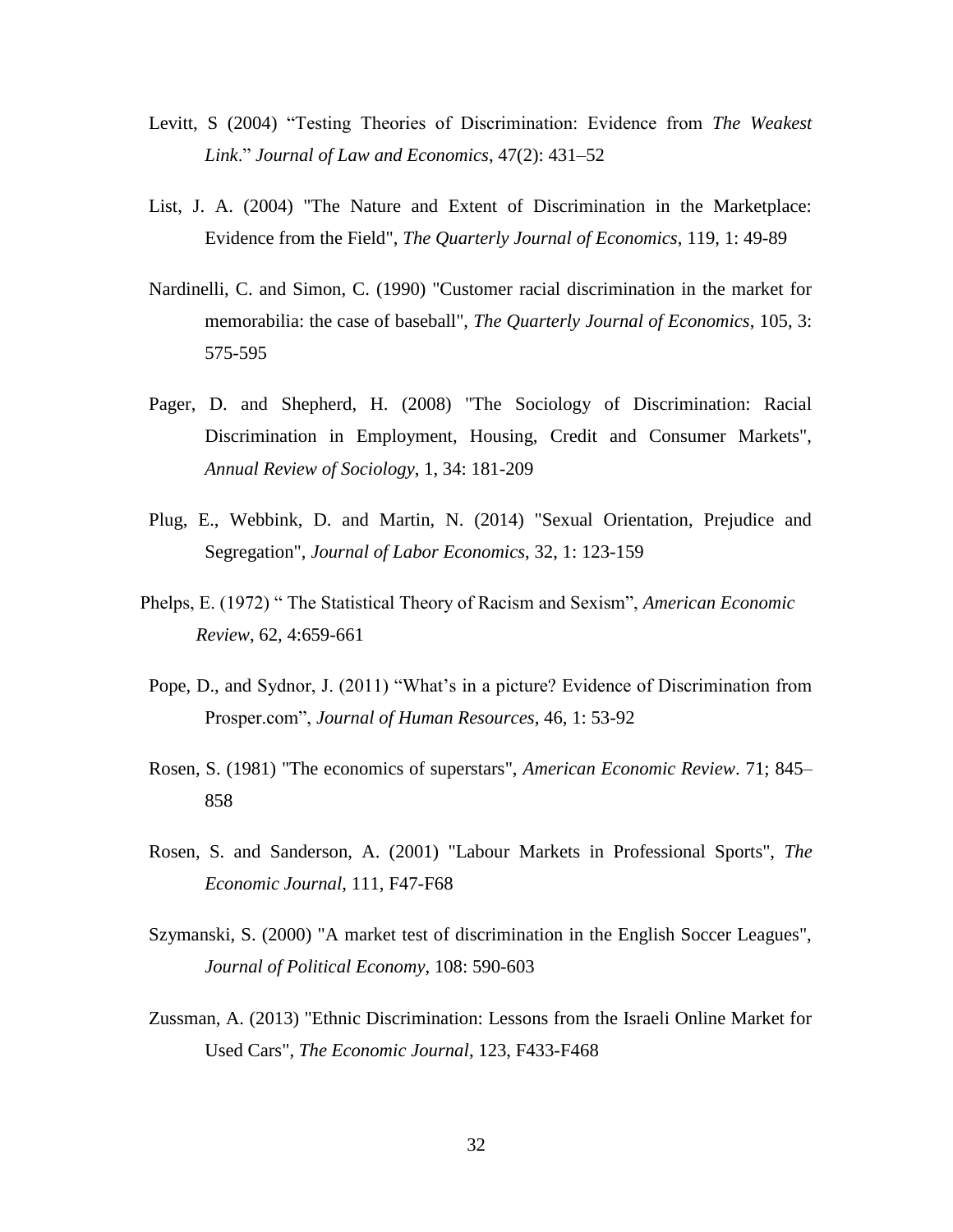- Levitt, S (2004) "Testing Theories of Discrimination: Evidence from *The Weakest Link*." *Journal of Law and Economics*, 47(2): 431–52
- List, J. A. (2004) "The Nature and Extent of Discrimination in the Marketplace: Evidence from the Field", *The Quarterly Journal of Economics*, 119, 1: 49-89
- Nardinelli, C. and Simon, C. (1990) "Customer racial discrimination in the market for memorabilia: the case of baseball", *The Quarterly Journal of Economics*, 105, 3: 575-595
- Pager, D. and Shepherd, H. (2008) "The Sociology of Discrimination: Racial Discrimination in Employment, Housing, Credit and Consumer Markets", *Annual Review of Sociology*, 1, 34: 181-209
- Plug, E., Webbink, D. and Martin, N. (2014) "Sexual Orientation, Prejudice and Segregation", *Journal of Labor Economics*, 32, 1: 123-159
- Phelps, E. (1972) " The Statistical Theory of Racism and Sexism", *American Economic Review*, 62, 4:659-661
- Pope, D., and Sydnor, J. (2011) "What's in a picture? Evidence of Discrimination from Prosper.com", *Journal of Human Resources*, 46, 1: 53-92
- Rosen, S. (1981) "The economics of superstars", *American Economic Review*. 71; 845– 858
- Rosen, S. and Sanderson, A. (2001) "Labour Markets in Professional Sports", *The Economic Journal*, 111, F47-F68
- Szymanski, S. (2000) "A market test of discrimination in the English Soccer Leagues", *Journal of Political Economy*, 108: 590-603
- Zussman, A. (2013) "Ethnic Discrimination: Lessons from the Israeli Online Market for Used Cars", *The Economic Journal*, 123, F433-F468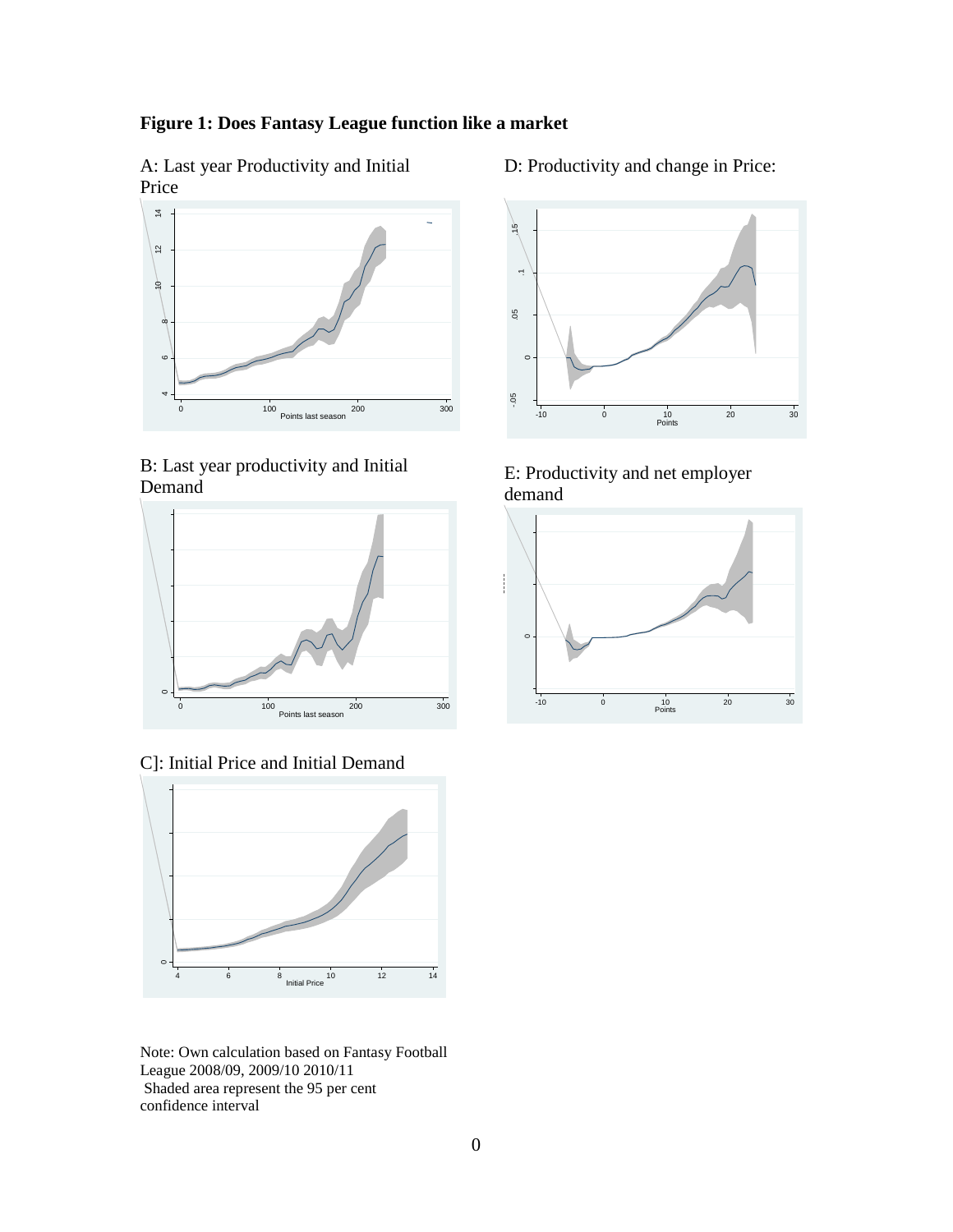## **Figure 1: Does Fantasy League function like a market**

A: Last year Productivity and Initial Price



B: Last year productivity and Initial Demand



C]: Initial Price and Initial Demand



Note: Own calculation based on Fantasy Football League 2008/09, 2009/10 2010/11 Shaded area represent the 95 per cent confidence interval

D: Productivity and change in Price:



E: Productivity and net employer demand

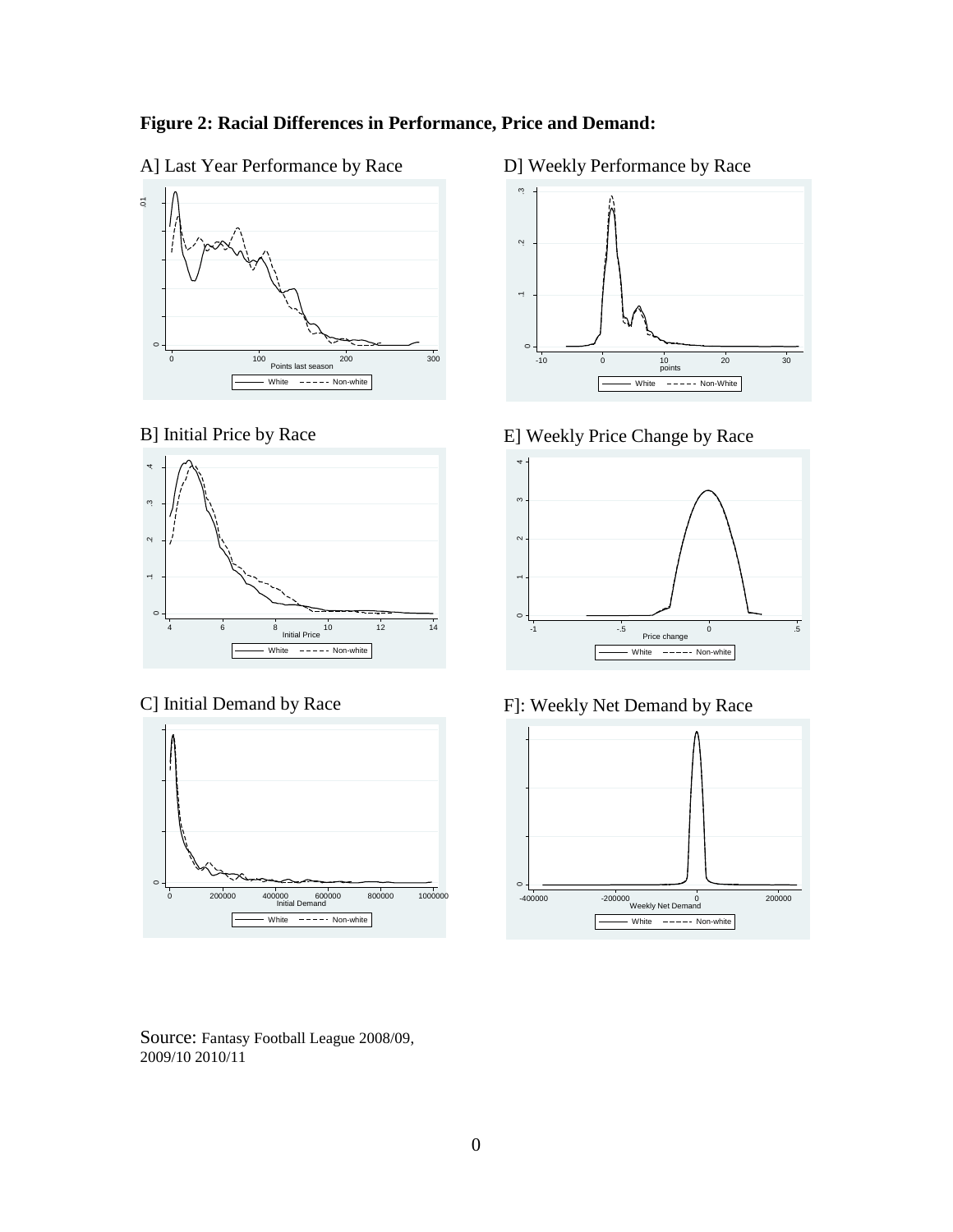



### B] Initial Price by Race



## C] Initial Demand by Race



Source: Fantasy Football League 2008/09, 2009/10 2010/11

## D] Weekly Performance by Race



E] Weekly Price Change by Race



F]: Weekly Net Demand by Race

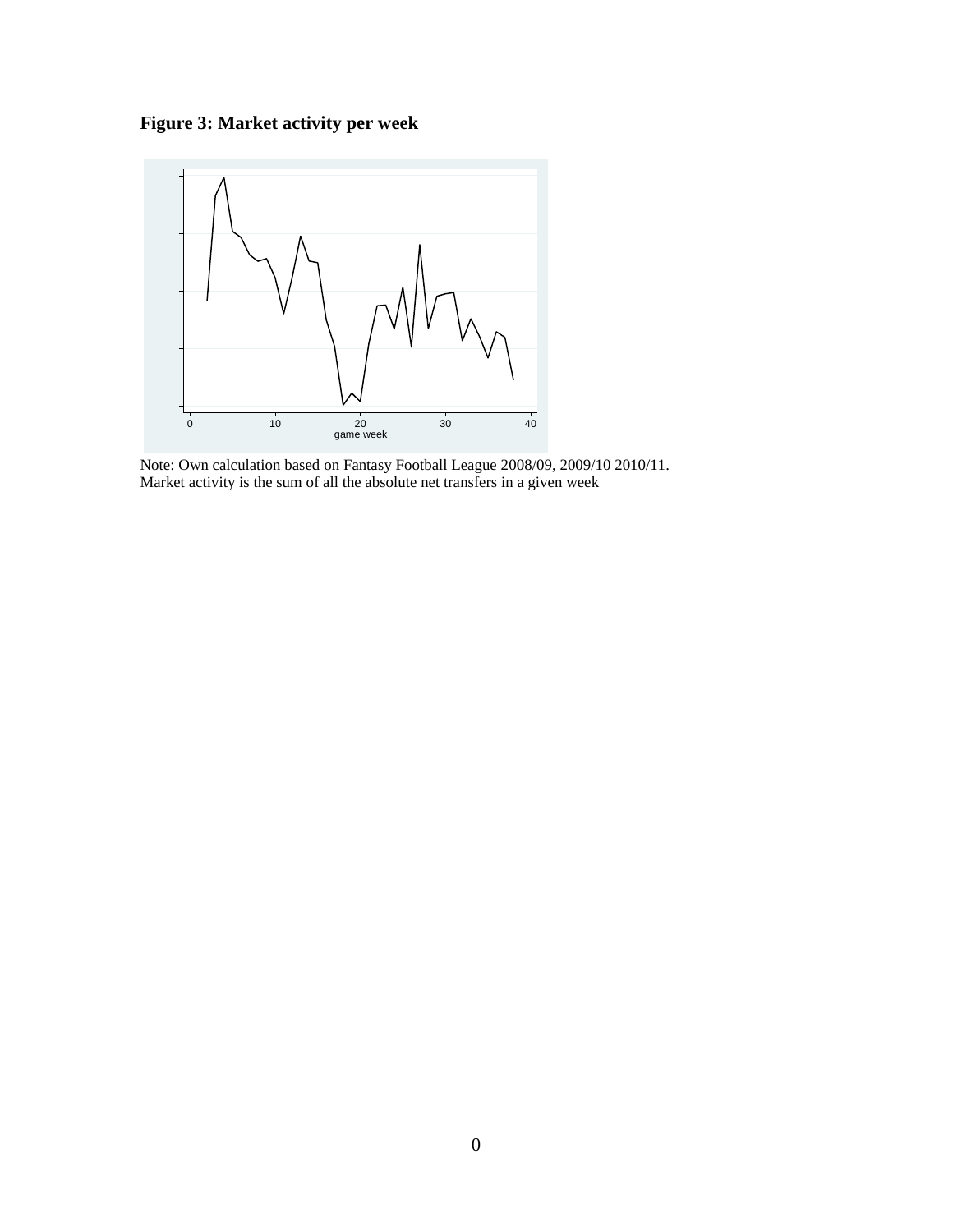**Figure 3: Market activity per week**



Note: Own calculation based on Fantasy Football League 2008/09, 2009/10 2010/11. Market activity is the sum of all the absolute net transfers in a given week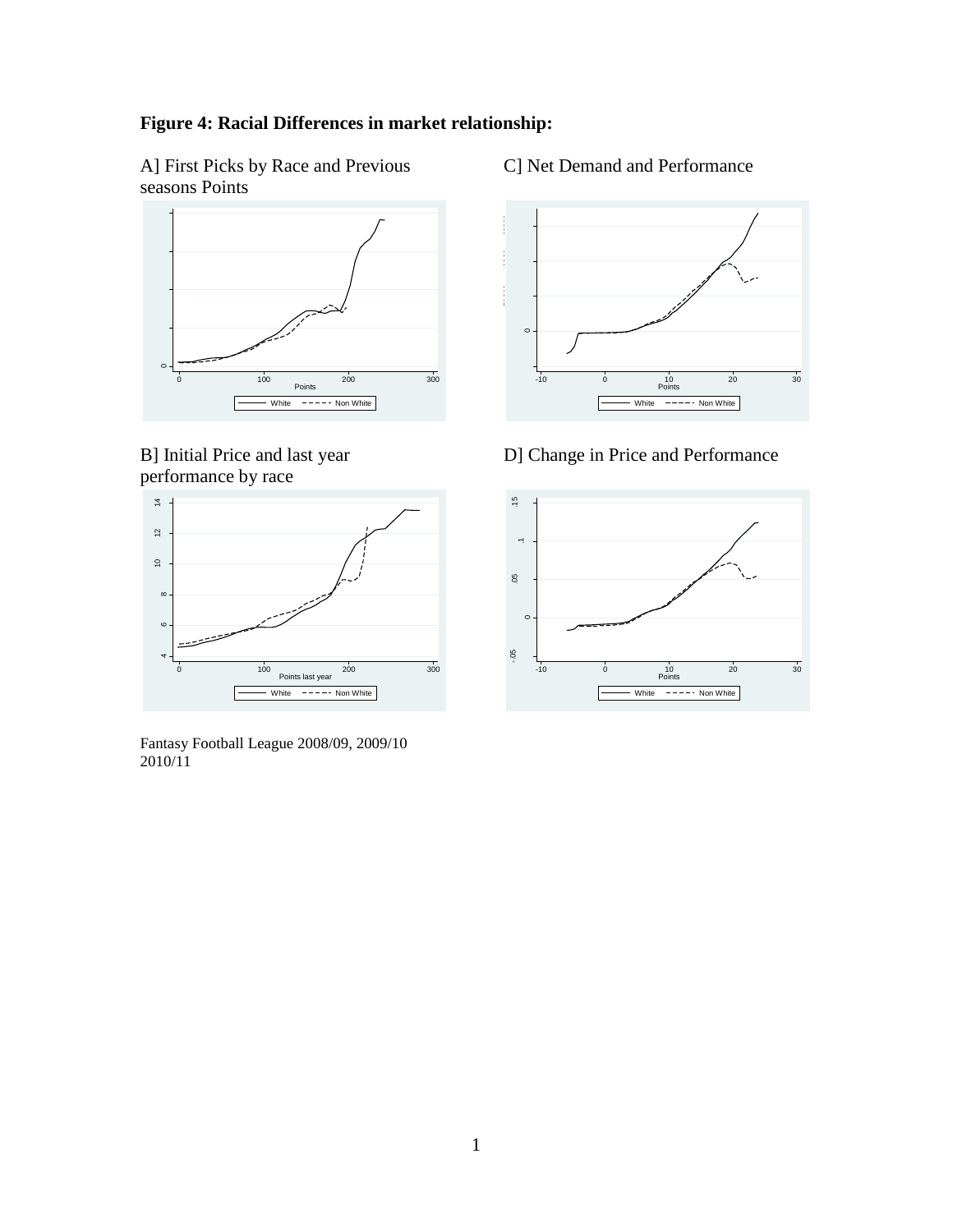## **Figure 4: Racial Differences in market relationship:**

A] First Picks by Race and Previous seasons Points



B] Initial Price and last year performance by race



Fantasy Football League 2008/09, 2009/10 2010/11

C] Net Demand and Performance



D] Change in Price and Performance

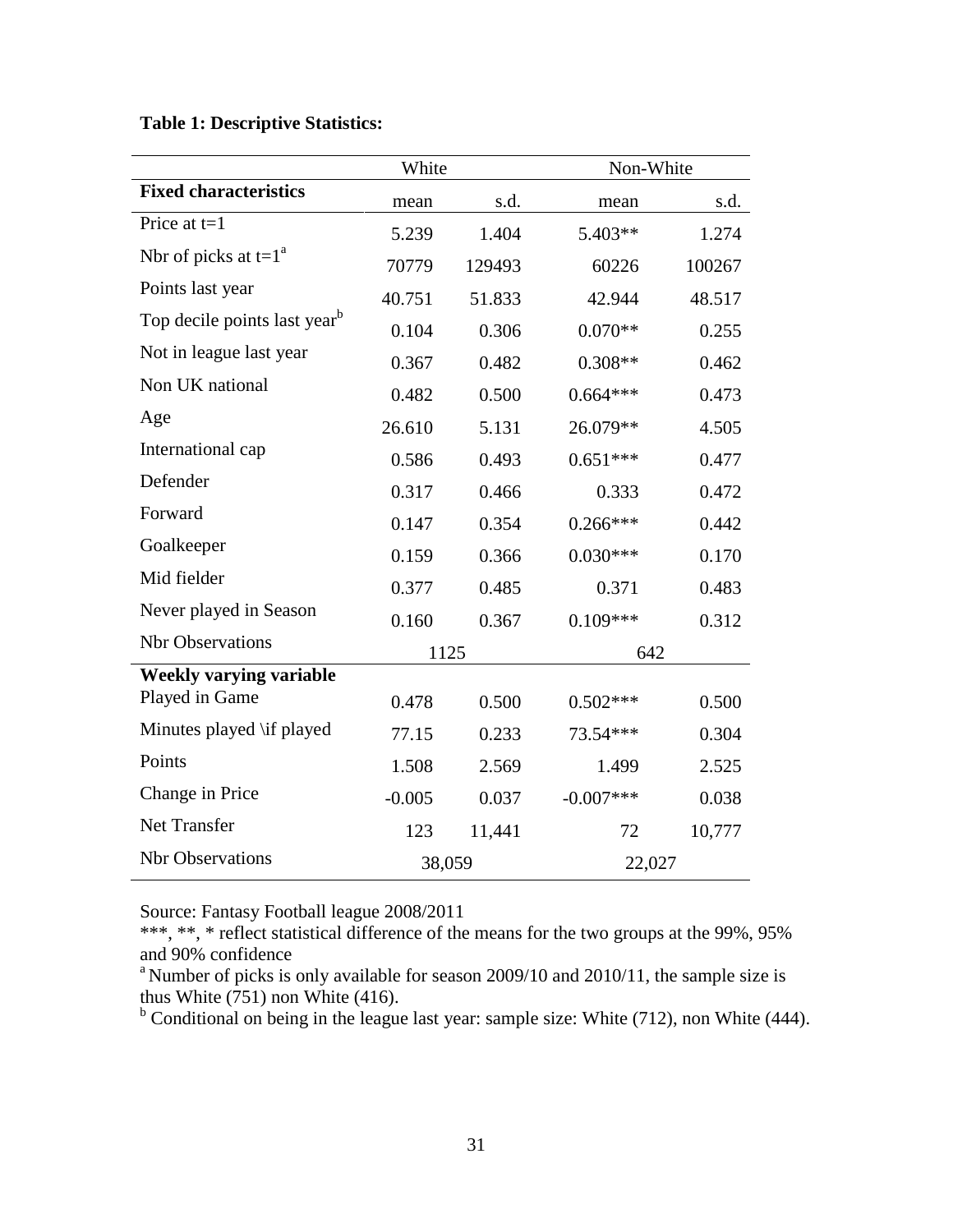## **Table 1: Descriptive Statistics:**

|                                          | White    |        | Non-White    |        |  |
|------------------------------------------|----------|--------|--------------|--------|--|
| <b>Fixed characteristics</b>             | mean     | s.d.   | mean         | s.d.   |  |
| Price at $t=1$                           | 5.239    | 1.404  | 5.403**      | 1.274  |  |
| Nbr of picks at $t=1^a$                  | 70779    | 129493 | 60226        | 100267 |  |
| Points last year                         | 40.751   | 51.833 | 42.944       | 48.517 |  |
| Top decile points last year <sup>b</sup> | 0.104    | 0.306  | $0.070**$    | 0.255  |  |
| Not in league last year                  | 0.367    | 0.482  | $0.308**$    | 0.462  |  |
| Non UK national                          | 0.482    | 0.500  | $0.664***$   | 0.473  |  |
| Age                                      | 26.610   | 5.131  | 26.079**     | 4.505  |  |
| International cap                        | 0.586    | 0.493  | $0.651***$   | 0.477  |  |
| Defender                                 | 0.317    | 0.466  | 0.333        | 0.472  |  |
| Forward                                  | 0.147    | 0.354  | $0.266***$   | 0.442  |  |
| Goalkeeper                               | 0.159    | 0.366  | $0.030***$   | 0.170  |  |
| Mid fielder                              | 0.377    | 0.485  | 0.371        | 0.483  |  |
| Never played in Season                   | 0.160    | 0.367  | $0.109***$   | 0.312  |  |
| <b>Nbr</b> Observations                  | 1125     |        | 642          |        |  |
| <b>Weekly varying variable</b>           |          |        |              |        |  |
| Played in Game                           | 0.478    | 0.500  | $0.502***$   | 0.500  |  |
| Minutes played \if played                | 77.15    | 0.233  | 73.54***     | 0.304  |  |
| Points                                   | 1.508    | 2.569  | 1.499        | 2.525  |  |
| Change in Price                          | $-0.005$ | 0.037  | $-0.007$ *** | 0.038  |  |
| Net Transfer                             | 123      | 11,441 | 72           | 10,777 |  |
| <b>Nbr</b> Observations                  | 38,059   |        | 22,027       |        |  |

Source: Fantasy Football league 2008/2011

\*\*\*, \*\*, \* reflect statistical difference of the means for the two groups at the 99%, 95% and 90% confidence

 $^{\circ}$ Number of picks is only available for season 2009/10 and 2010/11, the sample size is thus White (751) non White (416).

 $<sup>b</sup>$  Conditional on being in the league last year: sample size: White (712), non White (444).</sup>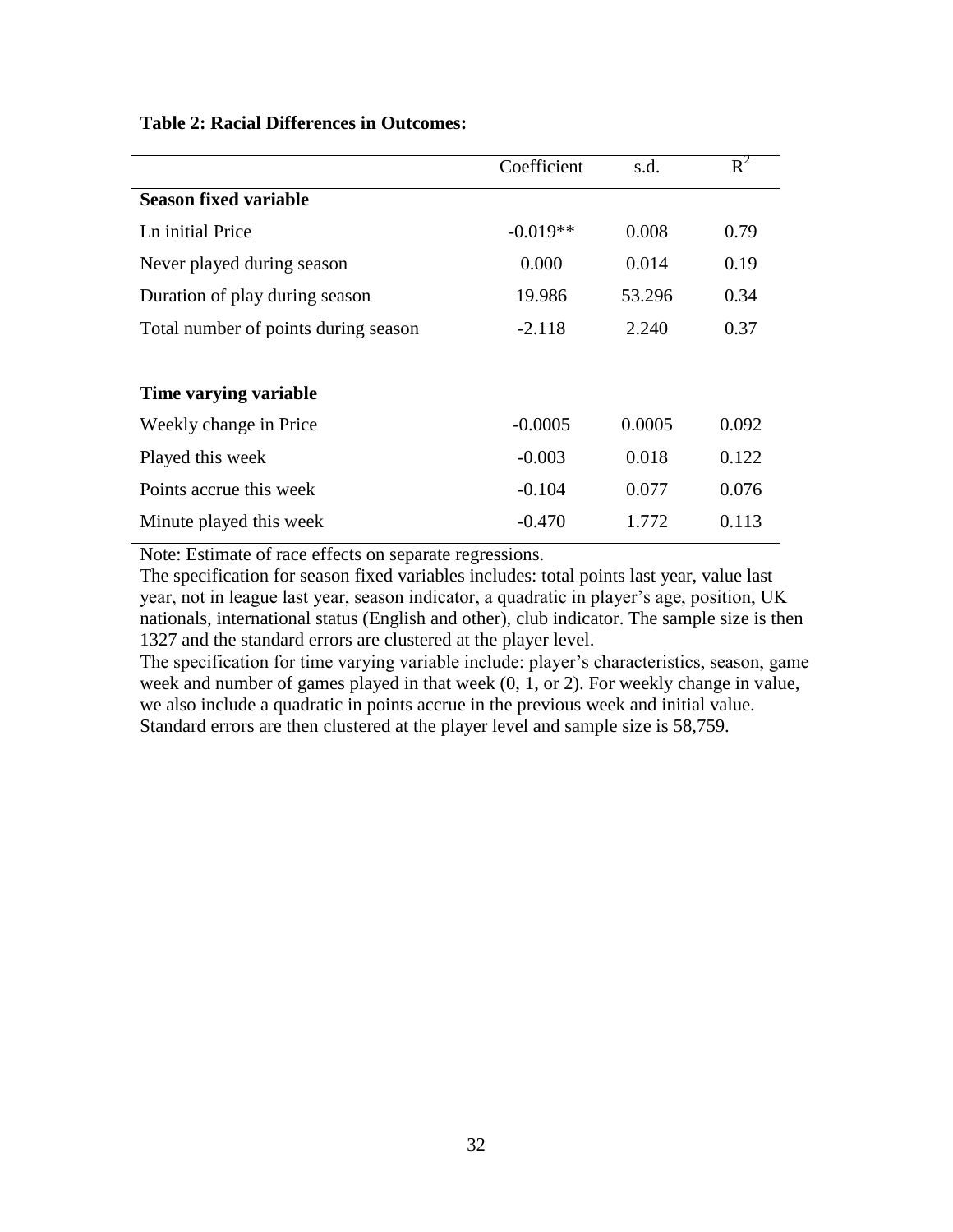| <b>Table 2: Racial Differences in Outcomes:</b> |  |  |  |
|-------------------------------------------------|--|--|--|
|-------------------------------------------------|--|--|--|

|                                      | Coefficient | s.d.   | $R^2$ |
|--------------------------------------|-------------|--------|-------|
| <b>Season fixed variable</b>         |             |        |       |
| Ln initial Price                     | $-0.019**$  | 0.008  | 0.79  |
| Never played during season           | 0.000       | 0.014  | 0.19  |
| Duration of play during season       | 19.986      | 53.296 | 0.34  |
| Total number of points during season | $-2.118$    | 2.240  | 0.37  |
|                                      |             |        |       |
| Time varying variable                |             |        |       |
| Weekly change in Price               | $-0.0005$   | 0.0005 | 0.092 |
| Played this week                     | $-0.003$    | 0.018  | 0.122 |
| Points accrue this week              | $-0.104$    | 0.077  | 0.076 |
| Minute played this week              | $-0.470$    | 1.772  | 0.113 |
|                                      |             |        |       |

Note: Estimate of race effects on separate regressions.

The specification for season fixed variables includes: total points last year, value last year, not in league last year, season indicator, a quadratic in player's age, position, UK nationals, international status (English and other), club indicator. The sample size is then 1327 and the standard errors are clustered at the player level.

The specification for time varying variable include: player's characteristics, season, game week and number of games played in that week (0, 1, or 2). For weekly change in value, we also include a quadratic in points accrue in the previous week and initial value. Standard errors are then clustered at the player level and sample size is 58,759.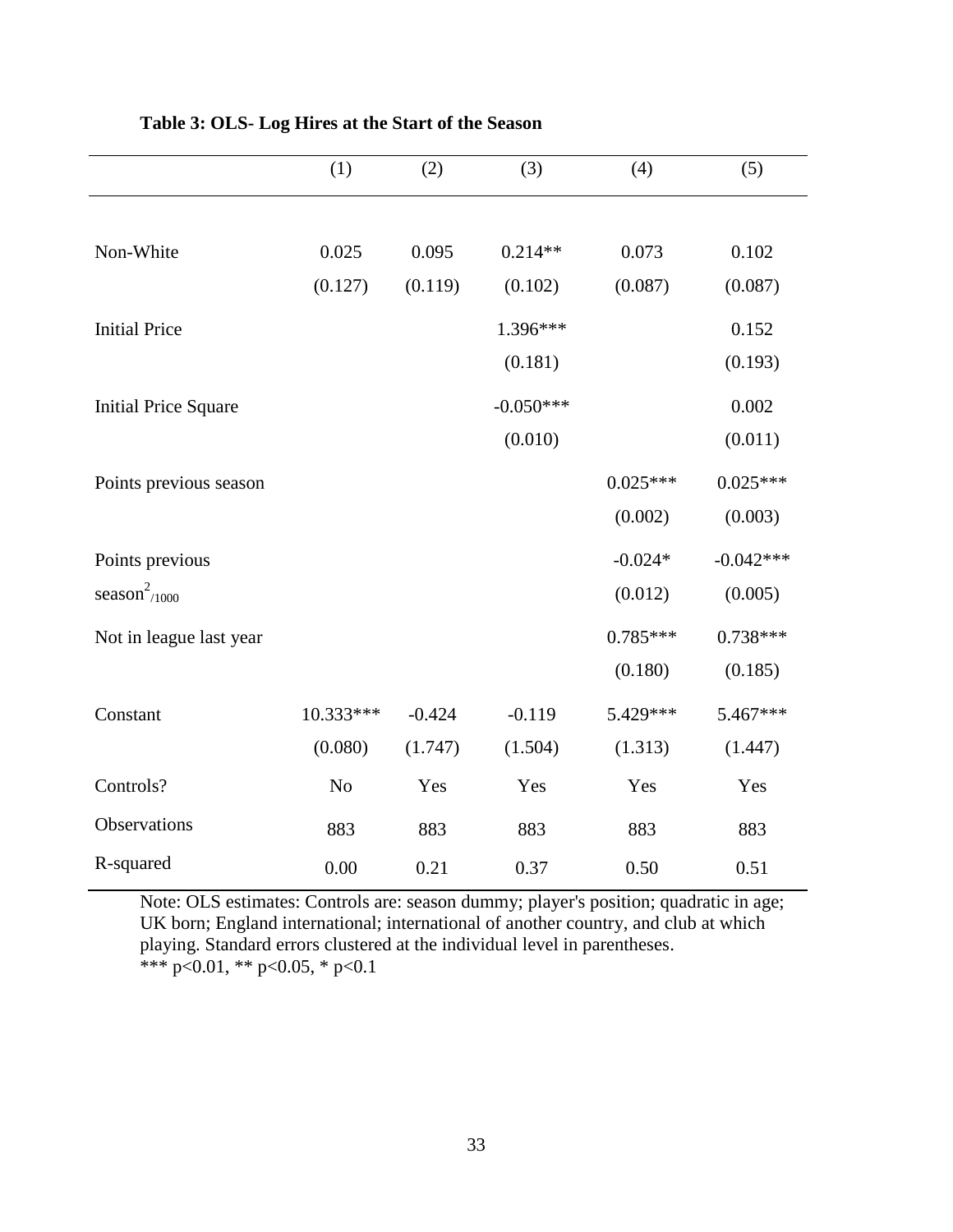|                             | (1)            | (2)      | (3)         | (4)        | (5)         |
|-----------------------------|----------------|----------|-------------|------------|-------------|
|                             |                |          |             |            |             |
| Non-White                   | 0.025          | 0.095    | $0.214**$   | 0.073      | 0.102       |
|                             | (0.127)        | (0.119)  | (0.102)     | (0.087)    | (0.087)     |
| <b>Initial Price</b>        |                |          | 1.396***    |            | 0.152       |
|                             |                |          | (0.181)     |            | (0.193)     |
| <b>Initial Price Square</b> |                |          | $-0.050***$ |            | 0.002       |
|                             |                |          | (0.010)     |            | (0.011)     |
| Points previous season      |                |          |             | $0.025***$ | $0.025***$  |
|                             |                |          |             | (0.002)    | (0.003)     |
| Points previous             |                |          |             | $-0.024*$  | $-0.042***$ |
| season <sup>2</sup> /1000   |                |          |             | (0.012)    | (0.005)     |
| Not in league last year     |                |          |             | $0.785***$ | $0.738***$  |
|                             |                |          |             | (0.180)    | (0.185)     |
| Constant                    | 10.333***      | $-0.424$ | $-0.119$    | 5.429***   | 5.467***    |
|                             | (0.080)        | (1.747)  | (1.504)     | (1.313)    | (1.447)     |
| Controls?                   | N <sub>o</sub> | Yes      | Yes         | Yes        | Yes         |
| Observations                | 883            | 883      | 883         | 883        | 883         |
| R-squared                   | 0.00           | 0.21     | 0.37        | 0.50       | 0.51        |

**Table 3: OLS- Log Hires at the Start of the Season**

Note: OLS estimates: Controls are: season dummy; player's position; quadratic in age; UK born; England international; international of another country, and club at which playing. Standard errors clustered at the individual level in parentheses. \*\*\* p<0.01, \*\* p<0.05, \* p<0.1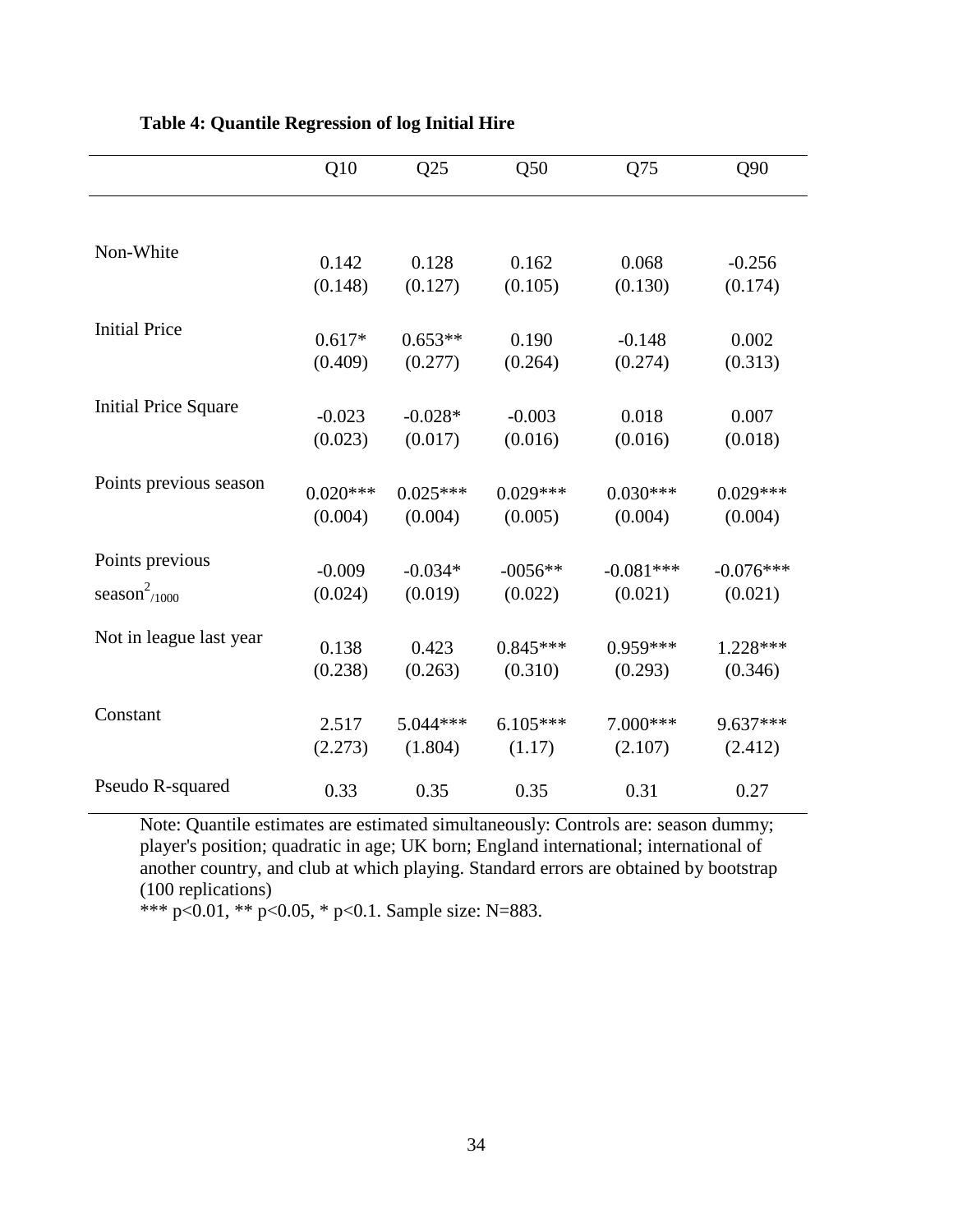|                             | Q10                 | Q25                  | Q50              | Q75                 | Q90              |
|-----------------------------|---------------------|----------------------|------------------|---------------------|------------------|
|                             |                     |                      |                  |                     |                  |
| Non-White                   | 0.142               | 0.128                | 0.162            | 0.068               | $-0.256$         |
|                             | (0.148)             | (0.127)              | (0.105)          | (0.130)             | (0.174)          |
| <b>Initial Price</b>        |                     |                      |                  |                     |                  |
|                             | $0.617*$<br>(0.409) | $0.653**$<br>(0.277) | 0.190<br>(0.264) | $-0.148$<br>(0.274) | 0.002<br>(0.313) |
| <b>Initial Price Square</b> |                     |                      |                  |                     |                  |
|                             | $-0.023$            | $-0.028*$            | $-0.003$         | 0.018               | 0.007            |
|                             | (0.023)             | (0.017)              | (0.016)          | (0.016)             | (0.018)          |
| Points previous season      | $0.020***$          | $0.025***$           | $0.029***$       | $0.030***$          | $0.029***$       |
|                             | (0.004)             | (0.004)              | (0.005)          | (0.004)             | (0.004)          |
| Points previous             | $-0.009$            | $-0.034*$            | $-0056**$        | $-0.081***$         | $-0.076***$      |
| season $2/1000$             | (0.024)             | (0.019)              | (0.022)          | (0.021)             | (0.021)          |
| Not in league last year     |                     |                      |                  |                     |                  |
|                             | 0.138               | 0.423                | $0.845***$       | $0.959***$          | $1.228***$       |
|                             | (0.238)             | (0.263)              | (0.310)          | (0.293)             | (0.346)          |
| Constant                    | 2.517               | $5.044***$           | $6.105***$       | $7.000***$          | $9.637***$       |
|                             | (2.273)             | (1.804)              | (1.17)           | (2.107)             | (2.412)          |
| Pseudo R-squared            | 0.33                | 0.35                 | 0.35             | 0.31                | 0.27             |

**Table 4: Quantile Regression of log Initial Hire**

Note: Quantile estimates are estimated simultaneously: Controls are: season dummy; player's position; quadratic in age; UK born; England international; international of another country, and club at which playing. Standard errors are obtained by bootstrap (100 replications)

\*\*\* p<0.01, \*\* p<0.05, \* p<0.1. Sample size: N=883.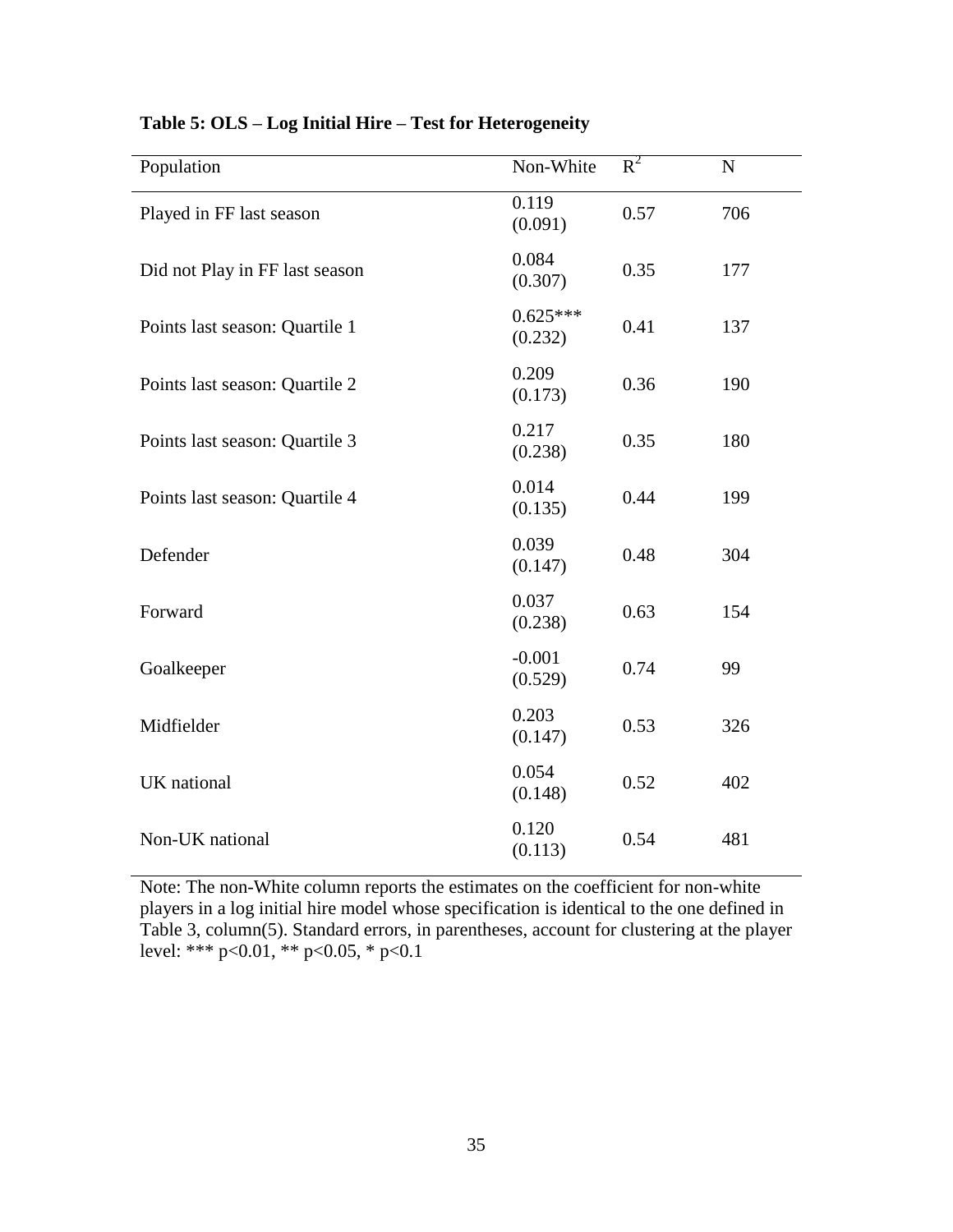| Population                     | Non-White             | $R^2$ | ${\bf N}$ |
|--------------------------------|-----------------------|-------|-----------|
| Played in FF last season       | 0.119<br>(0.091)      | 0.57  | 706       |
| Did not Play in FF last season | 0.084<br>(0.307)      | 0.35  | 177       |
| Points last season: Quartile 1 | $0.625***$<br>(0.232) | 0.41  | 137       |
| Points last season: Quartile 2 | 0.209<br>(0.173)      | 0.36  | 190       |
| Points last season: Quartile 3 | 0.217<br>(0.238)      | 0.35  | 180       |
| Points last season: Quartile 4 | 0.014<br>(0.135)      | 0.44  | 199       |
| Defender                       | 0.039<br>(0.147)      | 0.48  | 304       |
| Forward                        | 0.037<br>(0.238)      | 0.63  | 154       |
| Goalkeeper                     | $-0.001$<br>(0.529)   | 0.74  | 99        |
| Midfielder                     | 0.203<br>(0.147)      | 0.53  | 326       |
| UK national                    | 0.054<br>(0.148)      | 0.52  | 402       |
| Non-UK national                | 0.120<br>(0.113)      | 0.54  | 481       |

## **Table 5: OLS – Log Initial Hire – Test for Heterogeneity**

Note: The non-White column reports the estimates on the coefficient for non-white players in a log initial hire model whose specification is identical to the one defined in Table 3, column(5). Standard errors, in parentheses, account for clustering at the player level: \*\*\*  $p<0.01$ , \*\*  $p<0.05$ , \*  $p<0.1$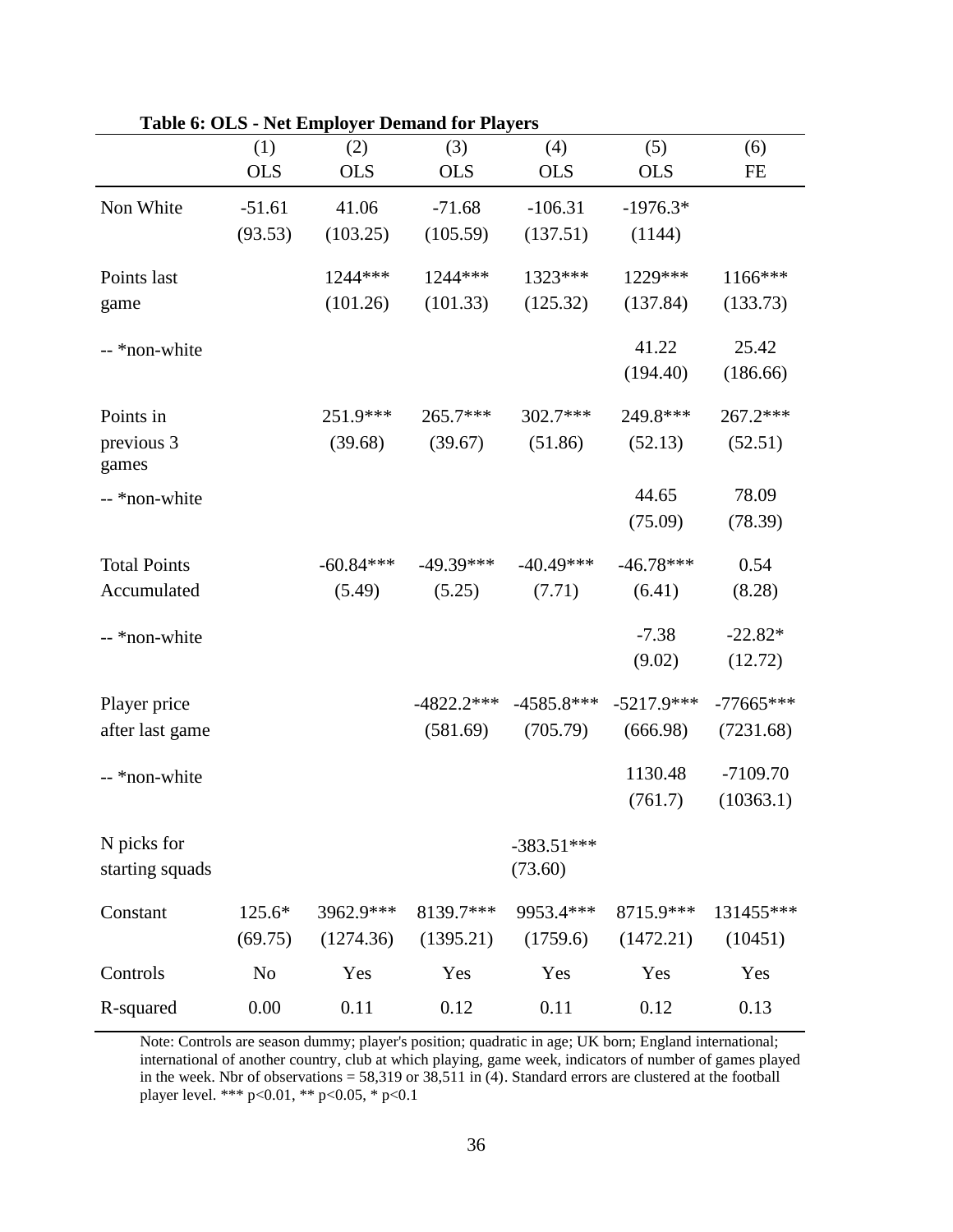|                     |                | $1.00$ Employer Demana for $1.00$ or $0.00$ |              |              |              |             |
|---------------------|----------------|---------------------------------------------|--------------|--------------|--------------|-------------|
|                     | (1)            | (2)                                         | (3)          | (4)          | (5)          | (6)         |
|                     | <b>OLS</b>     | <b>OLS</b>                                  | <b>OLS</b>   | <b>OLS</b>   | <b>OLS</b>   | FE          |
| Non White           | $-51.61$       | 41.06                                       | $-71.68$     | $-106.31$    | $-1976.3*$   |             |
|                     | (93.53)        | (103.25)                                    | (105.59)     | (137.51)     | (1144)       |             |
| Points last         |                | 1244 ***                                    | 1244 ***     | 1323***      | 1229***      | 1166***     |
| game                |                | (101.26)                                    | (101.33)     | (125.32)     | (137.84)     | (133.73)    |
| -- *non-white       |                |                                             |              |              | 41.22        | 25.42       |
|                     |                |                                             |              |              | (194.40)     | (186.66)    |
| Points in           |                | 251.9***                                    | 265.7***     | 302.7***     | 249.8***     | 267.2***    |
| previous 3<br>games |                | (39.68)                                     | (39.67)      | (51.86)      | (52.13)      | (52.51)     |
| -- *non-white       |                |                                             |              |              | 44.65        | 78.09       |
|                     |                |                                             |              |              | (75.09)      | (78.39)     |
| <b>Total Points</b> |                | $-60.84***$                                 | $-49.39***$  | $-40.49***$  | $-46.78***$  | 0.54        |
| Accumulated         |                | (5.49)                                      | (5.25)       | (7.71)       | (6.41)       | (8.28)      |
| -- *non-white       |                |                                             |              |              | $-7.38$      | $-22.82*$   |
|                     |                |                                             |              |              | (9.02)       | (12.72)     |
| Player price        |                |                                             | $-4822.2***$ | $-4585.8***$ | $-5217.9***$ | $-77665***$ |
| after last game     |                |                                             | (581.69)     | (705.79)     | (666.98)     | (7231.68)   |
| -- *non-white       |                |                                             |              |              | 1130.48      | $-7109.70$  |
|                     |                |                                             |              |              | (761.7)      | (10363.1)   |
| N picks for         |                |                                             |              | $-383.51***$ |              |             |
| starting squads     |                |                                             |              | (73.60)      |              |             |
| Constant            | 125.6*         | 3962.9***                                   | 8139.7***    | 9953.4***    | 8715.9***    | 131455***   |
|                     | (69.75)        | (1274.36)                                   | (1395.21)    | (1759.6)     | (1472.21)    | (10451)     |
| Controls            | N <sub>0</sub> | Yes                                         | Yes          | Yes          | Yes          | Yes         |
| R-squared           | 0.00           | 0.11                                        | 0.12         | 0.11         | 0.12         | 0.13        |

### **Table 6: OLS - Net Employer Demand for Players**

Note: Controls are season dummy; player's position; quadratic in age; UK born; England international; international of another country, club at which playing, game week, indicators of number of games played in the week. Nbr of observations =  $58,319$  or  $38,511$  in (4). Standard errors are clustered at the football player level. \*\*\* p<0.01, \*\* p<0.05, \* p<0.1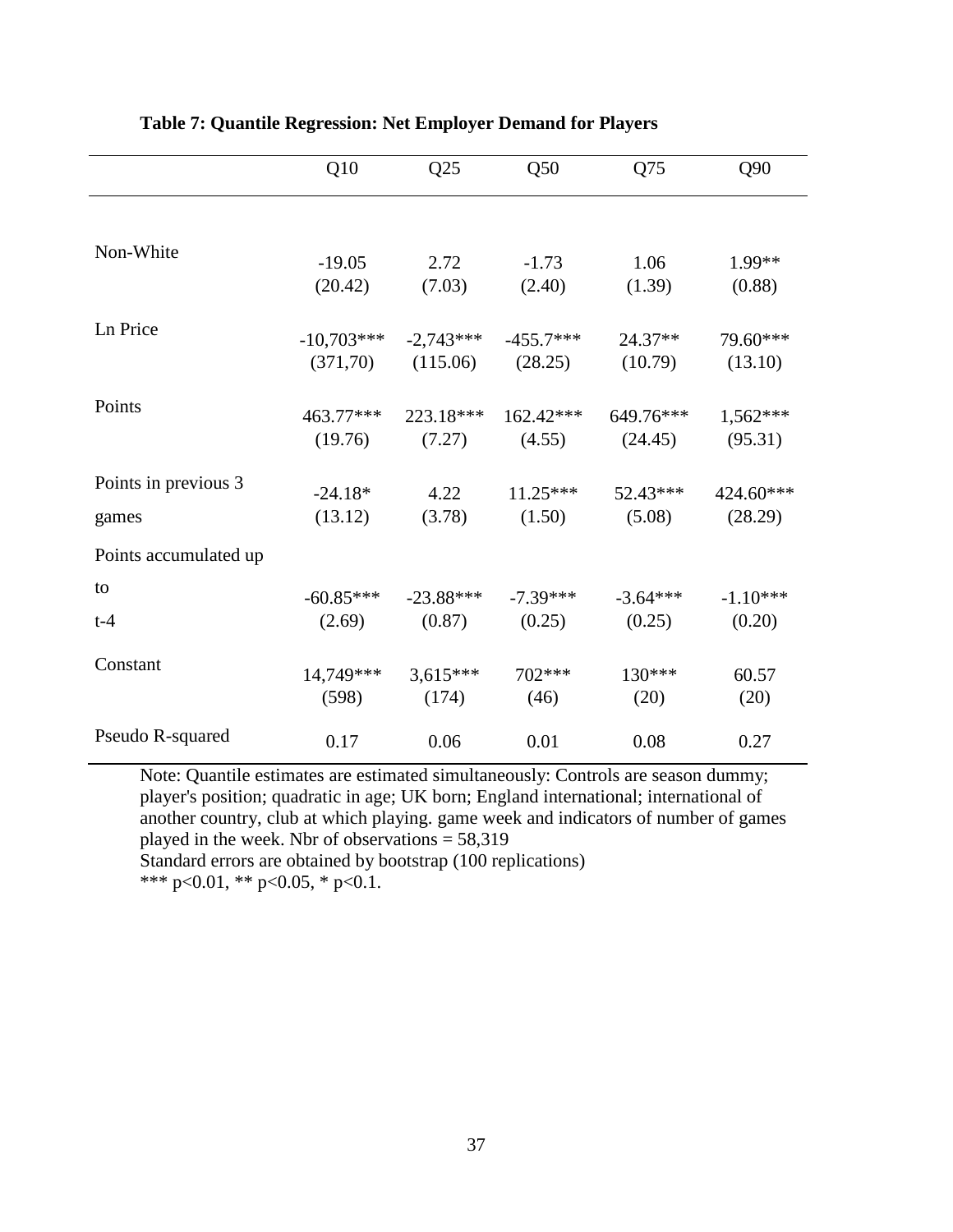|                               | Q10                   | Q25                   | Q50                   | Q75                  | Q90                   |
|-------------------------------|-----------------------|-----------------------|-----------------------|----------------------|-----------------------|
|                               |                       |                       |                       |                      |                       |
| Non-White                     | $-19.05$              | 2.72                  | $-1.73$               | 1.06                 | 1.99**                |
|                               | (20.42)               | (7.03)                | (2.40)                | (1.39)               | (0.88)                |
| Ln Price                      | $-10,703***$          | $-2,743***$           | $-455.7***$           | $24.37**$            | 79.60***              |
|                               | (371, 70)             | (115.06)              | (28.25)               | (10.79)              | (13.10)               |
| Points                        | 463.77***<br>(19.76)  | 223.18***<br>(7.27)   | $162.42***$<br>(4.55) | 649.76***<br>(24.45) | $1,562***$<br>(95.31) |
| Points in previous 3<br>games | $-24.18*$<br>(13.12)  | 4.22<br>(3.78)        | $11.25***$<br>(1.50)  | $52.43***$<br>(5.08) | 424.60***<br>(28.29)  |
| Points accumulated up         |                       |                       |                       |                      |                       |
| to<br>$t-4$                   | $-60.85***$<br>(2.69) | $-23.88***$<br>(0.87) | $-7.39***$<br>(0.25)  | $-3.64***$<br>(0.25) | $-1.10***$<br>(0.20)  |
| Constant                      | 14,749***<br>(598)    | $3,615***$<br>(174)   | 702***<br>(46)        | 130***<br>(20)       | 60.57<br>(20)         |
| Pseudo R-squared              | 0.17                  | 0.06                  | 0.01                  | 0.08                 | 0.27                  |

**Table 7: Quantile Regression: Net Employer Demand for Players** 

Note: Quantile estimates are estimated simultaneously: Controls are season dummy; player's position; quadratic in age; UK born; England international; international of another country, club at which playing. game week and indicators of number of games played in the week. Nbr of observations  $= 58,319$ 

Standard errors are obtained by bootstrap (100 replications)

\*\*\* p<0.01, \*\* p<0.05, \* p<0.1.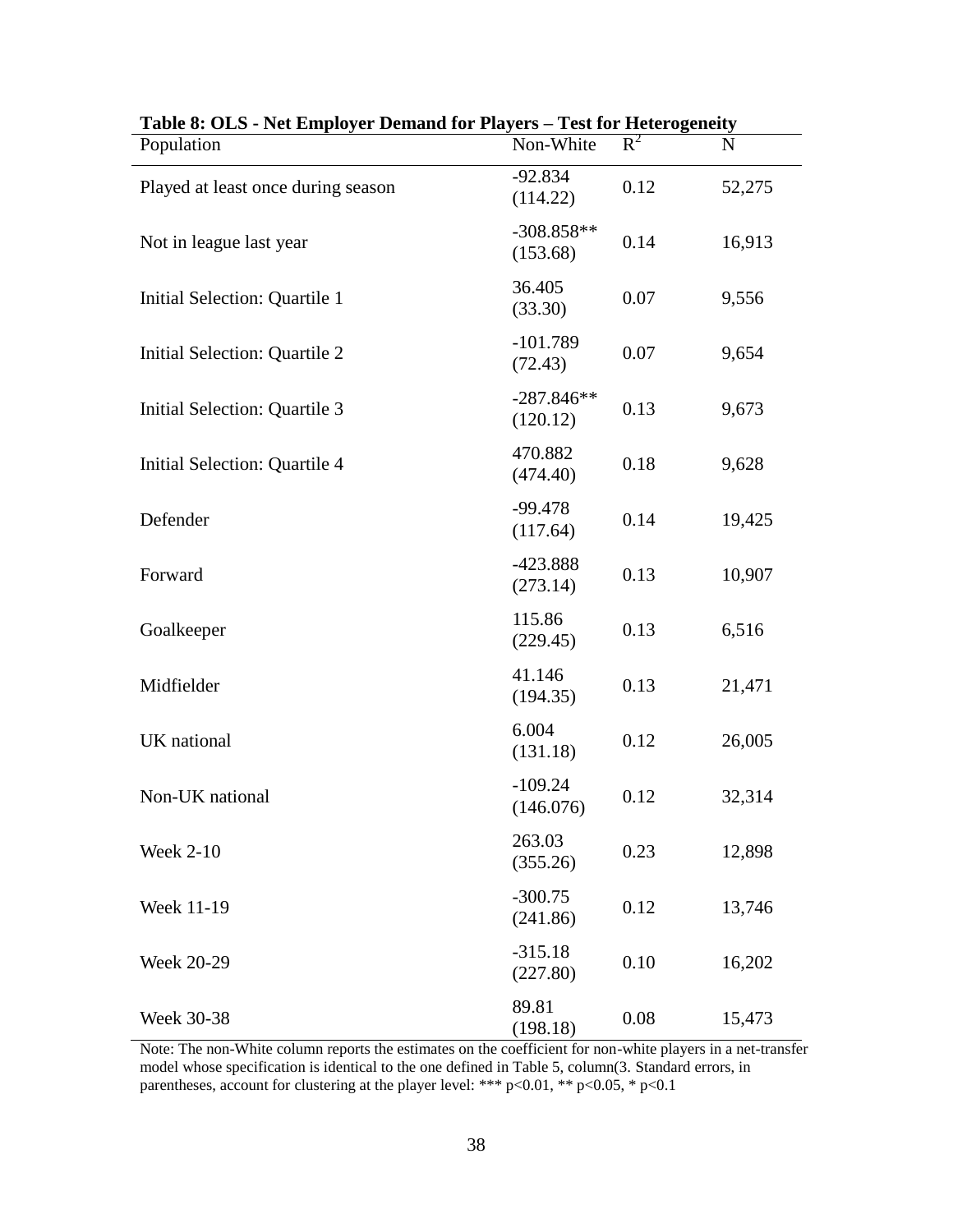| radie o. Old - iver Employer Demand for Flayers – Fest for Heterogeneity |                          |       |        |
|--------------------------------------------------------------------------|--------------------------|-------|--------|
| Population                                                               | Non-White                | $R^2$ | N      |
| Played at least once during season                                       | $-92.834$<br>(114.22)    | 0.12  | 52,275 |
| Not in league last year                                                  | $-308.858**$<br>(153.68) | 0.14  | 16,913 |
| Initial Selection: Quartile 1                                            | 36.405<br>(33.30)        | 0.07  | 9,556  |
| Initial Selection: Quartile 2                                            | $-101.789$<br>(72.43)    | 0.07  | 9,654  |
| Initial Selection: Quartile 3                                            | $-287.846**$<br>(120.12) | 0.13  | 9,673  |
| Initial Selection: Quartile 4                                            | 470.882<br>(474.40)      | 0.18  | 9,628  |
| Defender                                                                 | $-99.478$<br>(117.64)    | 0.14  | 19,425 |
| Forward                                                                  | $-423.888$<br>(273.14)   | 0.13  | 10,907 |
| Goalkeeper                                                               | 115.86<br>(229.45)       | 0.13  | 6,516  |
| Midfielder                                                               | 41.146<br>(194.35)       | 0.13  | 21,471 |
| UK national                                                              | 6.004<br>(131.18)        | 0.12  | 26,005 |
| Non-UK national                                                          | $-109.24$<br>(146.076)   | 0.12  | 32,314 |
| <b>Week 2-10</b>                                                         | 263.03<br>(355.26)       | 0.23  | 12,898 |
| Week 11-19                                                               | $-300.75$<br>(241.86)    | 0.12  | 13,746 |
| <b>Week 20-29</b>                                                        | $-315.18$<br>(227.80)    | 0.10  | 16,202 |
| Week 30-38                                                               | 89.81<br>(198.18)        | 0.08  | 15,473 |

**Table 8: OLS - Net Employer Demand for Players – Test for Heterogeneity** 

Note: The non-White column reports the estimates on the coefficient for non-white players in a net-transfer model whose specification is identical to the one defined in Table 5, column(3. Standard errors, in parentheses, account for clustering at the player level: \*\*\* p<0.01, \*\* p<0.05, \* p<0.1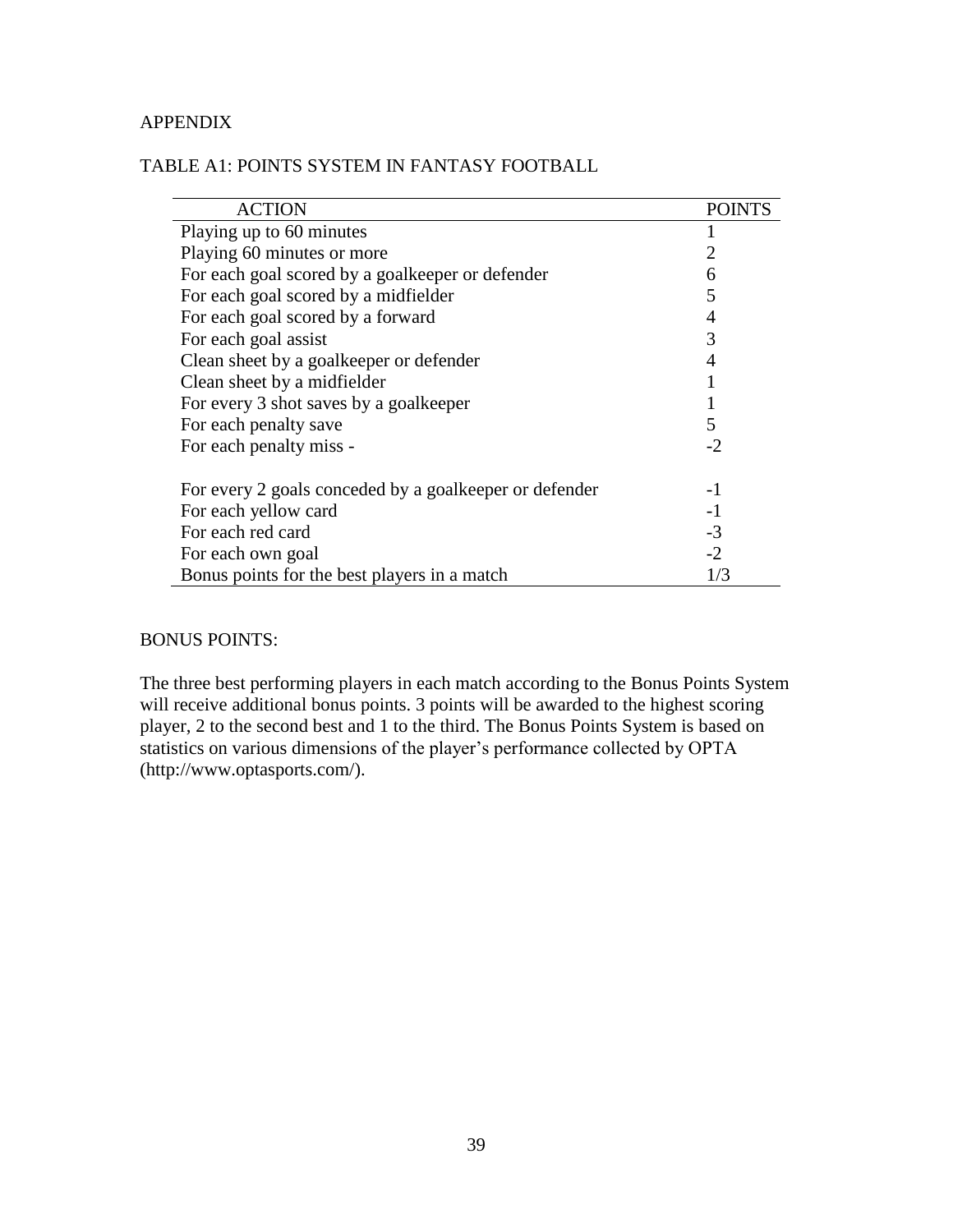### APPENDIX

| <b>ACTION</b>                                          | <b>POINTS</b> |
|--------------------------------------------------------|---------------|
| Playing up to 60 minutes                               |               |
| Playing 60 minutes or more                             |               |
| For each goal scored by a goalkeeper or defender       | 6             |
| For each goal scored by a midfielder                   | 5             |
| For each goal scored by a forward                      | 4             |
| For each goal assist                                   | 3             |
| Clean sheet by a goalkeeper or defender                |               |
| Clean sheet by a midfielder                            |               |
| For every 3 shot saves by a goalkeeper                 |               |
| For each penalty save                                  | 5             |
| For each penalty miss -                                | $-2$          |
|                                                        |               |
| For every 2 goals conceded by a goalkeeper or defender | -1            |
| For each yellow card                                   | $-1$          |
| For each red card                                      | $-3$          |
| For each own goal                                      | $-2$          |
| Bonus points for the best players in a match           | 1/3           |

## TABLE A1: POINTS SYSTEM IN FANTASY FOOTBALL

#### BONUS POINTS:

The three best performing players in each match according to the Bonus Points System will receive additional bonus points. 3 points will be awarded to the highest scoring player, 2 to the second best and 1 to the third. The Bonus Points System is based on statistics on various dimensions of the player's performance collected by OPTA (http://www.optasports.com/).